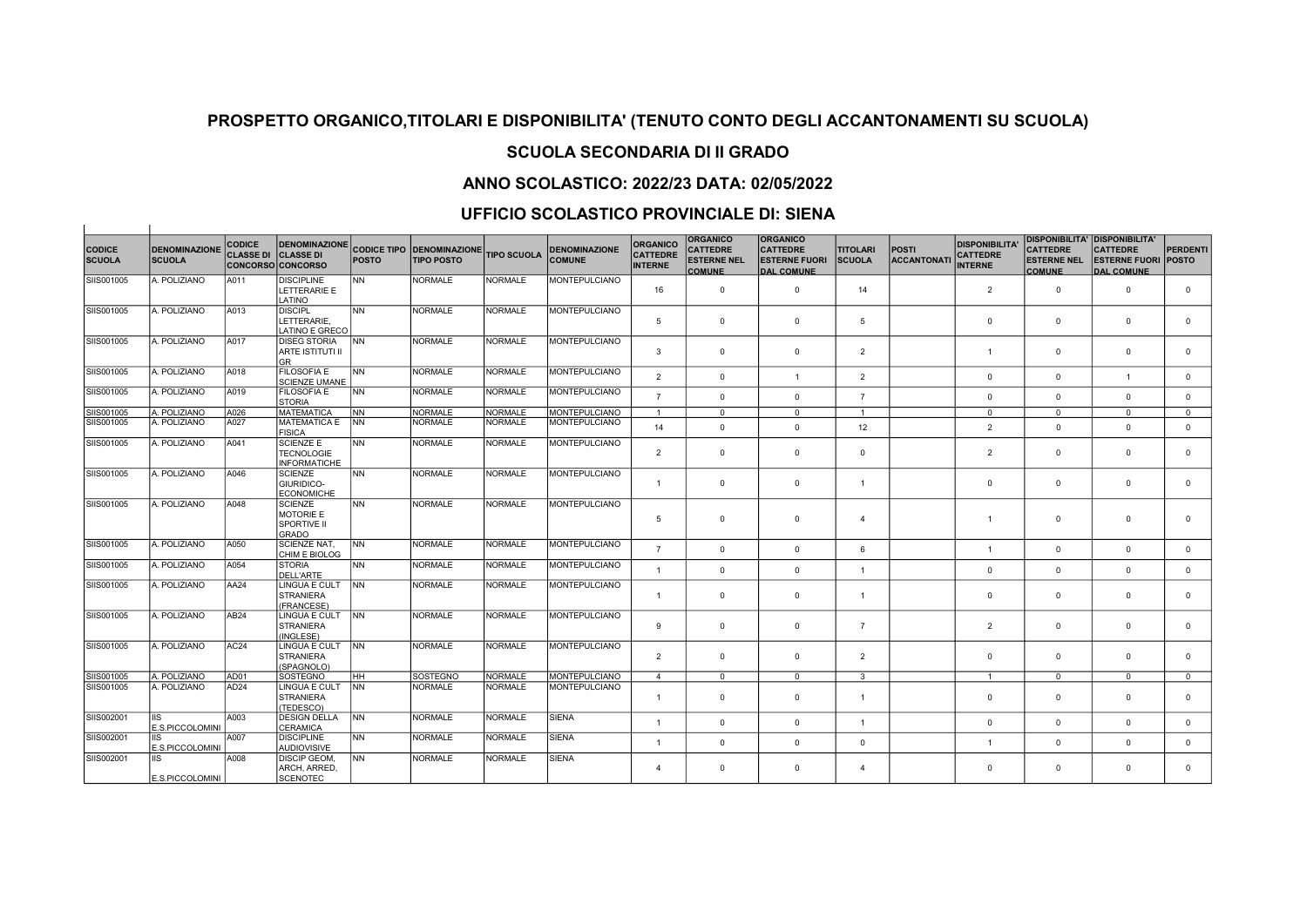## SCUOLA SECONDARIA DI II GRADO

## ANNO SCOLASTICO: 2022/23 DATA: 02/05/2022

### UFFICIO SCOLASTICO PROVINCIALE DI: SIENA

| <b>CODICE</b><br><b>SCUOLA</b> | <b>DENOMINAZIONE</b><br><b>SCUOLA</b> | <b>CODICE</b><br><b>CLASSE DI</b> | <b>DENOMINAZIONE</b><br><b>CLASSE DI</b><br><b>CONCORSO CONCORSO</b> | <b>POSTO</b> | <b>CODICE TIPO IDENOMINAZIONEI</b><br><b>TIPO POSTO</b> | <b>TIPO SCUOLA</b> | <b>DENOMINAZIONE</b><br><b>COMUNE</b> | <b>ORGANICO</b><br><b>CATTEDRE</b><br><b>INTERNE</b> | <b>ORGANICO</b><br><b>CATTEDRE</b><br><b>ESTERNE NEL</b><br><b>COMUNE</b> | <b>ORGANICO</b><br><b>CATTEDRE</b><br><b>ESTERNE FUORI</b><br><b>DAL COMUNE</b> | <b>TITOLARI</b><br><b>SCUOLA</b> | <b>POSTI</b><br><b>ACCANTONATI</b> | <b>DISPONIBILITA'</b><br><b>CATTEDRE</b><br><b>INTERNE</b> | <b>CATTEDRE</b><br><b>ESTERNE NEL</b><br><b>COMUNE</b> | DISPONIBILITA'  DISPONIBILITA'<br><b>CATTEDRE</b><br><b>ESTERNE FUORI</b><br><b>DAL COMUNE</b> | <b>PERDENTI</b><br><b>POSTO</b> |
|--------------------------------|---------------------------------------|-----------------------------------|----------------------------------------------------------------------|--------------|---------------------------------------------------------|--------------------|---------------------------------------|------------------------------------------------------|---------------------------------------------------------------------------|---------------------------------------------------------------------------------|----------------------------------|------------------------------------|------------------------------------------------------------|--------------------------------------------------------|------------------------------------------------------------------------------------------------|---------------------------------|
| SIIS001005                     | A. POLIZIANO                          | A011                              | <b>DISCIPLINE</b><br>LETTERARIE E<br>LATINO                          | <b>NN</b>    | <b>NORMALE</b>                                          | <b>NORMALE</b>     | <b>MONTEPULCIANO</b>                  | 16                                                   | $\mathbf 0$                                                               | $\mathbf 0$                                                                     | 14                               |                                    | $\overline{2}$                                             | $\Omega$                                               | $\Omega$                                                                                       | $\mathbf 0$                     |
| SIIS001005                     | A. POLIZIANO                          | A013                              | <b>DISCIPL</b><br>LETTERARIE.<br>LATINO E GRECO                      | İNN          | <b>NORMALE</b>                                          | <b>NORMALE</b>     | <b>MONTEPULCIANO</b>                  | 5                                                    | $\mathbf 0$                                                               | $\mathbf 0$                                                                     | 5                                |                                    | $\mathbf 0$                                                | $\overline{0}$                                         | $\mathbf{0}$                                                                                   | $\mathbf 0$                     |
| SIIS001005                     | A. POLIZIANO                          | A017                              | <b>DISEG STORIA</b><br><b>ARTE ISTITUTI II</b><br><b>GR</b>          | <b>INN</b>   | <b>NORMALE</b>                                          | <b>NORMALE</b>     | <b>MONTEPULCIANO</b>                  | 3                                                    | $\mathbf 0$                                                               | $\Omega$                                                                        | $\overline{2}$                   |                                    | $\mathbf{1}$                                               | $\Omega$                                               | $\Omega$                                                                                       | $\mathbf 0$                     |
| SIIS001005                     | A. POLIZIANO                          | A018                              | <b>FILOSOFIA E</b><br><b>SCIENZE UMANE</b>                           | İNN          | <b>NORMALE</b>                                          | <b>NORMALE</b>     | <b>MONTEPULCIANO</b>                  | $\overline{2}$                                       | $\overline{0}$                                                            | $\overline{1}$                                                                  | $\overline{2}$                   |                                    | $\mathbf{0}$                                               | $\mathbf 0$                                            | $\overline{1}$                                                                                 | $\mathbf 0$                     |
| SIIS001005                     | A. POLIZIANO                          | A019                              | <b>FILOSOFIA E</b><br><b>STORIA</b>                                  | <b>NN</b>    | <b>NORMALE</b>                                          | NORMALE            | <b>MONTEPULCIANO</b>                  | $\overline{7}$                                       | $\mathbf 0$                                                               | $\mathbf 0$                                                                     | $\overline{7}$                   |                                    | $\mathbf 0$                                                | $\mathbf 0$                                            | $\mathbf{0}$                                                                                   | $\mathbf{0}$                    |
| SIIS001005                     | A. POLIZIANO                          | A026                              | <b>MATEMATICA</b>                                                    | <b>INN</b>   | <b>NORMALE</b>                                          | <b>NORMALE</b>     | <b>MONTEPULCIANO</b>                  | $\mathbf{1}$                                         | $\mathbf 0$                                                               | $\mathbf{0}$                                                                    | $\overline{1}$                   |                                    | $\mathbf{0}$                                               | $^{\circ}$                                             | $\mathbf{0}$                                                                                   | $\mathbf{0}$                    |
| SIIS001005                     | A. POLIZIANO                          | A027                              | <b>MATEMATICA E</b><br><b>FISICA</b>                                 | <b>INN</b>   | <b>NORMALE</b>                                          | <b>NORMALE</b>     | <b>MONTEPULCIANO</b>                  | 14                                                   | $\mathbf 0$                                                               | $\mathbf 0$                                                                     | 12                               |                                    | $\overline{2}$                                             | $\Omega$                                               | $\Omega$                                                                                       | $\mathbf{0}$                    |
| SIIS001005                     | A. POLIZIANO                          | A041                              | <b>SCIENZE E</b><br><b>TECNOLOGIE</b><br><b>INFORMATICHE</b>         | İNN          | <b>NORMALE</b>                                          | <b>NORMALE</b>     | <b>MONTEPULCIANO</b>                  | $\overline{2}$                                       | $\mathbf 0$                                                               | $\mathbf 0$                                                                     | $\overline{0}$                   |                                    | $\overline{2}$                                             | $\Omega$                                               | $\mathbf 0$                                                                                    | $\mathbf 0$                     |
| SIIS001005                     | A. POLIZIANO                          | A046                              | <b>SCIENZE</b><br>GIURIDICO-<br><b>ECONOMICHE</b>                    | İNN          | <b>NORMALE</b>                                          | <b>NORMALE</b>     | <b>MONTEPULCIANO</b>                  | $\overline{1}$                                       | $\mathbf{0}$                                                              | $\mathbf 0$                                                                     | $\overline{1}$                   |                                    | $\mathbf{0}$                                               | $^{\circ}$                                             | $\mathbf{0}$                                                                                   | $^{\circ}$                      |
| SIIS001005                     | A. POLIZIANO                          | A048                              | <b>SCIENZE</b><br>MOTORIE E<br>SPORTIVE II<br><b>GRADO</b>           | <b>NN</b>    | <b>NORMALE</b>                                          | <b>NORMALE</b>     | <b>MONTEPULCIANO</b>                  | 5                                                    | $\mathbf 0$                                                               | $\mathbf 0$                                                                     | $\overline{4}$                   |                                    | $\overline{1}$                                             | $\mathbf 0$                                            | $\overline{0}$                                                                                 | $\mathbf 0$                     |
| SIIS001005                     | A. POLIZIANO                          | A050                              | SCIENZE NAT,<br>CHIM E BIOLOG                                        | <b>INN</b>   | <b>NORMALE</b>                                          | <b>NORMALE</b>     | <b>MONTEPULCIANO</b>                  | $\overline{7}$                                       | $\mathbf 0$                                                               | $\mathbf 0$                                                                     | 6                                |                                    | $\overline{1}$                                             | $\Omega$                                               | $\mathbf{0}$                                                                                   | $\mathbf 0$                     |
| SIIS001005                     | A. POLIZIANO                          | A054                              | <b>STORIA</b><br>DELL'ARTE                                           | İNN          | <b>NORMALE</b>                                          | <b>NORMALE</b>     | <b>MONTEPULCIANO</b>                  | $\overline{1}$                                       | $\mathbf 0$                                                               | $\mathbf 0$                                                                     | $\mathbf{1}$                     |                                    | $\mathbf 0$                                                | $\mathbf 0$                                            | $\mathbf{0}$                                                                                   | $\mathbf 0$                     |
| SIIS001005                     | A. POLIZIANO                          | AA24                              | LINGUA E CULT<br><b>STRANIERA</b><br>(FRANCESE)                      | <b>INN</b>   | <b>NORMALE</b>                                          | NORMALE            | <b>MONTEPULCIANO</b>                  | $\overline{1}$                                       | $\mathbf 0$                                                               | $\mathbf 0$                                                                     | $\overline{1}$                   |                                    | $\Omega$                                                   | $\mathbf 0$                                            | $\mathbf{0}$                                                                                   | $\mathbf 0$                     |
| SIIS001005                     | A. POLIZIANO                          | AB24                              | LINGUA E CULT<br><b>STRANIERA</b><br>(INGLESE)                       | <b>INN</b>   | <b>NORMALE</b>                                          | <b>NORMALE</b>     | <b>MONTEPULCIANO</b>                  | 9                                                    | $\overline{0}$                                                            | $\mathbf 0$                                                                     | $\overline{7}$                   |                                    | $\overline{2}$                                             | $\mathbf 0$                                            | $\mathbf{0}$                                                                                   | $\mathbf 0$                     |
| SIIS001005                     | A. POLIZIANO                          | AC24                              | LINGUA E CULT INN<br><b>STRANIERA</b><br>(SPAGNOLO)                  |              | <b>NORMALE</b>                                          | <b>NORMALE</b>     | <b>MONTEPULCIANO</b>                  | $\overline{2}$                                       | $\mathbf 0$                                                               | $\mathbf 0$                                                                     | $\overline{2}$                   |                                    | $\Omega$                                                   | $\mathbf 0$                                            | $\mathbf{0}$                                                                                   | $\mathbf 0$                     |
| SIIS001005                     | A. POLIZIANO                          | AD01                              | SOSTEGNO                                                             | Інн          | <b>SOSTEGNO</b>                                         | <b>NORMALE</b>     | <b>MONTEPULCIANO</b>                  | $\overline{4}$                                       | $^{\circ}$                                                                | $^{\circ}$                                                                      | 3                                |                                    | $\overline{1}$                                             | $\Omega$                                               | $\mathbf{0}$                                                                                   | $\mathbf{0}$                    |
| SIIS001005                     | A. POLIZIANO                          | AD <sub>24</sub>                  | LINGUA E CULT<br><b>STRANIERA</b><br>(TEDESCO)                       | <b>INN</b>   | <b>NORMALE</b>                                          | <b>NORMALE</b>     | <b>MONTEPULCIANO</b>                  | $\overline{1}$                                       | $\mathbf 0$                                                               | $\mathbf 0$                                                                     | $\overline{1}$                   |                                    | $\Omega$                                                   | $\Omega$                                               | $\mathbf{0}$                                                                                   | $\mathbf 0$                     |
| SIIS002001                     | <b>IIS</b><br>E.S.PICCOLOMINI         | A003                              | <b>DESIGN DELLA</b><br>CERAMICA                                      | <b>INN</b>   | NORMALE                                                 | <b>NORMALE</b>     | <b>SIENA</b>                          | $\overline{1}$                                       | $\overline{0}$                                                            | $\mathbf 0$                                                                     | $\overline{1}$                   |                                    | $\Omega$                                                   | $\Omega$                                               | $\mathbf{0}$                                                                                   | $\mathbf{0}$                    |
| SIIS002001                     | <b>IIS</b><br>E.S.PICCOLOMINI         | A007                              | <b>DISCIPLINE</b><br><b>AUDIOVISIVE</b>                              | <b>INN</b>   | <b>NORMALE</b>                                          | <b>NORMALE</b>     | <b>SIENA</b>                          | $\mathbf{1}$                                         | $\mathbf 0$                                                               | $\mathbf 0$                                                                     | $\overline{0}$                   |                                    | $\mathbf{1}$                                               | $\mathbf 0$                                            | $\mathbf{0}$                                                                                   | $\mathbf 0$                     |
| SIIS002001                     | <b>IIS</b><br>E.S.PICCOLOMINI         | A008                              | DISCIP GEOM.<br>ARCH, ARRED.<br><b>SCENOTEC</b>                      | <b>INN</b>   | <b>NORMALE</b>                                          | <b>NORMALE</b>     | <b>SIENA</b>                          | $\overline{4}$                                       | $\mathbf 0$                                                               | $\mathbf 0$                                                                     | $\overline{4}$                   |                                    | $\Omega$                                                   | $\Omega$                                               | $\mathbf 0$                                                                                    | $\mathbf 0$                     |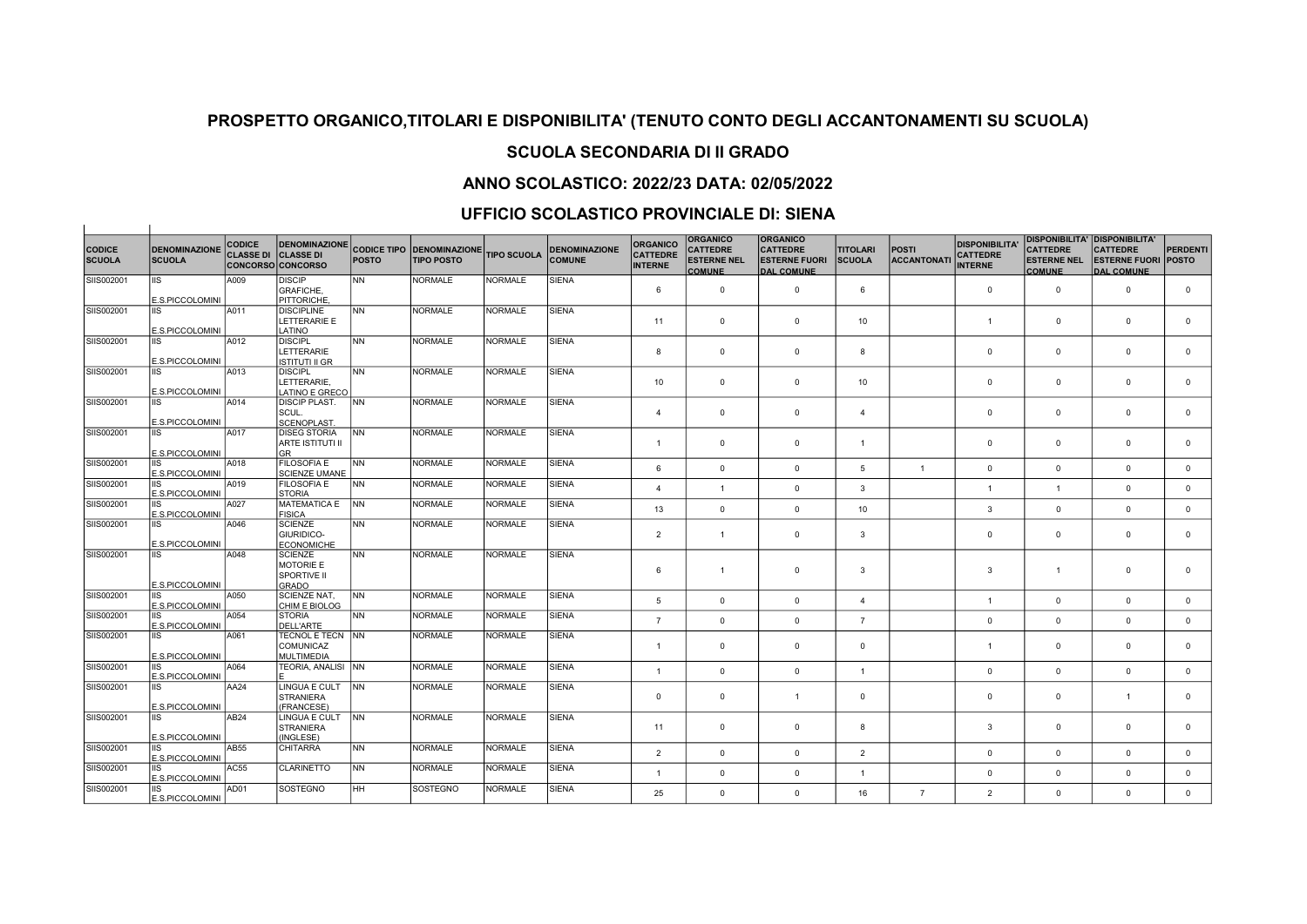# SCUOLA SECONDARIA DI II GRADO

## ANNO SCOLASTICO: 2022/23 DATA: 02/05/2022

### UFFICIO SCOLASTICO PROVINCIALE DI: SIENA

 $\mathbf{1}$ 

| <b>CODICE</b><br><b>SCUOLA</b> | <b>DENOMINAZIONE</b><br><b>SCUOLA</b> | <b>CODICE</b><br><b>CLASSE DI CLASSE DI</b> | <b>CONCORSO CONCORSO</b>                                          | <b>POSTO</b> | DENOMINAZIONE CODICE TIPO DENOMINAZIONE<br><b>TIPO POSTO</b> | <b>TIPO SCUOLA</b> | <b>DENOMINAZIONE</b><br><b>COMUNE</b> | <b>ORGANICO</b><br><b>CATTEDRE</b><br><b>INTERNE</b> | <b>ORGANICO</b><br><b>CATTEDRE</b><br><b>ESTERNE NEL</b><br><b>COMUNE</b> | <b>ORGANICO</b><br><b>CATTEDRE</b><br><b>ESTERNE FUORI</b><br><b>DAL COMUNE</b> | <b>TITOLARI</b><br><b>SCUOLA</b> | <b>POSTI</b><br><b>ACCANTONATI</b> | <b>DISPONIBILITA</b><br><b>CATTEDRE</b><br><b>INTERNE</b> | <b>DISPONIBILITA' DISPONIBILITA'</b><br><b>CATTEDRE</b><br><b>ESTERNE NEL</b><br><b>COMUNE</b> | <b>CATTEDRE</b><br><b>ESTERNE FUORI POSTO</b><br><b>DAL COMUNE</b> | <b>PERDENTI</b> |
|--------------------------------|---------------------------------------|---------------------------------------------|-------------------------------------------------------------------|--------------|--------------------------------------------------------------|--------------------|---------------------------------------|------------------------------------------------------|---------------------------------------------------------------------------|---------------------------------------------------------------------------------|----------------------------------|------------------------------------|-----------------------------------------------------------|------------------------------------------------------------------------------------------------|--------------------------------------------------------------------|-----------------|
| SIIS002001                     | IIS.<br>E.S.PICCOLOMINI               | A009                                        | <b>DISCIP</b><br><b>GRAFICHE,</b><br>PITTORICHE.                  | <b>NN</b>    | <b>NORMALE</b>                                               | <b>NORMALE</b>     | <b>SIENA</b>                          | 6                                                    | $\mathbf 0$                                                               | $\mathbf 0$                                                                     | 6                                |                                    | $\mathbf 0$                                               | $\mathbf 0$                                                                                    | $\mathbf 0$                                                        | $\mathbf 0$     |
| SIIS002001                     | IIS<br>E.S.PICCOLOMINI                | A011                                        | <b>DISCIPLINE</b><br>LETTERARIE E<br>LATINO                       | <b>NN</b>    | <b>NORMALE</b>                                               | NORMALE            | <b>SIENA</b>                          | 11                                                   | $\mathbf 0$                                                               | $\mathbf 0$                                                                     | 10                               |                                    | $\mathbf{1}$                                              | $\mathbf 0$                                                                                    | $\overline{0}$                                                     | $\mathbf 0$     |
| SIIS002001                     | <b>IIS</b><br>E.S.PICCOLOMINI         | A012                                        | <b>DISCIPL</b><br>LETTERARIE<br><b>ISTITUTI II GR</b>             | <b>NN</b>    | <b>NORMALE</b>                                               | <b>NORMALE</b>     | <b>SIENA</b>                          | 8                                                    | $\mathbf{0}$                                                              | $\mathbf 0$                                                                     | 8                                |                                    | $\mathbf{0}$                                              | $\mathbf 0$                                                                                    | $\overline{0}$                                                     | $\mathbf 0$     |
| SIIS002001                     | <b>IIS</b><br>E.S.PICCOLOMINI         | A013                                        | <b>DISCIPL</b><br>LETTERARIE.<br>LATINO E GRECO                   | <b>NN</b>    | <b>NORMALE</b>                                               | <b>NORMALE</b>     | <b>SIENA</b>                          | 10 <sup>1</sup>                                      | $\mathbf{0}$                                                              | $\mathbf 0$                                                                     | 10                               |                                    | $\mathbf 0$                                               | $\mathbf{0}$                                                                                   | $\overline{0}$                                                     | $\mathbf 0$     |
| SIIS002001                     | IIS.<br>E.S.PICCOLOMINI               | A014                                        | <b>DISCIP PLAST.</b><br>lscu∟.<br>SCENOPLAST                      | INN .        | <b>NORMALE</b>                                               | <b>NORMALE</b>     | <b>SIENA</b>                          | $\overline{4}$                                       | $\mathbf 0$                                                               | $\mathbf 0$                                                                     | $\overline{4}$                   |                                    | $\mathbf 0$                                               | $\mathbf 0$                                                                                    | $\overline{0}$                                                     | $\mathbf 0$     |
| SIIS002001                     | IIS.<br>E.S.PICCOLOMINI               | A017                                        | <b>DISEG STORIA</b><br><b>ARTE ISTITUTI II</b><br>lgr             | NN           | <b>NORMALE</b>                                               | <b>NORMALE</b>     | <b>SIENA</b>                          | $\mathbf{1}$                                         | $\mathbf{0}$                                                              | $\mathbf 0$                                                                     | $\overline{1}$                   |                                    | $\mathbf 0$                                               | $\mathbf{0}$                                                                                   | $\overline{0}$                                                     | $\mathbf 0$     |
| SIIS002001                     | IIS<br>E.S.PICCOLOMINI                | A018                                        | <b>FILOSOFIA E</b><br><b>SCIENZE UMANE</b>                        | <b>NN</b>    | <b>NORMALE</b>                                               | <b>NORMALE</b>     | <b>SIENA</b>                          | 6                                                    | $\mathbf 0$                                                               | $\mathbf{0}$                                                                    | 5                                | $\mathbf{1}$                       | $\mathbf{0}$                                              | $\mathbf 0$                                                                                    | $\mathbf 0$                                                        | $\mathbf{0}$    |
| SIIS002001                     | E.S.PICCOLOMINI                       | A019                                        | <b>FILOSOFIA E</b><br><b>STORIA</b>                               | INN .        | <b>NORMALE</b>                                               | <b>NORMALE</b>     | <b>SIENA</b>                          | $\overline{4}$                                       | $\mathbf{1}$                                                              | $\mathbf{0}$                                                                    | $\overline{3}$                   |                                    | $\mathbf{1}$                                              | $\mathbf{1}$                                                                                   | $\mathbf 0$                                                        | $\mathbf{0}$    |
| SIIS002001                     | <b>IIS</b><br>E.S.PICCOLOMINI         | A027                                        | MATEMATICA E INN<br><b>FISICA</b>                                 |              | <b>NORMALE</b>                                               | <b>NORMALE</b>     | <b>SIENA</b>                          | 13                                                   | $\mathbf 0$                                                               | $\mathbf{0}$                                                                    | 10 <sup>10</sup>                 |                                    | 3                                                         | $\mathbf{0}$                                                                                   | $\mathbf 0$                                                        | $\mathbf{0}$    |
| SIIS002001                     | IIS.<br>E.S.PICCOLOMINI               | A046                                        | <b>SCIENZE</b><br>GIURIDICO-<br>ECONOMICHE                        | <b>NN</b>    | <b>NORMALE</b>                                               | <b>NORMALE</b>     | <b>SIENA</b>                          | $\overline{2}$                                       | $\overline{1}$                                                            | $\mathbf 0$                                                                     | $\mathbf{3}$                     |                                    | $\mathbf 0$                                               | $\mathbf{0}$                                                                                   | $\overline{0}$                                                     | $\mathbf 0$     |
| SIIS002001                     | IIS.<br>E.S.PICCOLOMINI               | A048                                        | <b>SCIENZE</b><br>MOTORIE E<br><b>SPORTIVE II</b><br><b>GRADO</b> | <b>NN</b>    | <b>NORMALE</b>                                               | NORMALE            | <b>SIENA</b>                          | 6                                                    | $\overline{1}$                                                            | $^{\circ}$                                                                      | $\mathbf{3}$                     |                                    | 3                                                         | $\mathbf{1}$                                                                                   | $\overline{0}$                                                     | $\mathbf 0$     |
| SIIS002001                     | <b>IIS</b><br>E.S.PICCOLOMINI         | A050                                        | SCIENZE NAT,<br>CHIM E BIOLOG                                     | NN           | <b>NORMALE</b>                                               | <b>NORMALE</b>     | <b>SIENA</b>                          | 5                                                    | $\mathbf 0$                                                               | $\mathbf 0$                                                                     | $\overline{4}$                   |                                    | $\mathbf{1}$                                              | $\mathbf 0$                                                                                    | $\mathbf 0$                                                        | $\mathbf 0$     |
| SIIS002001                     | IIS<br>E.S.PICCOLOMINI                | A054                                        | STORIA<br>DELL'ARTE                                               | <b>NN</b>    | <b>NORMALE</b>                                               | <b>NORMALE</b>     | <b>SIENA</b>                          | $\overline{7}$                                       | $\mathsf 0$                                                               | $\mathbf{0}$                                                                    | $\overline{7}$                   |                                    | $\mathbf 0$                                               | $\mathbf 0$                                                                                    | $\mathbf 0$                                                        | $\mathbf{0}$    |
| SIIS002001                     | E.S.PICCOLOMINI                       | A061                                        | TECNOL E TECN NN<br><b>COMUNICAZ</b><br>MULTIMEDIA                |              | <b>NORMALE</b>                                               | <b>NORMALE</b>     | <b>SIENA</b>                          | $\mathbf{1}$                                         | $\mathbf{0}$                                                              | $^{\circ}$                                                                      | $\mathbf 0$                      |                                    | $\mathbf{1}$                                              | $\mathbf{0}$                                                                                   | $\overline{0}$                                                     | $\mathbf 0$     |
| SIIS002001                     | E.S.PICCOLOMINI                       | A064                                        | TEORIA, ANALISI NN                                                |              | <b>NORMALE</b>                                               | <b>NORMALE</b>     | <b>SIENA</b>                          | $\mathbf{1}$                                         | $\mathsf 0$                                                               | $\mathbf{0}$                                                                    | $\overline{1}$                   |                                    | $\mathbf 0$                                               | $\mathsf 0$                                                                                    | $\mathbf 0$                                                        | $\mathbf 0$     |
| SIIS002001                     | <b>IIS</b><br>E.S.PICCOLOMINI         | AA24                                        | LINGUA E CULT<br>STRANIERA<br>(FRANCESE)                          | <b>INN</b>   | <b>NORMALE</b>                                               | <b>NORMALE</b>     | <b>SIENA</b>                          | $\mathbf 0$                                          | $\mathbf 0$                                                               | $\overline{1}$                                                                  | $\mathbf 0$                      |                                    | $\mathbf 0$                                               | $\mathsf 0$                                                                                    | $\overline{1}$                                                     | $\mathbf 0$     |
| SIIS002001                     | <b>IIS</b><br>E.S.PICCOLOMINI         | AB24                                        | LINGUA E CULT<br>STRANIERA<br>(INGLESE)                           | <b>INN</b>   | <b>NORMALE</b>                                               | <b>NORMALE</b>     | <b>SIENA</b>                          | 11                                                   | $\mathsf 0$                                                               | $\mathbf{0}$                                                                    | 8                                |                                    | $\mathbf{3}$                                              | $\mathbf 0$                                                                                    | $\overline{0}$                                                     | $\mathbf 0$     |
| SIIS002001                     | <b>IIS</b><br>E.S.PICCOLOMINI         | AB55                                        | <b>CHITARRA</b>                                                   | <b>NN</b>    | <b>NORMALE</b>                                               | <b>NORMALE</b>     | <b>SIENA</b>                          | $\overline{2}$                                       | $\mathbf 0$                                                               | $\mathbf{0}$                                                                    | $\overline{2}$                   |                                    | $\mathbf 0$                                               | $\mathbf{0}$                                                                                   | $\mathbf 0$                                                        | $\mathbf 0$     |
| SIIS002001                     | IIS<br>E.S.PICCOLOMINI                | AC55                                        | <b>CLARINETTO</b>                                                 | NN           | <b>NORMALE</b>                                               | <b>NORMALE</b>     | <b>SIENA</b>                          | $\mathbf{1}$                                         | $\mathbf 0$                                                               | $\mathbf 0$                                                                     | $\overline{1}$                   |                                    | $\mathbf 0$                                               | $\mathbf 0$                                                                                    | $\overline{0}$                                                     | $\mathbf{0}$    |
| SIIS002001                     | IIS.<br>E.S.PICCOLOMINI               | AD01                                        | <b>SOSTEGNO</b>                                                   | <b>HH</b>    | <b>SOSTEGNO</b>                                              | <b>NORMALE</b>     | <b>SIENA</b>                          | 25                                                   | $\mathbf 0$                                                               | $\mathbf 0$                                                                     | 16                               | $\overline{7}$                     | $\overline{2}$                                            | $\mathbf 0$                                                                                    | $\mathbf 0$                                                        | $\mathbf{0}$    |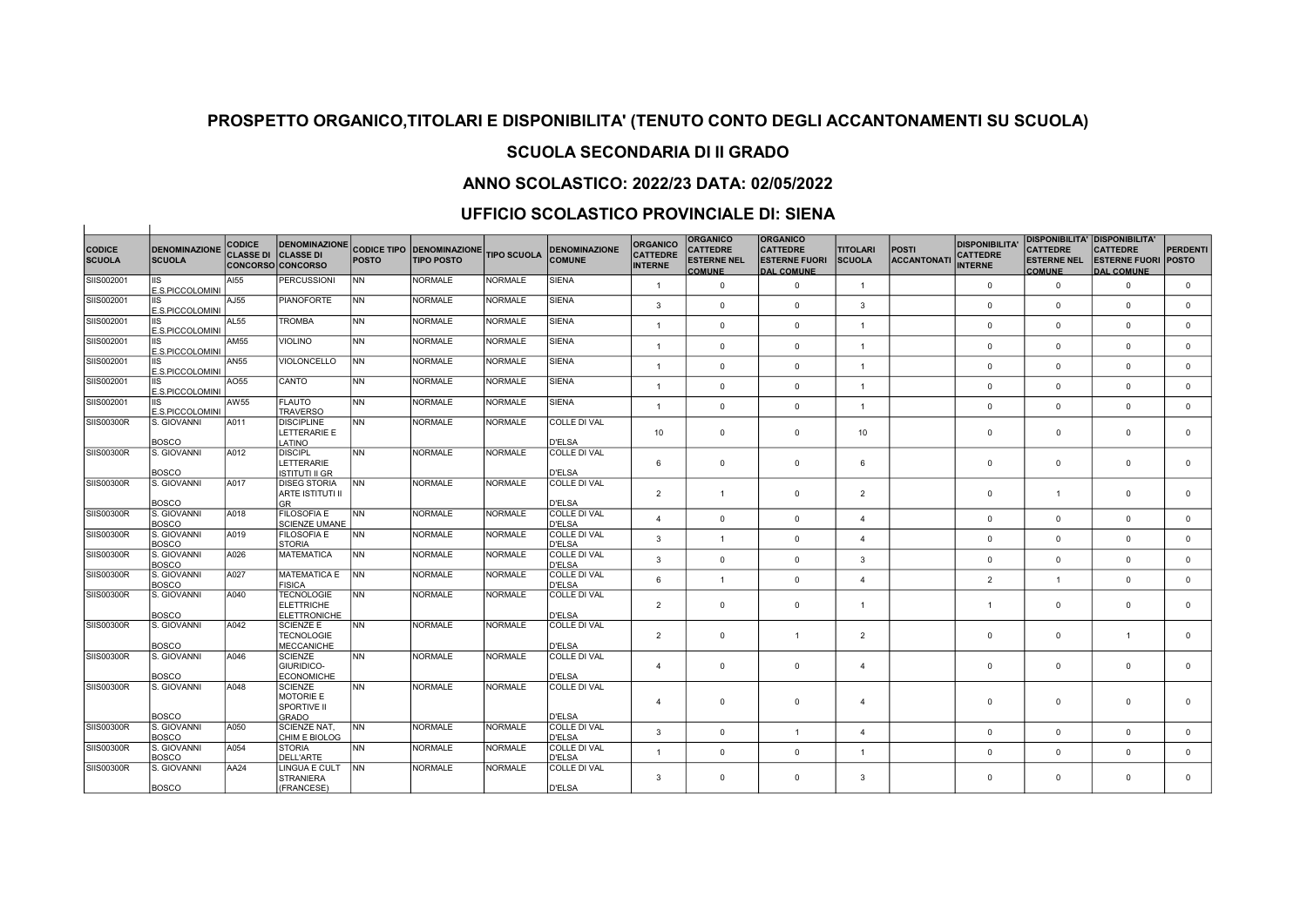## SCUOLA SECONDARIA DI II GRADO

## ANNO SCOLASTICO: 2022/23 DATA: 02/05/2022

## UFFICIO SCOLASTICO PROVINCIALE DI: SIENA

 $\pm$ 

|                                |                                       | <b>CODICE</b>    | <b>DENOMINAZIONE</b>                                          |              |                                                       |                    |                                       | <b>ORGANICO</b>                   | <b>ORGANICO</b>                                        | <b>ORGANICO</b>                                              |                                  |                             | <b>DISPONIBILITA</b>              |                                                        | <b>DISPONIBILITA' DISPONIBILITA'</b>                               |                 |
|--------------------------------|---------------------------------------|------------------|---------------------------------------------------------------|--------------|-------------------------------------------------------|--------------------|---------------------------------------|-----------------------------------|--------------------------------------------------------|--------------------------------------------------------------|----------------------------------|-----------------------------|-----------------------------------|--------------------------------------------------------|--------------------------------------------------------------------|-----------------|
| <b>CODICE</b><br><b>SCUOLA</b> | <b>DENOMINAZIONE</b><br><b>SCUOLA</b> | <b>CLASSE DI</b> | <b>CLASSE DI</b><br><b>CONCORSO CONCORSO</b>                  | <b>POSTO</b> | <b>CODICE TIPO DENOMINAZIONE</b><br><b>TIPO POSTO</b> | <b>TIPO SCUOLA</b> | <b>DENOMINAZIONE</b><br><b>COMUNE</b> | <b>CATTEDRE</b><br><b>INTERNE</b> | <b>CATTEDRE</b><br><b>ESTERNE NEL</b><br><b>COMUNE</b> | <b>CATTEDRE</b><br><b>ESTERNE FUORI</b><br><b>DAL COMUNE</b> | <b>TITOLARI</b><br><b>SCUOLA</b> | <b>POSTI</b><br>ACCANTONATI | <b>CATTEDRE</b><br><b>INTERNE</b> | <b>CATTEDRE</b><br><b>ESTERNE NEL</b><br><b>COMUNE</b> | <b>CATTEDRE</b><br><b>ESTERNE FUORI POSTO</b><br><b>DAL COMUNE</b> | <b>PERDENTI</b> |
| SIIS002001                     | IS<br>E.S.PICCOLOMINI                 | AI55             | <b>PERCUSSIONI</b>                                            | INN.         | <b>NORMALE</b>                                        | <b>NORMALE</b>     | <b>SIENA</b>                          | $\overline{1}$                    | $\mathbf 0$                                            | $\mathbf 0$                                                  | $\overline{1}$                   |                             | $\mathbf 0$                       | $\mathbf 0$                                            | $\mathbf 0$                                                        | $\mathbf 0$     |
| SIIS002001                     | IIS<br>E.S.PICCOLOMINI                | AJ55             | <b>PIANOFORTE</b>                                             | <b>NN</b>    | <b>NORMALE</b>                                        | NORMALE            | <b>SIENA</b>                          | $\mathbf{3}$                      | $\mathbf 0$                                            | $\mathbf{0}$                                                 | 3                                |                             | $\Omega$                          | $\mathbf 0$                                            | $\mathbf 0$                                                        | $\mathbf{0}$    |
| SIIS002001                     | IIS<br>E.S.PICCOLOMINI                | AL55             | <b>TROMBA</b>                                                 | INN.         | <b>NORMALE</b>                                        | NORMALE            | <b>SIENA</b>                          | $\mathbf{1}$                      | $\mathbf 0$                                            | $\mathbf{0}$                                                 | $\mathbf{1}$                     |                             | $\Omega$                          | $\mathbf 0$                                            | $\mathbf 0$                                                        | $\mathbf{0}$    |
| SIIS002001                     | IIS<br>E.S.PICCOLOMINI                | AM55             | <b>VIOLINO</b>                                                | <b>NN</b>    | <b>NORMALE</b>                                        | NORMALE            | <b>SIENA</b>                          | $\mathbf{1}$                      | $\mathbf 0$                                            | $\mathbf{0}$                                                 | $\overline{1}$                   |                             | $\Omega$                          | $\mathbf 0$                                            | $\mathbf 0$                                                        | $\overline{0}$  |
| SIIS002001                     | E.S.PICCOLOMINI                       | AN55             | VIOLONCELLO                                                   | Inn          | <b>NORMALE</b>                                        | NORMALE            | <b>SIENA</b>                          | $\mathbf{1}$                      | $\mathbf 0$                                            | $\mathbf{0}$                                                 | $\overline{1}$                   |                             | $\mathbf 0$                       | $\mathbf{0}$                                           | $\mathbf 0$                                                        | $\mathbf{0}$    |
| SIIS002001                     | IS<br>E.S.PICCOLOMINI                 | AO55             | CANTO                                                         | INN.         | <b>NORMALE</b>                                        | <b>NORMALE</b>     | <b>SIENA</b>                          | $\mathbf{1}$                      | $\mathbf{0}$                                           | $\mathbf{0}$                                                 | $\overline{1}$                   |                             | $\mathbf 0$                       | $\mathbf{0}$                                           | $\mathbf 0$                                                        | $\mathbf{0}$    |
| SIIS002001                     | E.S.PICCOLOMINI                       | AW55             | <b>FLAUTO</b><br><b>TRAVERSO</b>                              | INN.         | <b>NORMALE</b>                                        | NORMALE            | <b>SIENA</b>                          | $\mathbf{1}$                      | $\mathbf 0$                                            | $\mathbf{0}$                                                 | $\overline{1}$                   |                             | $\mathbf 0$                       | $\mathbf 0$                                            | $\mathbf 0$                                                        | $\mathbf{0}$    |
| SIIS00300R                     | S. GIOVANNI<br><b>BOSCO</b>           | A011             | <b>DISCIPLINE</b><br>LETTERARIE E<br>LATINO                   | INN.         | <b>NORMALE</b>                                        | <b>NORMALE</b>     | <b>COLLE DI VAL</b><br><b>D'ELSA</b>  | 10                                | $\mathbf 0$                                            | $\mathbf{0}$                                                 | 10                               |                             | 0                                 | $\mathbf 0$                                            | $\mathbf 0$                                                        | $\mathbf{0}$    |
| <b>SIIS00300R</b>              | S. GIOVANNI<br>30SCO                  | A012             | <b>DISCIPL</b><br>LETTERARIE<br>ISTITUTI II GR                | INN.         | <b>NORMALE</b>                                        | <b>NORMALE</b>     | COLLE DI VAL<br><b>D'ELSA</b>         | 6                                 | $\mathbf{0}$                                           | $\mathbf{0}$                                                 | 6                                |                             | $\mathbf 0$                       | $\mathbf{0}$                                           | $\mathbf 0$                                                        | $\mathbf{0}$    |
| SIIS00300R                     | S. GIOVANNI<br><b>BOSCO</b>           | A017             | <b>DISEG STORIA</b><br>ARTE ISTITUTI II<br>lgr                | <b>NN</b>    | <b>NORMALE</b>                                        | NORMALE            | COLLE DI VAL<br><b>D'ELSA</b>         | 2                                 | $\overline{1}$                                         | $\mathbf{0}$                                                 | $\overline{2}$                   |                             | $\mathbf 0$                       | $\mathbf{1}$                                           | $\mathbf 0$                                                        | $\mathbf{0}$    |
| SIIS00300R                     | S. GIOVANNI<br>30SCO                  | A018             | <b>FILOSOFIA E</b><br><b>SCIENZE UMANE</b>                    | INN.         | <b>NORMALE</b>                                        | NORMALE            | <b>COLLE DI VAL</b><br><b>D'ELSA</b>  | 4                                 | $\mathbf 0$                                            | $\mathbf{0}$                                                 | $\overline{4}$                   |                             | 0                                 | $\mathbf 0$                                            | $\mathbf 0$                                                        | $\mathbf{0}$    |
| SIIS00300R                     | S. GIOVANNI<br><b>BOSCO</b>           | A019             | <b>FILOSOFIA E</b><br><b>STORIA</b>                           | INN.         | <b>NORMALE</b>                                        | NORMALE            | COLLE DI VAL<br><b>D'ELSA</b>         | 3                                 | $\overline{1}$                                         | $\mathbf{0}$                                                 | $\mathbf{A}$                     |                             | $\mathbf 0$                       | $\mathbf 0$                                            | $\mathbf 0$                                                        | $\mathbf{0}$    |
| <b>SIIS00300R</b>              | S. GIOVANNI<br><b>BOSCO</b>           | A026             | MATEMATICA                                                    | INN          | <b>NORMALE</b>                                        | NORMALE            | COLLE DI VAL<br><b>D'ELSA</b>         | 3                                 | $\mathbf 0$                                            | $\Omega$                                                     | $\mathbf{3}$                     |                             | $\mathbf 0$                       | $\mathbf 0$                                            | $\Omega$                                                           | $\mathbf{0}$    |
| SIIS00300R                     | S. GIOVANNI<br>BOSCO                  | A027             | <b>IMATEMATICA E</b><br><b>FISICA</b>                         | <b>INN</b>   | <b>NORMALE</b>                                        | NORMALE            | COLLE DI VAL<br><b>D'ELSA</b>         | 6                                 | $\overline{1}$                                         | $\mathbf{0}$                                                 | $\overline{4}$                   |                             | $\overline{2}$                    | $\mathbf{1}$                                           | $\mathbf 0$                                                        | $\mathbf{0}$    |
| <b>SIIS00300R</b>              | S. GIOVANNI<br><b>BOSCO</b>           | A040             | <b>TECNOLOGIE</b><br><b>ELETTRICHE</b><br><b>ELETTRONICHE</b> | INN.         | <b>NORMALE</b>                                        | <b>NORMALE</b>     | COLLE DI VAL<br><b>D'ELSA</b>         | $\overline{2}$                    | $\mathbf 0$                                            | $\mathbf 0$                                                  | $\overline{1}$                   |                             | $\mathbf{1}$                      | $\mathbf 0$                                            | $^{\circ}$                                                         | $\mathbf{0}$    |
| SIIS00300R                     | S. GIOVANNI<br>BOSCO                  | A042             | <b>SCIENZE E</b><br><b>TECNOLOGIE</b><br><b>MECCANICHE</b>    | INN.         | <b>NORMALE</b>                                        | NORMALE            | COLLE DI VAL<br>D'ELSA                | $\overline{2}$                    | $\mathbf 0$                                            | $\overline{1}$                                               | $\overline{2}$                   |                             | $\mathbf 0$                       | $\mathbf{0}$                                           | $\mathbf{1}$                                                       | $\mathbf{0}$    |
| SIIS00300R                     | S. GIOVANNI<br><b>BOSCO</b>           | A046             | <b>SCIENZE</b><br>GIURIDICO-<br><b>ECONOMICHE</b>             | INN.         | <b>NORMALE</b>                                        | NORMALE            | <b>COLLE DI VAL</b><br><b>D'ELSA</b>  | 4                                 | $\mathbf 0$                                            | $\mathbf{0}$                                                 | $\overline{4}$                   |                             | $\mathbf 0$                       | $\mathbf{0}$                                           | $\mathbf 0$                                                        | $\mathbf{0}$    |
| SIIS00300R                     | S. GIOVANNI                           | A048             | <b>SCIENZE</b><br><b>MOTORIE E</b><br><b>SPORTIVE II</b>      | INN.         | <b>NORMALE</b>                                        | NORMALE            | <b>COLLE DI VAL</b>                   | $\overline{4}$                    | $\mathbf 0$                                            | $\Omega$                                                     | 4                                |                             | 0                                 | $\mathbf 0$                                            | $\Omega$                                                           | $\mathbf 0$     |
| SIIS00300R                     | <b>BOSCO</b><br>S. GIOVANNI           | A050             | GRADO<br><b>SCIENZE NAT.</b>                                  | INN.         | <b>NORMALE</b>                                        | NORMALE            | <b>D'ELSA</b><br>COLLE DI VAL         |                                   |                                                        |                                                              |                                  |                             |                                   |                                                        |                                                                    |                 |
| SIIS00300R                     | <b>BOSCO</b><br>S. GIOVANNI           | A054             | CHIM E BIOLOG<br><b>STORIA</b>                                | INN.         | <b>NORMALE</b>                                        | <b>NORMALE</b>     | <b>D'ELSA</b><br>COLLE DI VAL         | 3                                 | $\mathbf 0$                                            | $\overline{1}$                                               | $\overline{4}$                   |                             | 0                                 | $\mathbf 0$                                            | $\mathbf 0$                                                        | $\mathbf{0}$    |
|                                | BOSCO                                 |                  | <b>DELL'ARTE</b>                                              |              |                                                       |                    | <b>D'ELSA</b>                         | $\mathbf{1}$                      | $\mathbf 0$                                            | $\mathbf{0}$                                                 | $\mathbf{1}$                     |                             | $\mathbf 0$                       | $\mathbf 0$                                            | $\Omega$                                                           | $\mathbf{0}$    |
| SIIS00300R                     | S. GIOVANNI<br><b>BOSCO</b>           | AA24             | LINGUA E CULT<br><b>STRANIERA</b><br>(FRANCESE)               | <b>INN</b>   | <b>NORMALE</b>                                        | NORMALE            | <b>COLLE DI VAL</b><br>D'ELSA         | 3                                 | $\mathbf 0$                                            | $\Omega$                                                     | 3                                |                             | $\Omega$                          | $\mathbf 0$                                            | $\mathbf 0$                                                        | $\mathbf 0$     |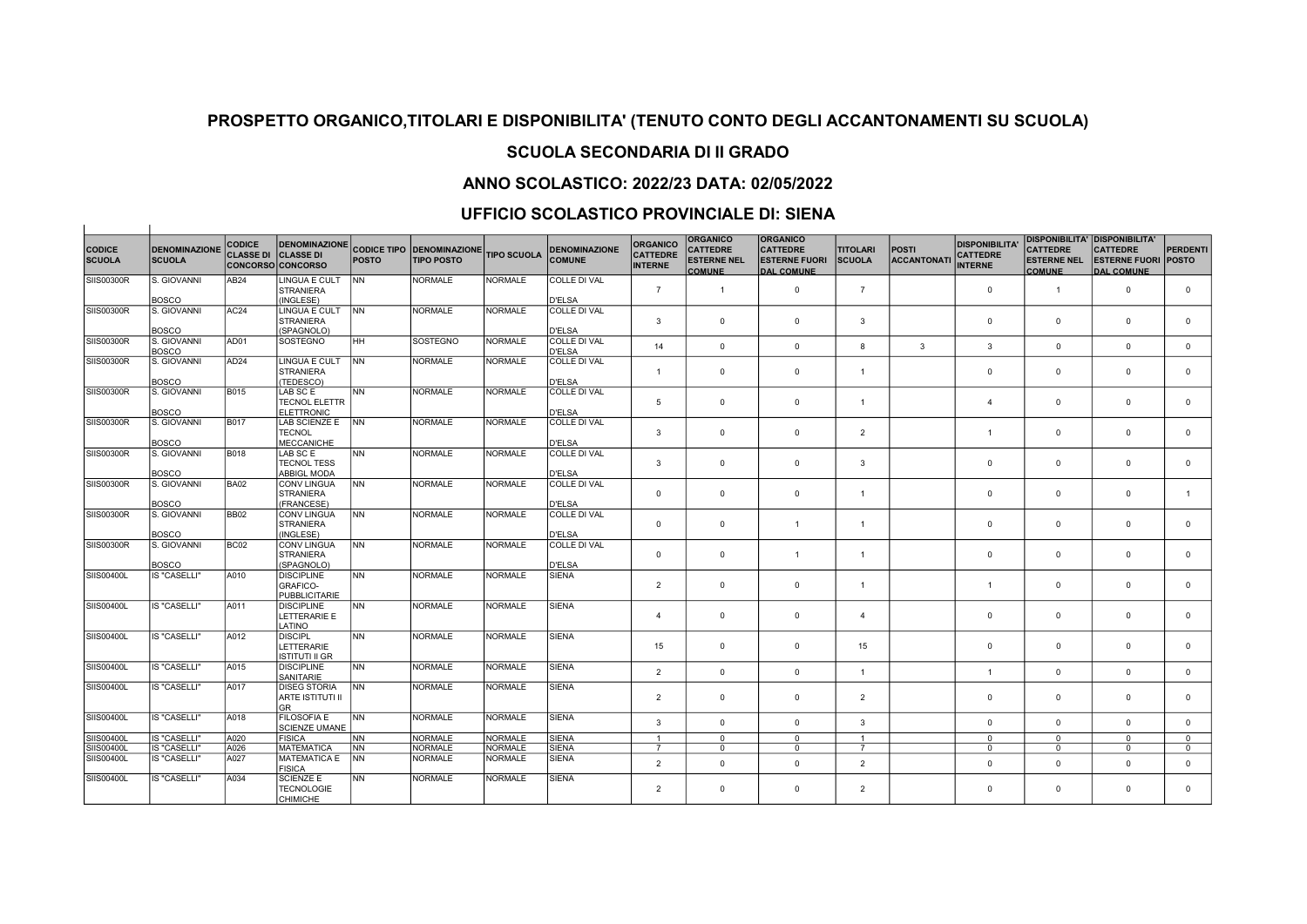## SCUOLA SECONDARIA DI II GRADO

## ANNO SCOLASTICO: 2022/23 DATA: 02/05/2022

### UFFICIO SCOLASTICO PROVINCIALE DI: SIENA

| <b>CODICE</b><br><b>SCUOLA</b> | <b>DENOMINAZIONE</b><br><b>SCUOLA</b> | <b>CODICE</b><br><b>CLASSE DI</b> | <b>DENOMINAZIONE</b><br><b>CLASSE DI</b><br><b>CONCORSO CONCORSO</b> | <b>POSTO</b> | <b>CODICE TIPO DENOMINAZIONE</b><br><b>TIPO POSTO</b> | <b>TIPO SCUOLA</b> | <b>DENOMINAZIONE</b><br><b>COMUNE</b> | <b>ORGANICO</b><br><b>CATTEDRE</b><br><b>INTERNE</b> | <b>ORGANICO</b><br><b>CATTEDRE</b><br><b>ESTERNE NEL</b><br><b>COMUNE</b> | <b>ORGANICO</b><br><b>CATTEDRE</b><br><b>ESTERNE FUORI</b><br><b>DAL COMUNE</b> | <b>TITOLARI</b><br><b>SCUOLA</b> | <b>POSTI</b><br><b>ACCANTONATI</b> | <b>DISPONIBILITA</b><br><b>CATTEDRE</b><br><b>INTERNE</b> | <b>CATTEDRE</b><br><b>ESTERNE NEL</b><br><b>COMUNE</b> | <b>DISPONIBILITA' DISPONIBILITA'</b><br><b>CATTEDRE</b><br><b>ESTERNE FUORI</b><br><b>DAL COMUNE</b> | <b>PERDENTI</b><br><b>POSTO</b> |
|--------------------------------|---------------------------------------|-----------------------------------|----------------------------------------------------------------------|--------------|-------------------------------------------------------|--------------------|---------------------------------------|------------------------------------------------------|---------------------------------------------------------------------------|---------------------------------------------------------------------------------|----------------------------------|------------------------------------|-----------------------------------------------------------|--------------------------------------------------------|------------------------------------------------------------------------------------------------------|---------------------------------|
| SIIS00300R                     | S. GIOVANNI                           | AB24                              | LINGUA E CULT                                                        | <b>INN</b>   | <b>NORMALE</b>                                        | <b>NORMALE</b>     | COLLE DI VAL                          |                                                      |                                                                           |                                                                                 |                                  |                                    |                                                           |                                                        |                                                                                                      |                                 |
|                                |                                       |                                   | <b>STRANIERA</b>                                                     |              |                                                       |                    |                                       | $\overline{7}$                                       | $\mathbf{1}$                                                              | $\mathbf 0$                                                                     | $\overline{7}$                   |                                    | $\mathbf 0$                                               | $\mathbf{1}$                                           | $\mathbf 0$                                                                                          | $\mathbf 0$                     |
| SIIS00300R                     | <b>BOSCO</b><br>S. GIOVANNI           | AC <sub>24</sub>                  | (INGLESE)<br>LINGUA E CULT                                           | <b>INN</b>   | <b>NORMALE</b>                                        | <b>NORMALE</b>     | <b>D'ELSA</b><br>COLLE DI VAL         |                                                      |                                                                           |                                                                                 |                                  |                                    |                                                           |                                                        |                                                                                                      |                                 |
|                                |                                       |                                   | <b>STRANIERA</b>                                                     |              |                                                       |                    |                                       | 3                                                    | $\mathbf{0}$                                                              | $\mathbf 0$                                                                     | $\overline{3}$                   |                                    | $\mathbf 0$                                               | $\overline{0}$                                         | $\mathbf 0$                                                                                          | $\mathbf 0$                     |
|                                | <b>BOSCO</b>                          |                                   | (SPAGNOLO)                                                           |              |                                                       |                    | <b>D'ELSA</b>                         |                                                      |                                                                           |                                                                                 |                                  |                                    |                                                           |                                                        |                                                                                                      |                                 |
| SIIS00300R                     | S. GIOVANNI                           | AD01                              | SOSTEGNO                                                             | <b>IHH</b>   | SOSTEGNO                                              | <b>NORMALE</b>     | <b>COLLE DI VAL</b>                   |                                                      |                                                                           |                                                                                 |                                  |                                    |                                                           |                                                        |                                                                                                      |                                 |
|                                | <b>BOSCO</b>                          |                                   |                                                                      |              |                                                       |                    | <b>D'ELSA</b>                         | 14                                                   | $\overline{0}$                                                            | $\Omega$                                                                        | 8                                | $\mathbf{3}$                       | 3                                                         | $\Omega$                                               | $\mathbf{0}$                                                                                         | $\mathbf{0}$                    |
| SIIS00300R                     | S. GIOVANNI                           | AD <sub>24</sub>                  | LINGUA E CULT                                                        | <b>INN</b>   | <b>NORMALE</b>                                        | <b>NORMALE</b>     | <b>COLLE DI VAL</b>                   |                                                      |                                                                           |                                                                                 |                                  |                                    |                                                           |                                                        |                                                                                                      |                                 |
|                                |                                       |                                   | <b>STRANIERA</b>                                                     |              |                                                       |                    |                                       | $\overline{1}$                                       | $\mathbf 0$                                                               | $\mathbf 0$                                                                     | $\overline{1}$                   |                                    | $\mathbf 0$                                               | $\overline{0}$                                         | $\mathbf 0$                                                                                          | $\mathbf 0$                     |
|                                | <b>BOSCO</b>                          |                                   | (TEDESCO)                                                            |              |                                                       |                    | <b>D'ELSA</b>                         |                                                      |                                                                           |                                                                                 |                                  |                                    |                                                           |                                                        |                                                                                                      |                                 |
| <b>SIIS00300R</b>              | S. GIOVANNI                           | <b>B015</b>                       | LAB SC E                                                             | İNN          | <b>NORMALE</b>                                        | <b>NORMALE</b>     | <b>COLLE DI VAL</b>                   |                                                      |                                                                           |                                                                                 |                                  |                                    |                                                           |                                                        |                                                                                                      |                                 |
|                                |                                       |                                   | <b>TECNOL ELETTR</b>                                                 |              |                                                       |                    |                                       | 5                                                    | $\mathbf 0$                                                               | $\mathbf 0$                                                                     | $\overline{1}$                   |                                    | $\overline{4}$                                            | $\mathbf 0$                                            | $\mathbf 0$                                                                                          | $\mathbf 0$                     |
|                                | <b>BOSCO</b>                          |                                   | <b>ELETTRONIC</b>                                                    |              |                                                       |                    | <b>D'ELSA</b>                         |                                                      |                                                                           |                                                                                 |                                  |                                    |                                                           |                                                        |                                                                                                      |                                 |
| <b>SIIS00300R</b>              | S. GIOVANNI                           | <b>B017</b>                       | LAB SCIENZE E                                                        | <b>INN</b>   | <b>NORMALE</b>                                        | <b>NORMALE</b>     | <b>COLLE DI VAL</b>                   | 3                                                    | $\mathbf 0$                                                               | $\mathbf 0$                                                                     | $\overline{2}$                   |                                    | $\overline{1}$                                            | $\Omega$                                               | $\mathbf 0$                                                                                          | $\mathbf 0$                     |
|                                | <b>BOSCO</b>                          |                                   | <b>TECNOL</b><br><b>MECCANICHE</b>                                   |              |                                                       |                    | <b>D'ELSA</b>                         |                                                      |                                                                           |                                                                                 |                                  |                                    |                                                           |                                                        |                                                                                                      |                                 |
| SIIS00300R                     | S. GIOVANNI                           | B018                              | LAB SC E                                                             | lnn          | <b>NORMALE</b>                                        | NORMALE            | COLLE DI VAL                          |                                                      |                                                                           |                                                                                 |                                  |                                    |                                                           |                                                        |                                                                                                      |                                 |
|                                |                                       |                                   | <b>TECNOL TESS</b>                                                   |              |                                                       |                    |                                       | 3                                                    | $\overline{0}$                                                            | $\mathbf 0$                                                                     | 3                                |                                    | $\mathbf 0$                                               | $\mathbf 0$                                            | $\mathbf{0}$                                                                                         | $\mathbf 0$                     |
|                                | <b>BOSCO</b>                          |                                   | <b>ABBIGL MODA</b>                                                   |              |                                                       |                    | <b>D'ELSA</b>                         |                                                      |                                                                           |                                                                                 |                                  |                                    |                                                           |                                                        |                                                                                                      |                                 |
| SIIS00300R                     | S. GIOVANNI                           | <b>BA02</b>                       | <b>CONV LINGUA</b>                                                   | <b>INN</b>   | <b>NORMALE</b>                                        | <b>NORMALE</b>     | COLLE DI VAL                          |                                                      |                                                                           |                                                                                 |                                  |                                    |                                                           |                                                        |                                                                                                      |                                 |
|                                |                                       |                                   | <b>STRANIERA</b>                                                     |              |                                                       |                    |                                       | $\mathbf 0$                                          | $\mathbf 0$                                                               | $\mathbf 0$                                                                     | $\overline{1}$                   |                                    | $\mathbf 0$                                               | $\mathbf 0$                                            | $\mathbf{0}$                                                                                         | $\overline{1}$                  |
|                                | <b>BOSCO</b>                          |                                   | (FRANCESE)                                                           |              |                                                       |                    | <b>D'ELSA</b>                         |                                                      |                                                                           |                                                                                 |                                  |                                    |                                                           |                                                        |                                                                                                      |                                 |
| <b>SIIS00300R</b>              | S. GIOVANNI                           | <b>BB02</b>                       | CONV LINGUA                                                          | <b>INN</b>   | <b>NORMALE</b>                                        | NORMALE            | <b>COLLE DI VAL</b>                   |                                                      |                                                                           |                                                                                 |                                  |                                    |                                                           |                                                        |                                                                                                      |                                 |
|                                |                                       |                                   | <b>STRANIERA</b>                                                     |              |                                                       |                    |                                       | $\mathbf 0$                                          | $\mathbf 0$                                                               | $\overline{1}$                                                                  | $\overline{1}$                   |                                    | $\Omega$                                                  | $\mathbf 0$                                            | $\Omega$                                                                                             | $\mathbf 0$                     |
|                                | <b>BOSCO</b>                          |                                   | (INGLESE)                                                            |              |                                                       |                    | <b>D'ELSA</b>                         |                                                      |                                                                           |                                                                                 |                                  |                                    |                                                           |                                                        |                                                                                                      |                                 |
| SIIS00300R                     | S. GIOVANNI                           | <b>BC02</b>                       | CONV LINGUA                                                          | <b>NN</b>    | <b>NORMALE</b>                                        | <b>NORMALE</b>     | <b>COLLE DI VAL</b>                   |                                                      | $\mathbf 0$                                                               |                                                                                 |                                  |                                    |                                                           | $\mathbf 0$                                            | $\mathbf 0$                                                                                          |                                 |
|                                | <b>BOSCO</b>                          |                                   | <b>STRANIERA</b><br>(SPAGNOLO)                                       |              |                                                       |                    | <b>D'ELSA</b>                         | $\mathbf 0$                                          |                                                                           | $\overline{1}$                                                                  | $\overline{1}$                   |                                    | $\mathbf 0$                                               |                                                        |                                                                                                      | $\mathsf 0$                     |
| SIIS00400L                     | <b>IS "CASELLI"</b>                   | A010                              | <b>DISCIPLINE</b>                                                    | <b>NN</b>    | <b>NORMALE</b>                                        | <b>NORMALE</b>     | <b>SIENA</b>                          |                                                      |                                                                           |                                                                                 |                                  |                                    |                                                           |                                                        |                                                                                                      |                                 |
|                                |                                       |                                   | GRAFICO-                                                             |              |                                                       |                    |                                       | $\overline{2}$                                       | $\mathbf 0$                                                               | $\mathbf 0$                                                                     | $\overline{1}$                   |                                    | $\overline{1}$                                            | $\Omega$                                               | $\mathbf{0}$                                                                                         | $\mathbf 0$                     |
|                                |                                       |                                   | <b>PUBBLICITARIE</b>                                                 |              |                                                       |                    |                                       |                                                      |                                                                           |                                                                                 |                                  |                                    |                                                           |                                                        |                                                                                                      |                                 |
| SIIS00400L                     | <b>IS "CASELLI"</b>                   | A011                              | <b>DISCIPLINE</b>                                                    | <b>NN</b>    | <b>NORMALE</b>                                        | <b>NORMALE</b>     | <b>SIENA</b>                          |                                                      |                                                                           |                                                                                 |                                  |                                    |                                                           |                                                        |                                                                                                      |                                 |
|                                |                                       |                                   | LETTERARIE E                                                         |              |                                                       |                    |                                       | $\overline{4}$                                       | $\mathbf 0$                                                               | $^{\circ}$                                                                      | $\overline{4}$                   |                                    | $\Omega$                                                  | $^{\circ}$                                             | $^{\circ}$                                                                                           | $^{\circ}$                      |
|                                |                                       |                                   | LATINO                                                               |              |                                                       |                    |                                       |                                                      |                                                                           |                                                                                 |                                  |                                    |                                                           |                                                        |                                                                                                      |                                 |
| SIIS00400L                     | <b>IS "CASELLI"</b>                   | A012                              | <b>DISCIPL</b>                                                       | İNN          | <b>NORMALE</b>                                        | <b>NORMALE</b>     | <b>SIENA</b>                          |                                                      |                                                                           |                                                                                 |                                  |                                    |                                                           |                                                        |                                                                                                      |                                 |
|                                |                                       |                                   | LETTERARIE                                                           |              |                                                       |                    |                                       | 15                                                   | $\mathbf 0$                                                               | $\mathbf 0$                                                                     | 15                               |                                    | $\Omega$                                                  | $\mathbf 0$                                            | $\mathbf 0$                                                                                          | $\mathbf 0$                     |
|                                |                                       |                                   | <b>ISTITUTI II GR</b>                                                |              |                                                       |                    |                                       |                                                      |                                                                           |                                                                                 |                                  |                                    |                                                           |                                                        |                                                                                                      |                                 |
| SIIS00400L                     | <b>IS "CASELLI"</b>                   | A015                              | <b>DISCIPLINE</b>                                                    | <b>INN</b>   | <b>NORMALE</b>                                        | <b>NORMALE</b>     | <b>SIENA</b>                          | $\overline{2}$                                       | $\mathbf 0$                                                               | $\mathbf 0$                                                                     | $\overline{1}$                   |                                    | $\mathbf{1}$                                              | $\Omega$                                               | $\mathbf 0$                                                                                          | $\mathbf 0$                     |
| SIIS00400L                     | <b>IS "CASELLI"</b>                   | A017                              | SANITARIE<br><b>DISEG STORIA</b>                                     | <b>INN</b>   | <b>NORMALE</b>                                        | <b>NORMALE</b>     | <b>SIENA</b>                          |                                                      |                                                                           |                                                                                 |                                  |                                    |                                                           |                                                        |                                                                                                      |                                 |
|                                |                                       |                                   | ARTE ISTITUTI II                                                     |              |                                                       |                    |                                       | $\overline{2}$                                       | $\overline{0}$                                                            | $\mathbf 0$                                                                     | $\overline{2}$                   |                                    | $\mathbf 0$                                               | $\mathbf 0$                                            | $\Omega$                                                                                             | $\mathbf 0$                     |
|                                |                                       |                                   | <b>GR</b>                                                            |              |                                                       |                    |                                       |                                                      |                                                                           |                                                                                 |                                  |                                    |                                                           |                                                        |                                                                                                      |                                 |
| SIIS00400L                     | <b>IS "CASELLI"</b>                   | A018                              | <b>FILOSOFIA E</b>                                                   | <b>INN</b>   | <b>NORMALE</b>                                        | <b>NORMALE</b>     | <b>SIENA</b>                          |                                                      |                                                                           |                                                                                 |                                  |                                    |                                                           |                                                        |                                                                                                      |                                 |
|                                |                                       |                                   | <b>SCIENZE UMANE</b>                                                 |              |                                                       |                    |                                       | 3                                                    | $\mathbf 0$                                                               | $\mathbf 0$                                                                     | 3                                |                                    | $\Omega$                                                  | $\mathbf 0$                                            | $\mathbf{0}$                                                                                         | $\mathbf{0}$                    |
| SIIS00400L                     | <b>IS "CASELLI"</b>                   | A020                              | <b>FISICA</b>                                                        | lnn          | NORMALE                                               | <b>NORMALE</b>     | <b>SIENA</b>                          | $\mathbf{1}$                                         | $\overline{0}$                                                            | $\mathbf 0$                                                                     | $\overline{1}$                   |                                    | $\mathbf 0$                                               | $\Omega$                                               | $\mathbf{0}$                                                                                         | $\mathbf 0$                     |
| SIIS00400L                     | <b>IS "CASELLI"</b>                   | A026                              | <b>MATEMATICA</b>                                                    | <b>NN</b>    | <b>NORMALE</b>                                        | <b>NORMALE</b>     | <b>SIENA</b>                          | $\overline{7}$                                       | $\mathbf{0}$                                                              | $\mathbf 0$                                                                     | $\overline{7}$                   |                                    | $\mathbf{0}$                                              | $\Omega$                                               | $\mathbf{0}$                                                                                         | $\mathbf 0$                     |
| SIIS00400L                     | <b>IS "CASELLI"</b>                   | A027                              | <b>MATEMATICA E</b>                                                  | <b>INN</b>   | <b>NORMALE</b>                                        | <b>NORMALE</b>     | <b>SIENA</b>                          | $\overline{2}$                                       | $\mathbf{0}$                                                              | $\mathbf 0$                                                                     | $\overline{2}$                   |                                    | $\Omega$                                                  | $\Omega$                                               | $\mathbf 0$                                                                                          | $\mathsf 0$                     |
|                                |                                       |                                   | <b>FISICA</b>                                                        |              |                                                       |                    |                                       |                                                      |                                                                           |                                                                                 |                                  |                                    |                                                           |                                                        |                                                                                                      |                                 |
| SIIS00400L                     | <b>IS "CASELLI"</b>                   | A034                              | <b>SCIENZE E</b>                                                     | lnn          | <b>NORMALE</b>                                        | <b>NORMALE</b>     | <b>SIENA</b>                          |                                                      |                                                                           |                                                                                 |                                  |                                    |                                                           |                                                        |                                                                                                      |                                 |
|                                |                                       |                                   | <b>TECNOLOGIE</b>                                                    |              |                                                       |                    |                                       | 2                                                    | $^{\circ}$                                                                | $^{\circ}$                                                                      | $\overline{2}$                   |                                    | $\Omega$                                                  | $\Omega$                                               | $\mathbf 0$                                                                                          | $\mathbf{0}$                    |
|                                |                                       |                                   | <b>CHIMICHE</b>                                                      |              |                                                       |                    |                                       |                                                      |                                                                           |                                                                                 |                                  |                                    |                                                           |                                                        |                                                                                                      |                                 |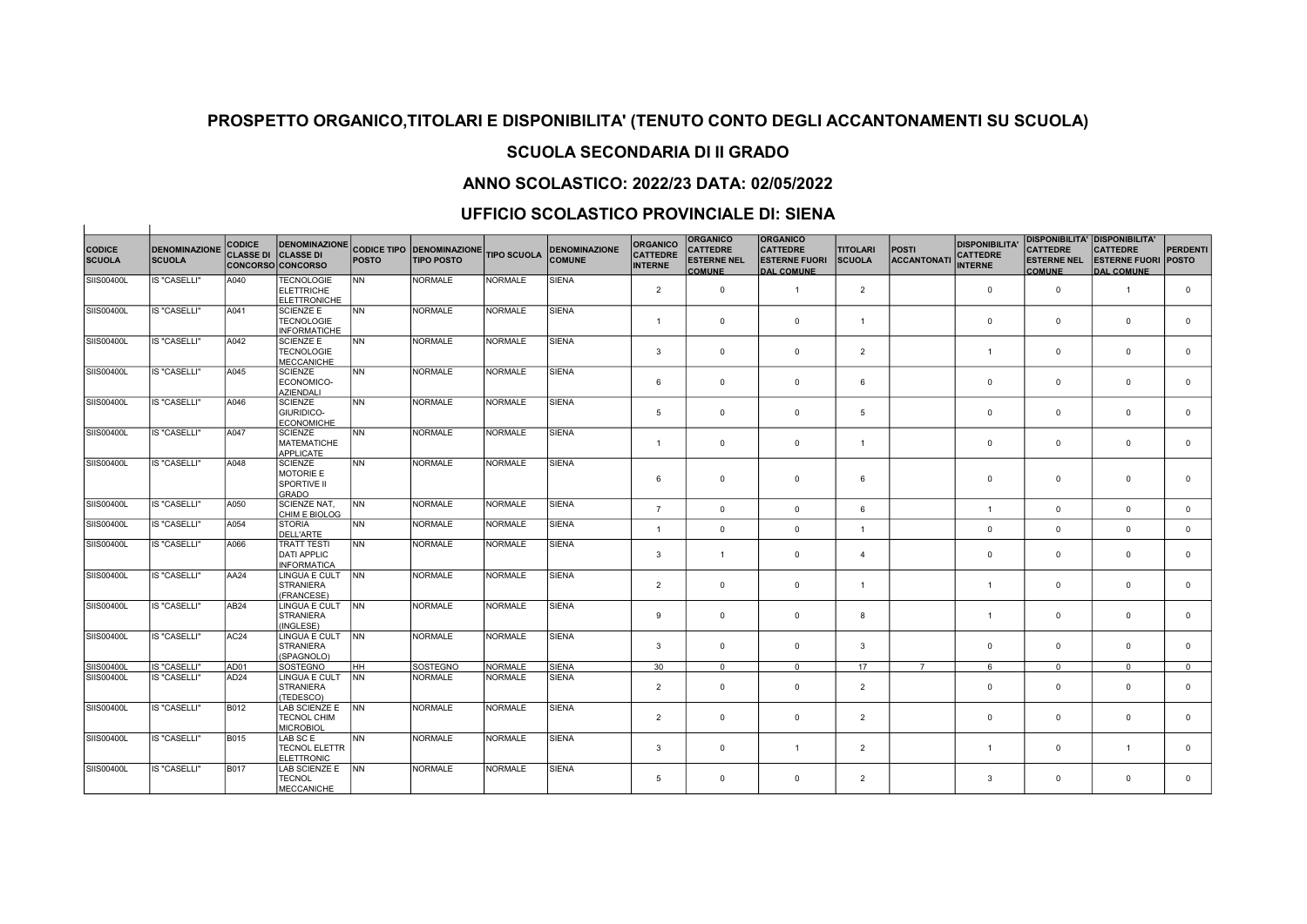## SCUOLA SECONDARIA DI II GRADO

## ANNO SCOLASTICO: 2022/23 DATA: 02/05/2022

### UFFICIO SCOLASTICO PROVINCIALE DI: SIENA

| <b>CODICE</b><br><b>SCUOLA</b> | <b>DENOMINAZIONE</b><br><b>SCUOLA</b> | <b>CODICE</b><br><b>CLASSE DI</b> | <b>DENOMINAZIONE</b><br><b>CLASSE DI</b><br><b>CONCORSO CONCORSO</b> | <b>POSTO</b>   | <b>CODICE TIPO DENOMINAZIONE</b><br><b>TIPO POSTO</b> | <b>TIPO SCUOLA</b> | <b>DENOMINAZIONE</b><br><b>COMUNE</b> | <b>ORGANICO</b><br><b>CATTEDRE</b><br><b>INTERNE</b> | <b>ORGANICO</b><br><b>CATTEDRE</b><br><b>ESTERNE NEL</b><br><b>COMUNE</b> | <b>ORGANICO</b><br><b>CATTEDRE</b><br><b>ESTERNE FUORI</b><br><b>DAL COMUNE</b> | <b>TITOLARI</b><br><b>SCUOLA</b> | <b>POSTI</b><br><b>ACCANTONAT</b> | <b>DISPONIBILITA</b><br><b>CATTEDRE</b><br><b>INTERNE</b> | <b>CATTEDRE</b><br><b>ESTERNE NEL</b><br><b>COMUNE</b> | <b>DISPONIBILITA' DISPONIBILITA'</b><br><b>CATTEDRE</b><br><b>ESTERNE FUORI</b><br><b>DAL COMUNE</b> | PERDENTI<br><b>POSTO</b> |
|--------------------------------|---------------------------------------|-----------------------------------|----------------------------------------------------------------------|----------------|-------------------------------------------------------|--------------------|---------------------------------------|------------------------------------------------------|---------------------------------------------------------------------------|---------------------------------------------------------------------------------|----------------------------------|-----------------------------------|-----------------------------------------------------------|--------------------------------------------------------|------------------------------------------------------------------------------------------------------|--------------------------|
| SIIS00400L                     | <b>IS "CASELLI"</b>                   | A040                              | <b>TECNOLOGIE</b><br><b>ELETTRICHE</b><br><b>ELETTRONICHE</b>        | N <sub>N</sub> | <b>NORMALE</b>                                        | <b>NORMALE</b>     | <b>SIENA</b>                          | $\overline{2}$                                       | $\overline{0}$                                                            | $\overline{1}$                                                                  | $\overline{2}$                   |                                   | $\mathbf{0}$                                              | $\mathbf 0$                                            | $\overline{1}$                                                                                       | $\mathbf{0}$             |
| SIIS00400L                     | <b>IS "CASELLI"</b>                   | A041                              | <b>SCIENZE E</b><br><b>TECNOLOGIE</b><br><b>INFORMATICHE</b>         | <b>INN</b>     | NORMALE                                               | NORMALE            | <b>SIENA</b>                          | $\overline{1}$                                       | $\mathbf 0$                                                               | $\mathbf 0$                                                                     | $\overline{1}$                   |                                   | $\mathbf 0$                                               | $\mathbf 0$                                            | $\mathbf 0$                                                                                          | $\mathbf 0$              |
| SIIS00400L                     | <b>IS "CASELLI"</b>                   | A042                              | <b>SCIENZE E</b><br>TECNOLOGIE<br>MECCANICHE                         | <b>INN</b>     | NORMALE                                               | <b>NORMALE</b>     | <b>SIENA</b>                          | $\overline{3}$                                       | $\mathbf 0$                                                               | $\mathbf 0$                                                                     | $\overline{2}$                   |                                   | -1                                                        | $\mathbf 0$                                            | $\overline{0}$                                                                                       | $\mathbf 0$              |
| SIIS00400L                     | <b>IS "CASELLI"</b>                   | A045                              | SCIENZE<br>ECONOMICO-<br><b>AZIENDALI</b>                            | <b>NN</b>      | <b>NORMALE</b>                                        | <b>NORMALE</b>     | <b>SIENA</b>                          | 6                                                    | $\mathbf{0}$                                                              | $\Omega$                                                                        | 6                                |                                   | $^{\circ}$                                                | $\mathbf 0$                                            | $\overline{0}$                                                                                       | $\mathbf{0}$             |
| SIIS00400L                     | <b>IS "CASELLI"</b>                   | A046                              | <b>SCIENZE</b><br><b>GIURIDICO-</b><br>ECONOMICHE                    | <b>NN</b>      | <b>NORMALE</b>                                        | <b>NORMALE</b>     | <b>SIENA</b>                          | 5                                                    | $\overline{0}$                                                            | $\mathbf 0$                                                                     | $\overline{5}$                   |                                   | $\mathbf{0}$                                              | $\mathbf{0}$                                           | $\mathbf 0$                                                                                          | $\mathbf 0$              |
| <b>SIIS00400L</b>              | <b>IS "CASELLI"</b>                   | A047                              | <b>SCIENZE</b><br>MATEMATICHE<br><b>APPLICATE</b>                    | <b>INN</b>     | NORMALE                                               | <b>NORMALE</b>     | <b>SIENA</b>                          | $\overline{1}$                                       | $\overline{0}$                                                            | $\mathbf 0$                                                                     | $\overline{1}$                   |                                   | $\mathbf{0}$                                              | $\mathbf{0}$                                           | $\overline{0}$                                                                                       | $\mathbf 0$              |
| SIIS00400L                     | <b>IS "CASELLI"</b>                   | A048                              | <b>SCIENZE</b><br><b>MOTORIE E</b><br><b>SPORTIVE II</b><br>GRADO    | <b>INN</b>     | <b>NORMALE</b>                                        | <b>NORMALE</b>     | <b>SIENA</b>                          | 6                                                    | $\mathbf 0$                                                               | $\Omega$                                                                        | 6                                |                                   | $^{\circ}$                                                | $\mathbf 0$                                            | $\overline{0}$                                                                                       | $\Omega$                 |
| SIIS00400L                     | <b>IS "CASELLI"</b>                   | A050                              | <b>SCIENZE NAT,</b><br>CHIM E BIOLOG                                 | <b>INN</b>     | <b>NORMALE</b>                                        | <b>NORMALE</b>     | <b>SIENA</b>                          | $\overline{7}$                                       | $\mathbf 0$                                                               | $\mathbf 0$                                                                     | 6                                |                                   | $\overline{1}$                                            | $\mathbf 0$                                            | $\overline{0}$                                                                                       | $\mathbf 0$              |
| SIIS00400L                     | <b>IS "CASELLI"</b>                   | A054                              | <b>STORIA</b><br><b>DELL'ARTE</b>                                    | <b>INN</b>     | <b>NORMALE</b>                                        | <b>NORMALE</b>     | <b>SIENA</b>                          | $\overline{1}$                                       | $\mathbf 0$                                                               | $\mathbf 0$                                                                     | $\overline{1}$                   |                                   | $\mathbf 0$                                               | $\mathbf 0$                                            | $\mathbf 0$                                                                                          | $^{\circ}$               |
| SIIS00400L                     | <b>IS "CASELLI"</b>                   | A066                              | <b>TRATT TESTI</b><br><b>DATI APPLIC</b><br><b>INFORMATICA</b>       | N <sub>N</sub> | <b>NORMALE</b>                                        | <b>NORMALE</b>     | <b>SIENA</b>                          | 3                                                    | $\overline{1}$                                                            | $\Omega$                                                                        | $\overline{4}$                   |                                   | $\mathbf 0$                                               | $\mathbf 0$                                            | $\overline{0}$                                                                                       | $\mathbf 0$              |
| SIIS00400L                     | <b>IS "CASELLI"</b>                   | AA24                              | LINGUA E CULT<br>STRANIERA<br>(FRANCESE)                             | <b>INN</b>     | <b>NORMALE</b>                                        | <b>NORMALE</b>     | <b>SIENA</b>                          | $\overline{2}$                                       | $\overline{0}$                                                            | $\mathbf 0$                                                                     | $\overline{1}$                   |                                   | $\overline{1}$                                            | $\mathbf 0$                                            | $\overline{0}$                                                                                       | $\mathbf 0$              |
| SIIS00400L                     | <b>IS "CASELLI"</b>                   | AB24                              | LINGUA E CULT<br><b>STRANIERA</b><br>(INGLESE)                       | <b>INN</b>     | <b>NORMALE</b>                                        | <b>NORMALE</b>     | <b>SIENA</b>                          | 9                                                    | $\overline{0}$                                                            | $\Omega$                                                                        | 8                                |                                   | $\overline{1}$                                            | $\mathbf 0$                                            | $\overline{0}$                                                                                       | $\Omega$                 |
| SIIS00400L                     | <b>IS "CASELLI"</b>                   | AC24                              | LINGUA E CULT   NN<br><b>STRANIERA</b><br>(SPAGNOLO)                 |                | <b>NORMALE</b>                                        | <b>NORMALE</b>     | <b>SIENA</b>                          | 3                                                    | $\overline{0}$                                                            | $\Omega$                                                                        | 3                                |                                   | $^{\circ}$                                                | $\mathbf{0}$                                           | $\overline{0}$                                                                                       | $\mathbf 0$              |
| SIIS00400L                     | <b>IS "CASELLI"</b>                   | AD01                              | SOSTEGNO                                                             | Інн            | SOSTEGNO                                              | NORMALE            | <b>SIENA</b>                          | 30                                                   | $\Omega$                                                                  | $\Omega$                                                                        | 17                               | $\overline{7}$                    | 6                                                         | $\Omega$                                               | $\Omega$                                                                                             | $\Omega$                 |
| SIIS00400L                     | <b>IS "CASELLI"</b>                   | AD24                              | LINGUA E CULT<br>STRANIERA<br>(TEDESCO)                              | <b>INN</b>     | <b>NORMALE</b>                                        | <b>NORMALE</b>     | <b>SIENA</b>                          | $\overline{2}$                                       | $\overline{0}$                                                            | $\Omega$                                                                        | $\overline{2}$                   |                                   | $\mathbf 0$                                               | $\mathbf 0$                                            | $\overline{0}$                                                                                       | $\mathbf 0$              |
| SIIS00400L                     | <b>IS "CASELLI"</b>                   | B012                              | LAB SCIENZE E<br><b>TECNOL CHIM</b><br><b>MICROBIOL</b>              | <b>INN</b>     | <b>NORMALE</b>                                        | <b>NORMALE</b>     | <b>SIENA</b>                          | $\overline{2}$                                       | $\mathbf 0$                                                               | $\mathbf 0$                                                                     | $\overline{2}$                   |                                   | $\mathbf 0$                                               | $\mathbf 0$                                            | $\mathbf 0$                                                                                          | $\mathbf 0$              |
| SIIS00400L                     | <b>IS "CASELLI"</b>                   | B015                              | LAB SC E<br><b>TECNOL ELETTR</b><br><b>ELETTRONIC</b>                | <b>INN</b>     | <b>NORMALE</b>                                        | <b>NORMALE</b>     | <b>SIENA</b>                          | 3                                                    | $\overline{0}$                                                            | $\overline{1}$                                                                  | $\overline{2}$                   |                                   | $\mathbf{1}$                                              | $^{\circ}$                                             | $\overline{1}$                                                                                       | $\mathbf{0}$             |
| SIIS00400L                     | <b>IS "CASELLI"</b>                   | B017                              | LAB SCIENZE E INN<br><b>TECNOL</b><br>MECCANICHE                     |                | <b>NORMALE</b>                                        | <b>NORMALE</b>     | <b>SIENA</b>                          | 5                                                    | $\mathbf 0$                                                               | $\mathbf 0$                                                                     | $\overline{2}$                   |                                   | 3                                                         | $\mathbf 0$                                            | $\Omega$                                                                                             | $\Omega$                 |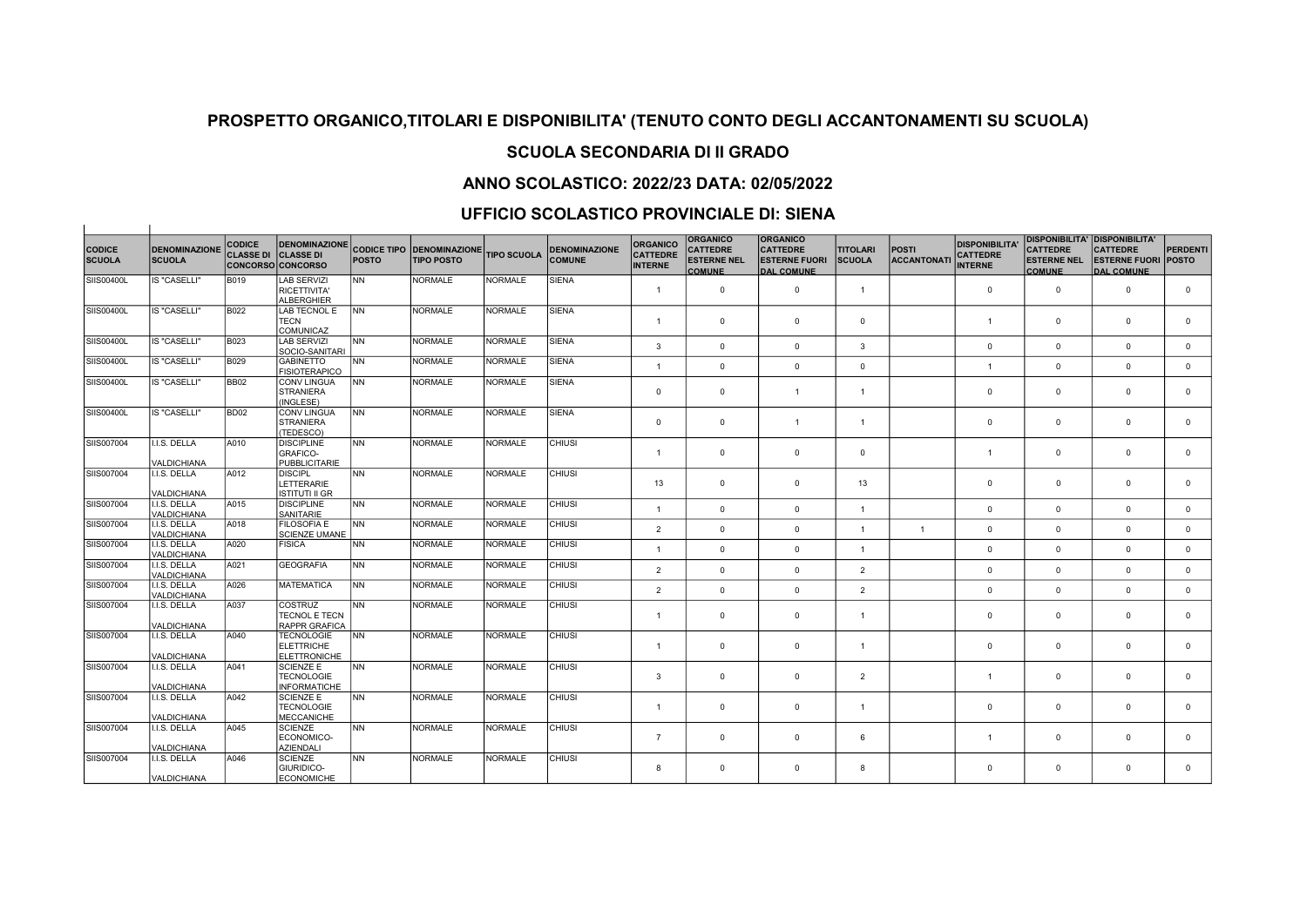# SCUOLA SECONDARIA DI II GRADO

## ANNO SCOLASTICO: 2022/23 DATA: 02/05/2022

### UFFICIO SCOLASTICO PROVINCIALE DI: SIENA

 $\overline{1}$ 

|                                |                                       | <b>CODICE</b>    | <b>DENOMINAZIONE</b>                                         |              |                                                       |                    |                                       | <b>ORGANICO</b>                   | <b>ORGANICO</b>                                        | <b>ORGANICO</b>                                              |                                  |                             | <b>DISPONIBILITA</b>              |                                                        | <b>DISPONIBILITA' DISPONIBILITA'</b>                               |                 |
|--------------------------------|---------------------------------------|------------------|--------------------------------------------------------------|--------------|-------------------------------------------------------|--------------------|---------------------------------------|-----------------------------------|--------------------------------------------------------|--------------------------------------------------------------|----------------------------------|-----------------------------|-----------------------------------|--------------------------------------------------------|--------------------------------------------------------------------|-----------------|
| <b>CODICE</b><br><b>SCUOLA</b> | <b>DENOMINAZIONE</b><br><b>SCUOLA</b> | <b>CLASSE DI</b> | <b>CLASSE DI</b><br><b>CONCORSO CONCORSO</b>                 | <b>POSTO</b> | <b>CODICE TIPO DENOMINAZIONE</b><br><b>TIPO POSTO</b> | <b>TIPO SCUOLA</b> | <b>DENOMINAZIONE</b><br><b>COMUNE</b> | <b>CATTEDRE</b><br><b>INTERNE</b> | <b>CATTEDRE</b><br><b>ESTERNE NEL</b><br><b>COMUNE</b> | <b>CATTEDRE</b><br><b>ESTERNE FUORI</b><br><b>DAL COMUNE</b> | <b>TITOLARI</b><br><b>SCUOLA</b> | <b>POSTI</b><br>ACCANTONATI | <b>CATTEDRE</b><br><b>INTERNE</b> | <b>CATTEDRE</b><br><b>ESTERNE NEL</b><br><b>COMUNE</b> | <b>CATTEDRE</b><br><b>ESTERNE FUORI POSTO</b><br><b>DAL COMUNE</b> | <b>PERDENTI</b> |
| SIIS00400L                     | <b>IS "CASELLI"</b>                   | <b>B019</b>      | LAB SERVIZI<br>RICETTIVITA'<br>ALBERGHIER                    | NN           | <b>NORMALE</b>                                        | <b>NORMALE</b>     | <b>SIENA</b>                          | $\mathbf{1}$                      | $\mathbf 0$                                            | $\mathbf{0}$                                                 | $\overline{1}$                   |                             | $\mathbf{0}$                      | $\mathbf{0}$                                           | $\mathbf 0$                                                        | $\overline{0}$  |
| SIIS00400L                     | IS "CASELLI"                          | B022             | LAB TECNOL E<br><b>TECN</b>                                  | lnn          | <b>NORMALE</b>                                        | NORMALE            | <b>SIENA</b>                          | $\mathbf{1}$                      | $\mathbf 0$                                            | $\mathbf{0}$                                                 | $\mathbf 0$                      |                             | $\mathbf{1}$                      | $\mathbf 0$                                            | $\mathbf 0$                                                        | $\overline{0}$  |
| SIIS00400L                     | IS "CASELLI"                          | <b>B023</b>      | <b>COMUNICAZ</b><br>LAB SERVIZI                              | <b>NN</b>    | <b>NORMALE</b>                                        | NORMALE            | <b>SIENA</b>                          | 3                                 | $\mathbf 0$                                            | $\mathbf{0}$                                                 | 3                                |                             | $\mathbf 0$                       | $\mathbf 0$                                            | $\mathbf 0$                                                        | $\mathbf{0}$    |
| SIIS00400L                     | <b>IS "CASELLI"</b>                   | <b>B029</b>      | SOCIO-SANITARI<br><b>GABINETTO</b><br><b>FISIOTERAPICO</b>   | INN.         | <b>NORMALE</b>                                        | NORMALE            | <b>SIENA</b>                          | $\mathbf{1}$                      | $\mathbf 0$                                            | $\mathbf{0}$                                                 | $\mathbf 0$                      |                             | $\mathbf{1}$                      | $\mathbf 0$                                            | $\mathbf 0$                                                        | $\mathbf{0}$    |
| SIIS00400L                     | IS "CASELLI"                          | BB <sub>02</sub> | <b>CONV LINGUA</b><br>STRANIERA<br>(INGLESE)                 | lnn          | <b>NORMALE</b>                                        | NORMALE            | <b>SIENA</b>                          | $\mathbf 0$                       | $\mathbf 0$                                            | $\overline{1}$                                               | $\overline{1}$                   |                             | 0                                 | $\mathbf 0$                                            | $^{\circ}$                                                         | $\mathbf{0}$    |
| SIIS00400L                     | <b>IS "CASELLI"</b>                   | BD <sub>02</sub> | <b>CONV LINGUA</b><br><b>STRANIERA</b><br>(TEDESCO)          | INN.         | <b>NORMALE</b>                                        | <b>NORMALE</b>     | <b>SIENA</b>                          | $\mathbf{0}$                      | $\mathbf 0$                                            | $\overline{1}$                                               | $\overline{1}$                   |                             | $\mathbf 0$                       | $\mathsf 0$                                            | $\mathbf 0$                                                        | $\mathbf{0}$    |
| SIIS007004                     | .I.S. DELLA<br><b>VALDICHIANA</b>     | A010             | <b>DISCIPLINE</b><br>GRAFICO-<br>PUBBLICITARIE               | <b>NN</b>    | <b>NORMALE</b>                                        | NORMALE            | <b>CHIUSI</b>                         | $\mathbf{1}$                      | $\mathbf 0$                                            | $\mathbf{0}$                                                 | $\mathbf 0$                      |                             | $\mathbf{1}$                      | $\mathbf 0$                                            | $\mathbf 0$                                                        | $\mathbf{0}$    |
| SIIS007004                     | I.I.S. DELLA<br>VALDICHIANA           | A012             | <b>DISCIPL</b><br>LETTERARIE<br>ISTITUTI II GR               | INN.         | <b>NORMALE</b>                                        | NORMALE            | <b>CHIUSI</b>                         | 13                                | $\mathbf 0$                                            | $\mathbf{0}$                                                 | 13                               |                             | $\Omega$                          | $\mathbf 0$                                            | $\mathbf 0$                                                        | $\mathbf 0$     |
| SIIS007004                     | I.I.S. DELLA<br><b>VALDICHIANA</b>    | A015             | <b>DISCIPLINE</b><br>SANITARIE                               | INN.         | <b>NORMALE</b>                                        | NORMALE            | <b>CHIUSI</b>                         | $\mathbf{1}$                      | $\mathbf 0$                                            | $\Omega$                                                     | $\overline{1}$                   |                             | $\mathbf 0$                       | $\mathbf{0}$                                           | $\Omega$                                                           | $\mathbf{0}$    |
| SIIS007004                     | I.I.S. DELLA<br>VALDICHIANA           | A018             | <b>FILOSOFIA E</b><br><b>SCIENZE UMANE</b>                   | INN.         | <b>NORMALE</b>                                        | NORMALE            | <b>CHIUSI</b>                         | $\overline{2}$                    | $\mathbf 0$                                            | $\mathbf{0}$                                                 | $\overline{1}$                   | $\mathbf{1}$                | $\mathbf 0$                       | $\mathbf{0}$                                           | $\Omega$                                                           | $\mathbf{0}$    |
| SIIS007004                     | I.I.S. DELLA<br><b>VALDICHIANA</b>    | A020             | FISICA                                                       | INN.         | <b>NORMALE</b>                                        | <b>NORMALE</b>     | <b>CHIUSI</b>                         | $\mathbf{1}$                      | $\mathbf 0$                                            | $\mathbf{0}$                                                 | $\overline{1}$                   |                             | $\mathbf 0$                       | $\mathbf{0}$                                           | $\mathbf 0$                                                        | $\mathbf{0}$    |
| SIIS007004                     | I.I.S. DELLA<br><b>VALDICHIANA</b>    | A021             | <b>GEOGRAFIA</b>                                             | NN           | <b>NORMALE</b>                                        | <b>NORMALE</b>     | <b>CHIUSI</b>                         | 2                                 | $\mathbf{0}$                                           | $\mathbf{0}$                                                 | $\overline{2}$                   |                             | $\mathbf 0$                       | $\mathbf{0}$                                           | $\mathbf 0$                                                        | $\mathbf{0}$    |
| SIIS007004                     | I.I.S. DELLA<br><b>VALDICHIANA</b>    | A026             | <b>MATEMATICA</b>                                            | INN.         | <b>NORMALE</b>                                        | <b>NORMALE</b>     | <b>CHIUSI</b>                         | 2                                 | $\mathbf{0}$                                           | $\Omega$                                                     | 2                                |                             | $\mathbf{0}$                      | $\Omega$                                               | $\Omega$                                                           | $\mathbf{0}$    |
| SIIS007004                     | I.I.S. DELLA<br>VALDICHIANA           | A037             | <b>COSTRUZ</b><br>TECNOL E TECN<br><b>RAPPR GRAFICA</b>      | INN.         | <b>NORMALE</b>                                        | NORMALE            | <b>CHIUSI</b>                         | $\mathbf{1}$                      | $\mathbf 0$                                            | $\overline{0}$                                               | $\overline{1}$                   |                             | $\mathbf 0$                       | $\mathbf{0}$                                           | $^{\circ}$                                                         | $\mathbf{0}$    |
| SIIS007004                     | I.I.S. DELLA<br><b>VALDICHIANA</b>    | A040             | <b>TECNOLOGIE</b><br><b>ELETTRICHE</b><br>ELETTRONICHE       | lnn          | <b>NORMALE</b>                                        | NORMALE            | <b>CHIUSI</b>                         | $\mathbf{1}$                      | $\mathbf 0$                                            | $^{\circ}$                                                   | $\overline{1}$                   |                             | 0                                 | $\mathbf 0$                                            | $^{\circ}$                                                         | $\mathbf{0}$    |
| SIIS007004                     | I.I.S. DELLA<br>VALDICHIANA           | A041             | <b>SCIENZE E</b><br><b>TECNOLOGIE</b><br><b>INFORMATICHE</b> | INN.         | <b>NORMALE</b>                                        | NORMALE            | <b>CHIUSI</b>                         | 3                                 | $\mathbf 0$                                            | $\mathbf{0}$                                                 | $\overline{2}$                   |                             | $\overline{1}$                    | $\mathbf 0$                                            | $\mathbf 0$                                                        | $\mathbf{0}$    |
| SIIS007004                     | I.I.S. DELLA<br>VALDICHIANA           | A042             | <b>SCIENZE E</b><br><b>TECNOLOGIE</b><br><b>MECCANICHE</b>   | <b>NN</b>    | <b>NORMALE</b>                                        | <b>NORMALE</b>     | <b>CHIUSI</b>                         | $\overline{1}$                    | $\mathbf 0$                                            | $\mathbf 0$                                                  | $\overline{1}$                   |                             | $\Omega$                          | $\mathbf 0$                                            | $^{\circ}$                                                         | $\mathbf{0}$    |
| SIIS007004                     | I.I.S. DELLA<br><b>VALDICHIANA</b>    | A045             | <b>SCIENZE</b><br>ECONOMICO-<br><b>AZIENDALI</b>             | INN.         | <b>NORMALE</b>                                        | NORMALE            | <b>CHIUSI</b>                         | $\overline{7}$                    | 0                                                      | $^{\circ}$                                                   | 6                                |                             | $\mathbf{1}$                      | $\mathbf 0$                                            | $^{\circ}$                                                         | $\mathbf{0}$    |
| SIIS007004                     | .I.S. DELLA<br><b>VALDICHIANA</b>     | A046             | <b>SCIENZE</b><br>GIURIDICO-<br>ECONOMICHE                   | <b>NN</b>    | <b>NORMALE</b>                                        | <b>NORMALE</b>     | <b>CHIUSI</b>                         | 8                                 | $\mathbf 0$                                            | $\Omega$                                                     | 8                                |                             | $\Omega$                          | $\mathbf 0$                                            | $\Omega$                                                           | $\mathbf{0}$    |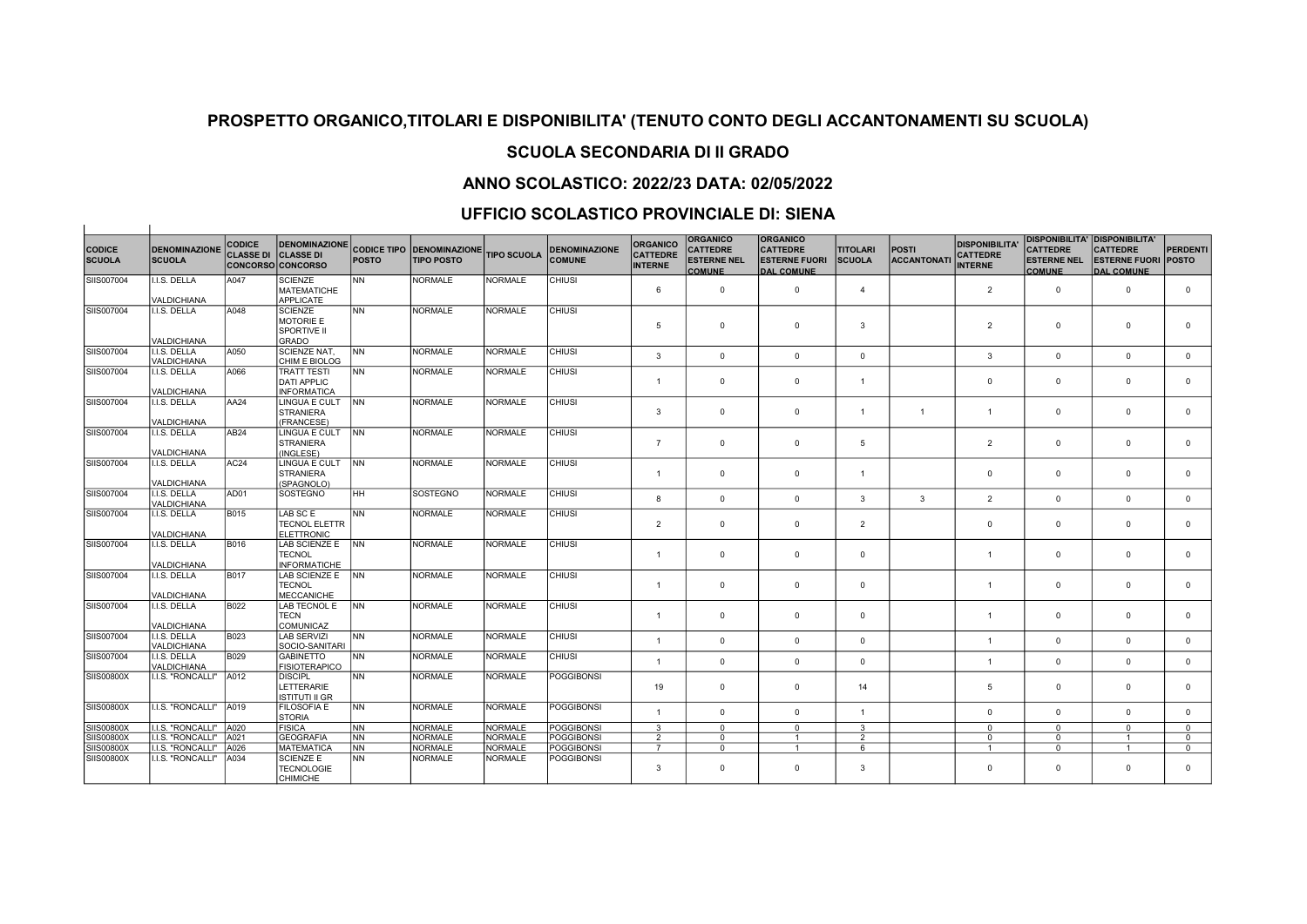# SCUOLA SECONDARIA DI II GRADO

## ANNO SCOLASTICO: 2022/23 DATA: 02/05/2022

### UFFICIO SCOLASTICO PROVINCIALE DI: SIENA

 $\overline{1}$ 

|                                |                                       | <b>CODICE</b>    | <b>DENOMINAZIONE</b>                                     |              |                                                       |                    |                                       | ORGANICO                          | <b>ORGANICO</b>                                        | <b>ORGANICO</b>                                              |                                  |                             | <b>DISPONIBILITA</b>              | <b>DISPONIBILITA' DISPONIBILITA'</b>                   |                                                                    |                 |
|--------------------------------|---------------------------------------|------------------|----------------------------------------------------------|--------------|-------------------------------------------------------|--------------------|---------------------------------------|-----------------------------------|--------------------------------------------------------|--------------------------------------------------------------|----------------------------------|-----------------------------|-----------------------------------|--------------------------------------------------------|--------------------------------------------------------------------|-----------------|
| <b>CODICE</b><br><b>SCUOLA</b> | <b>DENOMINAZIONE</b><br><b>SCUOLA</b> | <b>CLASSE DI</b> | <b>CLASSE DI</b><br><b>CONCORSO CONCORSO</b>             | <b>POSTO</b> | <b>CODICE TIPO DENOMINAZIONE</b><br><b>TIPO POSTO</b> | <b>TIPO SCUOLA</b> | <b>DENOMINAZIONE</b><br><b>COMUNE</b> | <b>CATTEDRE</b><br><b>INTERNE</b> | <b>CATTEDRE</b><br><b>ESTERNE NEL</b><br><b>COMUNE</b> | <b>CATTEDRE</b><br><b>ESTERNE FUORI</b><br><b>DAL COMUNE</b> | <b>TITOLARI</b><br><b>SCUOLA</b> | <b>POSTI</b><br>ACCANTONATI | <b>CATTEDRE</b><br><b>INTERNE</b> | <b>CATTEDRE</b><br><b>ESTERNE NEL</b><br><b>COMUNE</b> | <b>CATTEDRE</b><br><b>ESTERNE FUORI POSTO</b><br><b>DAL COMUNE</b> | <b>PERDENTI</b> |
| SIIS007004                     | I.I.S. DELLA                          | A047             | <b>SCIENZE</b>                                           | NN           | <b>NORMALE</b>                                        | <b>NORMALE</b>     | <b>CHIUSI</b>                         |                                   |                                                        |                                                              |                                  |                             |                                   |                                                        |                                                                    |                 |
|                                | VALDICHIANA                           |                  | <b>MATEMATICHE</b><br><b>APPLICATE</b>                   |              |                                                       |                    |                                       | 6                                 | $\mathbf{0}$                                           | $\overline{0}$                                               | $\overline{4}$                   |                             | $\overline{2}$                    | $\mathbf{0}$                                           | $\mathbf 0$                                                        | $\mathbf{0}$    |
| SIIS007004                     | I.I.S. DELLA                          | A048             | <b>SCIENZE</b>                                           | <b>NN</b>    | <b>NORMALE</b>                                        | <b>NORMALE</b>     | <b>CHIUSI</b>                         |                                   |                                                        |                                                              |                                  |                             |                                   |                                                        |                                                                    |                 |
|                                |                                       |                  | <b>MOTORIE E</b><br><b>SPORTIVE II</b>                   |              |                                                       |                    |                                       | 5                                 | 0                                                      | $\Omega$                                                     | 3                                |                             | $\overline{2}$                    | $\mathbf 0$                                            | $\Omega$                                                           | $\mathbf 0$     |
|                                | VALDICHIANA                           |                  | GRADO                                                    |              | <b>NORMALE</b>                                        | <b>NORMALE</b>     | <b>CHIUSI</b>                         |                                   |                                                        |                                                              |                                  |                             |                                   |                                                        |                                                                    |                 |
| SIIS007004                     | I.I.S. DELLA<br>VALDICHIANA           | A050             | SCIENZE NAT,<br>CHIM E BIOLOG                            | <b>NN</b>    |                                                       |                    |                                       | $\mathbf{3}$                      | $\mathbf{0}$                                           | $\mathbf{0}$                                                 | $\mathbf 0$                      |                             | $\mathbf{3}$                      | $\mathbf{0}$                                           | $\Omega$                                                           | $\mathbf{0}$    |
| SIIS007004                     | I.I.S. DELLA                          | A066             | <b>TRATT TESTI</b><br><b>DATI APPLIC</b>                 | <b>NN</b>    | <b>NORMALE</b>                                        | <b>NORMALE</b>     | <b>CHIUSI</b>                         | $\mathbf{1}$                      | $\mathbf 0$                                            | $\overline{0}$                                               | $\overline{1}$                   |                             | $^{\circ}$                        | $\mathbf{0}$                                           | $^{\circ}$                                                         | $\mathbf{0}$    |
|                                | VALDICHIANA<br>I.I.S. DELLA           | AA24             | <b>INFORMATICA</b><br><b>LINGUA E CULT</b>               | <b>NN</b>    | <b>NORMALE</b>                                        | <b>NORMALE</b>     | <b>CHIUSI</b>                         |                                   |                                                        |                                                              |                                  |                             |                                   |                                                        |                                                                    |                 |
| SIIS007004                     | VALDICHIANA                           |                  | <b>STRANIERA</b><br>(FRANCESE)                           |              |                                                       |                    |                                       | 3                                 | 0                                                      | $\overline{0}$                                               | $\overline{1}$                   | $\overline{1}$              | $\mathbf{1}$                      | $\mathbf 0$                                            | $^{\circ}$                                                         | $\mathbf{0}$    |
| SIIS007004                     | I.I.S. DELLA                          | AB <sub>24</sub> | LINGUA E CULT                                            | <b>INN</b>   | <b>NORMALE</b>                                        | <b>NORMALE</b>     | <b>CHIUSI</b>                         |                                   |                                                        |                                                              |                                  |                             |                                   |                                                        |                                                                    |                 |
|                                | VALDICHIANA                           |                  | <b>STRANIERA</b><br>(INGLESE)                            |              |                                                       |                    |                                       | $\overline{7}$                    | $\mathbf{0}$                                           | $\overline{0}$                                               | 5                                |                             | $\overline{2}$                    | $\mathbf{0}$                                           | $^{\circ}$                                                         | $\mathbf{0}$    |
| SIIS007004                     | I.I.S. DELLA                          | AC <sub>24</sub> | LINGUA E CULT                                            | <b>INN</b>   | <b>NORMALE</b>                                        | <b>NORMALE</b>     | <b>CHIUSI</b>                         |                                   |                                                        |                                                              |                                  |                             |                                   |                                                        |                                                                    |                 |
|                                | VALDICHIANA                           |                  | <b>STRANIERA</b><br>(SPAGNOLO)                           |              |                                                       |                    |                                       | $\mathbf{1}$                      | 0                                                      | $\overline{0}$                                               | $\overline{1}$                   |                             | $\mathbf 0$                       | $\mathbf 0$                                            | $\mathbf 0$                                                        | $\mathbf{0}$    |
| SIIS007004                     | I.I.S. DELLA                          | AD01             | SOSTEGNO                                                 | HH.          | SOSTEGNO                                              | <b>NORMALE</b>     | <b>CHIUSI</b>                         |                                   | $\mathsf{O}$                                           | $\mathbf 0$                                                  | 3                                | $\mathbf{3}$                | $\overline{2}$                    | $\mathbf{0}$                                           | $\mathbf 0$                                                        | $\mathbf{0}$    |
|                                | VALDICHIANA                           |                  |                                                          |              |                                                       |                    |                                       | 8                                 |                                                        |                                                              |                                  |                             |                                   |                                                        |                                                                    |                 |
| SIIS007004                     | I.I.S. DELLA                          | <b>B015</b>      | LAB SC E<br><b>TECNOL ELETTR</b><br><b>ELETTRONIC</b>    | <b>NN</b>    | <b>NORMALE</b>                                        | <b>NORMALE</b>     | <b>CHIUSI</b>                         | $\overline{2}$                    | 0                                                      | $\overline{0}$                                               | $\overline{2}$                   |                             | $\mathbf 0$                       | $\mathbf{0}$                                           | $\Omega$                                                           | $\mathbf{0}$    |
| SIIS007004                     | VALDICHIANA<br>I.I.S. DELLA           | <b>B016</b>      | LAB SCIENZE E                                            | Inn          | <b>NORMALE</b>                                        | <b>NORMALE</b>     | <b>CHIUSI</b>                         |                                   |                                                        |                                                              |                                  |                             |                                   |                                                        |                                                                    |                 |
|                                | VALDICHIANA                           |                  | <b>TECNOL</b><br><b>INFORMATICHE</b>                     |              |                                                       |                    |                                       | $\mathbf{1}$                      | $\mathbf{0}$                                           | $\mathbf{0}$                                                 | $\mathbf 0$                      |                             | 1                                 | $\mathbf{0}$                                           | $^{\circ}$                                                         | $\mathbf{0}$    |
| SIIS007004                     | I.I.S. DELLA                          | <b>B017</b>      | LAB SCIENZE E                                            | <b>INN</b>   | <b>NORMALE</b>                                        | <b>NORMALE</b>     | <b>CHIUSI</b>                         |                                   |                                                        |                                                              |                                  |                             |                                   |                                                        |                                                                    |                 |
|                                | <b>VALDICHIANA</b>                    |                  | <b>TECNOL</b><br><b>MECCANICHE</b>                       |              |                                                       |                    |                                       | $\mathbf{1}$                      | $\mathbf{0}$                                           | $\mathbf{0}$                                                 | $\mathbf 0$                      |                             | $\mathbf{1}$                      | 0                                                      | $\mathbf 0$                                                        | $\mathbf{0}$    |
| SIIS007004                     | I.I.S. DELLA                          | <b>B022</b>      | LAB TECNOL E                                             | Inn          | <b>NORMALE</b>                                        | <b>NORMALE</b>     | <b>CHIUSI</b>                         |                                   |                                                        |                                                              |                                  |                             |                                   |                                                        |                                                                    |                 |
|                                | VALDICHIANA                           |                  | <b>TECN</b><br>COMUNICAZ                                 |              |                                                       |                    |                                       | $\overline{1}$                    | $\mathbf{0}$                                           | $\mathbf{0}$                                                 | $\mathbf 0$                      |                             | 1                                 | $\mathbf{0}$                                           | $\mathbf 0$                                                        | $\mathbf{0}$    |
| SIIS007004                     | I.I.S. DELLA<br>VALDICHIANA           | <b>B023</b>      | <b>LAB SERVIZI</b><br>SOCIO-SANITARI                     | INN.         | <b>NORMALE</b>                                        | <b>NORMALE</b>     | <b>CHIUSI</b>                         | $\mathbf{1}$                      | $\mathbf 0$                                            | $\mathbf 0$                                                  | $\mathbf 0$                      |                             | $\mathbf{1}$                      | $\mathbf 0$                                            | $\Omega$                                                           | $\mathbf{0}$    |
| SIIS007004                     | I.I.S. DELLA<br>VALDICHIANA           | <b>B029</b>      | <b>GABINETTO</b><br><b>FISIOTERAPICO</b>                 | <b>NN</b>    | <b>NORMALE</b>                                        | <b>NORMALE</b>     | <b>CHIUSI</b>                         | $\mathbf{1}$                      | $\mathbf 0$                                            | $\mathbf{0}$                                                 | $\mathbf 0$                      |                             | $\mathbf{1}$                      | $\mathbf{0}$                                           | $\mathbf 0$                                                        | $\mathbf{0}$    |
| <b>SIIS00800X</b>              | I.I.S. "RONCALLI"                     | A012             | <b>DISCIPL</b>                                           | NN           | <b>NORMALE</b>                                        | <b>NORMALE</b>     | <b>POGGIBONSI</b>                     |                                   |                                                        |                                                              |                                  |                             |                                   |                                                        |                                                                    |                 |
|                                |                                       |                  | LETTERARIE<br>ISTITUTI II GR                             |              |                                                       |                    |                                       | 19                                | 0                                                      | $\mathbf 0$                                                  | 14                               |                             | 5                                 | $\mathbf{0}$                                           | $\mathbf 0$                                                        | $\mathbf{0}$    |
| SIIS00800X                     | I.I.S. "RONCALLI"   A019              |                  | FILOSOFIA E<br><b>STORIA</b>                             | INN.         | NORMALE                                               | <b>NORMALE</b>     | <b>POGGIBONSI</b>                     | $\mathbf{1}$                      | 0                                                      | $\mathbf{0}$                                                 | $\overline{1}$                   |                             | $\mathbf 0$                       | $\mathbf{0}$                                           | $^{\circ}$                                                         | $\mathbf{0}$    |
| <b>SIIS00800X</b>              | II.I.S. "RONCALLI"   A020             |                  | <b>FISICA</b>                                            | <b>NN</b>    | <b>NORMALE</b>                                        | NORMALE            | <b>POGGIBONSI</b>                     | $\mathbf{3}$                      | $^{\circ}$                                             | $\mathbf{0}$                                                 | 3                                |                             | $\mathbf{0}$                      | $^{\circ}$                                             | $^{\circ}$                                                         | $\mathbf{0}$    |
| SIIS00800X                     | I.I.S. "RONCALLI"                     | A021             | <b>GEOGRAFIA</b>                                         | <b>NN</b>    | <b>NORMALE</b>                                        | NORMALE            | <b>POGGIBONSI</b>                     | $\overline{2}$                    | $\overline{0}$                                         | $\overline{1}$                                               | $\overline{2}$                   |                             | $\overline{0}$                    | $\overline{0}$                                         | $\mathbf{1}$                                                       | $\overline{0}$  |
| SIIS00800X                     | I.I.S. "RONCALLI"                     | A026             | <b>MATEMATICA</b>                                        | <b>NN</b>    | <b>NORMALE</b>                                        | NORMALE            | <b>POGGIBONSI</b>                     | $\overline{7}$                    | $\Omega$                                               | $\overline{1}$                                               | 6                                |                             | 1                                 | $\Omega$                                               | $\overline{1}$                                                     | $\Omega$        |
| SIIS00800X                     | I.I.S. "RONCALLI"                     | A034             | <b>SCIENZE E</b><br><b>TECNOLOGIE</b><br><b>CHIMICHE</b> | <b>NN</b>    | <b>NORMALE</b>                                        | <b>NORMALE</b>     | <b>POGGIBONSI</b>                     | $\mathbf{3}$                      | 0                                                      | $\overline{0}$                                               | 3                                |                             | $\mathbf 0$                       | $\Omega$                                               | $\Omega$                                                           | $\mathbf{0}$    |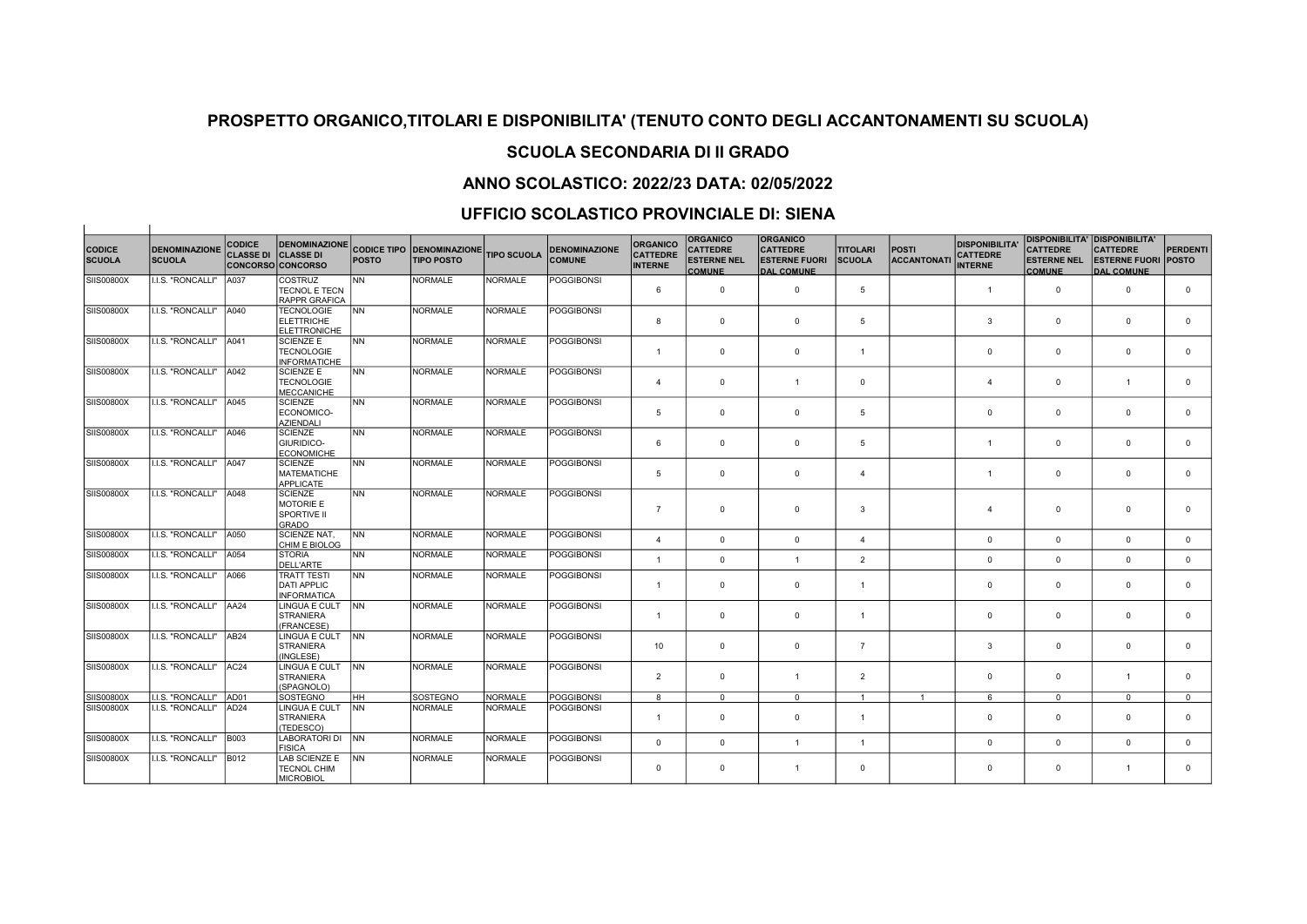# SCUOLA SECONDARIA DI II GRADO

## ANNO SCOLASTICO: 2022/23 DATA: 02/05/2022

### UFFICIO SCOLASTICO PROVINCIALE DI: SIENA

 $\overline{1}$ 

| <b>CODICE</b>     | <b>DENOMINAZIONE</b>     | <b>CODICE</b><br><b>CLASSE DI</b> | <b>DENOMINAZIONE</b><br><b>CLASSE DI</b>                          |              | <b>CODICE TIPO DENOMINAZIONE</b> | <b>TIPO SCUOLA</b> | <b>DENOMINAZIONE</b> | <b>ORGANICO</b><br><b>CATTEDRE</b> | <b>ORGANICO</b><br><b>CATTEDRE</b>  | <b>ORGANICO</b><br><b>CATTEDRE</b>        | <b>TITOLARI</b>       | <b>POSTI</b>      | <b>DISPONIBILITA'</b><br><b>CATTEDRE</b> | <b>DISPONIBILITA' DISPONIBILITA'</b><br><b>CATTEDRE</b> | <b>CATTEDRE</b>                                 | <b>PERDENTI</b> |
|-------------------|--------------------------|-----------------------------------|-------------------------------------------------------------------|--------------|----------------------------------|--------------------|----------------------|------------------------------------|-------------------------------------|-------------------------------------------|-----------------------|-------------------|------------------------------------------|---------------------------------------------------------|-------------------------------------------------|-----------------|
| <b>SCUOLA</b>     | <b>SCUOLA</b>            |                                   | <b>CONCORSO CONCORSO</b>                                          | <b>POSTO</b> | <b>TIPO POSTO</b>                |                    | <b>COMUNE</b>        | <b>INTERNE</b>                     | <b>ESTERNE NEL</b><br><b>COMUNE</b> | <b>ESTERNE FUORI</b><br><b>DAL COMUNE</b> | <b>SCUOLA</b>         | <b>ACCANTONAT</b> | <b>INTERNE</b>                           | <b>ESTERNE NEL</b><br><b>COMUNE</b>                     | <b>ESTERNE FUORI POSTO</b><br><b>DAL COMUNE</b> |                 |
| <b>SIIS00800X</b> | <b>I.I.S. "RONCALLI"</b> | A037                              | <b>COSTRUZ</b><br><b>TECNOL E TECN</b>                            | <b>NN</b>    | <b>NORMALE</b>                   | <b>NORMALE</b>     | <b>POGGIBONSI</b>    | 6                                  | $^{\circ}$                          | $\mathbf 0$                               | 5                     |                   | $\mathbf{1}$                             | $^{\circ}$                                              | $\overline{0}$                                  | $\mathbf 0$     |
| SIIS00800X        | I.I.S. "RONCALLI"        | A040                              | <b>RAPPR GRAFICA</b><br><b>TECNOLOGIE</b>                         | <b>NN</b>    | <b>NORMALE</b>                   | NORMALE            | <b>POGGIBONSI</b>    |                                    |                                     |                                           |                       |                   |                                          |                                                         |                                                 |                 |
|                   |                          |                                   | <b>ELETTRICHE</b><br>ELETTRONICHE                                 |              |                                  |                    |                      | 8                                  | $\mathbf 0$                         | $\mathbf{0}$                              | 5                     |                   | 3                                        | $\mathbf 0$                                             | $\overline{0}$                                  | $\mathbf 0$     |
| SIIS00800X        | I.I.S. "RONCALLI"        | A041                              | <b>SCIENZE E</b><br><b>TECNOLOGIE</b><br><b>INFORMATICHE</b>      | <b>NN</b>    | <b>NORMALE</b>                   | NORMALE            | <b>POGGIBONSI</b>    | $\mathbf{1}$                       | $\mathbf{0}$                        | $^{\circ}$                                | $\overline{1}$        |                   | $\mathbf 0$                              | $\mathbf 0$                                             | $\overline{0}$                                  | $^{\circ}$      |
| SIIS00800X        | I.I.S. "RONCALLI"        | A042                              | <b>SCIENZE E</b><br><b>TECNOLOGIE</b><br><b>MECCANICHE</b>        | <b>NN</b>    | <b>NORMALE</b>                   | NORMALE            | <b>POGGIBONSI</b>    | $\overline{4}$                     | $\mathbf 0$                         | $\overline{1}$                            | $^{\circ}$            |                   | $\overline{4}$                           | $\mathbf 0$                                             | $\overline{1}$                                  | $\mathbf 0$     |
| <b>SIIS00800X</b> | I.I.S. "RONCALLI"        | A045                              | SCIENZE<br>ECONOMICO-<br><b>AZIENDALI</b>                         | <b>NN</b>    | <b>NORMALE</b>                   | NORMALE            | <b>POGGIBONSI</b>    | 5                                  | $\mathbf 0$                         | $\mathbf{0}$                              | 5                     |                   | $\mathbf 0$                              | $\mathbf 0$                                             | $\overline{0}$                                  | $\mathbf 0$     |
| <b>SIIS00800X</b> | I.I.S. "RONCALLI"        | A046                              | SCIENZE<br><b>GIURIDICO-</b><br><b>ECONOMICHE</b>                 | <b>NN</b>    | <b>NORMALE</b>                   | <b>NORMALE</b>     | <b>POGGIBONSI</b>    | 6                                  | $\mathbf 0$                         | $\mathbf 0$                               | 5                     |                   | $\mathbf{1}$                             | $\mathbf{0}$                                            | $\overline{0}$                                  | $\Omega$        |
| SIIS00800X        | <b>I.I.S. "RONCALLI"</b> | A047                              | SCIENZE<br><b>IMATEMATICHE</b><br>APPLICATE                       | <b>NN</b>    | <b>NORMALE</b>                   | NORMALE            | <b>POGGIBONSI</b>    | 5                                  | $\mathbf{0}$                        | $\mathbf 0$                               | $\overline{4}$        |                   | $\mathbf{1}$                             | $\mathbf 0$                                             | $\overline{0}$                                  | $\mathbf 0$     |
| SIIS00800X        | I.I.S. "RONCALLI"        | A048                              | SCIENZE<br><b>MOTORIE E</b><br><b>SPORTIVE II</b><br><b>GRADO</b> | <b>NN</b>    | <b>NORMALE</b>                   | NORMALE            | <b>POGGIBONSI</b>    | $\overline{7}$                     | $\mathbf 0$                         | $\mathbf 0$                               | 3                     |                   | $\boldsymbol{\Delta}$                    | $\mathbf 0$                                             | $\overline{0}$                                  | $\Omega$        |
| <b>SIIS00800X</b> | I.I.S. "RONCALLI"        | A050                              | <b>SCIENZE NAT.</b><br>CHIM E BIOLOG                              | <b>NN</b>    | <b>NORMALE</b>                   | NORMALE            | <b>POGGIBONSI</b>    | $\overline{4}$                     | $\mathbf 0$                         | $\mathbf{0}$                              | $\boldsymbol{\Delta}$ |                   | $\mathbf 0$                              | $\mathbf 0$                                             | $\mathbf 0$                                     | $\mathbf{0}$    |
| SIIS00800X        | I.I.S. "RONCALLI"        | A054                              | STORIA<br><b>DELL'ARTE</b>                                        | INN.         | <b>NORMALE</b>                   | NORMALE            | <b>POGGIBONSI</b>    | $\mathbf{1}$                       | $\mathbf{0}$                        | $\overline{1}$                            | $\overline{2}$        |                   | $\mathbf{0}$                             | $\mathbf 0$                                             | $\mathbf 0$                                     | $\mathbf{0}$    |
| SIIS00800X        | I.I.S. "RONCALLI"        | A066                              | <b>TRATT TESTI</b><br>DATI APPLIC<br><b>INFORMATICA</b>           | <b>NN</b>    | <b>NORMALE</b>                   | NORMALE            | <b>POGGIBONSI</b>    | $\mathbf{1}$                       | $\mathbf 0$                         | $\mathbf{0}$                              | $\overline{1}$        |                   | $\mathbf 0$                              | $\mathbf 0$                                             | $\mathbf 0$                                     | $\mathbf 0$     |
| <b>SIIS00800X</b> | I.I.S. "RONCALLI"        | AA24                              | LINGUA E CULT<br><b>STRANIERA</b><br>(FRANCESE)                   | <b>INN</b>   | <b>NORMALE</b>                   | NORMALE            | <b>POGGIBONSI</b>    | $\mathbf{1}$                       | $\mathbf 0$                         | $\mathbf{0}$                              | $\overline{1}$        |                   | $\mathbf{0}$                             | $\mathbf 0$                                             | $\overline{0}$                                  | $\mathbf 0$     |
| <b>SIIS00800X</b> | I.I.S. "RONCALLI"        | AB <sub>24</sub>                  | LINGUA E CULT<br>STRANIERA<br>(INGLESE)                           | <b>INN</b>   | <b>NORMALE</b>                   | NORMALE            | <b>POGGIBONSI</b>    | 10                                 | $\mathbf 0$                         | $\mathbf{0}$                              | $\overline{7}$        |                   | 3                                        | $\mathbf 0$                                             | $\overline{0}$                                  | $\mathbf 0$     |
| <b>SIIS00800X</b> | I.I.S. "RONCALLI"        | AC <sub>24</sub>                  | LINGUA E CULT<br><b>STRANIERA</b><br>(SPAGNOLO)                   | <b>INN</b>   | <b>NORMALE</b>                   | NORMALE            | <b>POGGIBONSI</b>    | $\overline{2}$                     | $^{\circ}$                          | $\overline{1}$                            | $\overline{2}$        |                   | $\mathbf{0}$                             | $\mathbf 0$                                             | $\overline{1}$                                  | $\Omega$        |
| <b>SIIS00800X</b> | I.I.S. "RONCALLI"        | AD01                              | ISOSTEGNO                                                         | HH.          | SOSTEGNO                         | NORMALE            | <b>POGGIBONSI</b>    | 8                                  | $^{\circ}$                          | $\Omega$                                  | $\overline{1}$        | $\overline{1}$    | 6                                        | $\Omega$                                                | $\Omega$                                        | $^{\circ}$      |
| <b>SIIS00800X</b> | I.I.S. "RONCALLI"        | AD <sub>24</sub>                  | LINGUA E CULT<br>STRANIERA<br>(TEDESCO)                           | <b>INN</b>   | <b>NORMALE</b>                   | NORMALE            | <b>POGGIBONSI</b>    | $\mathbf{1}$                       | $\mathbf 0$                         | $\mathbf{0}$                              | $\overline{1}$        |                   | $\mathbf 0$                              | $\mathbf 0$                                             | $\overline{0}$                                  | $\mathbf 0$     |
| SIIS00800X        | I.I.S. "RONCALLI"        | <b>B003</b>                       | LABORATORI DI NN<br><b>FISICA</b>                                 |              | <b>NORMALE</b>                   | NORMALE            | <b>POGGIBONSI</b>    | $\mathbf 0$                        | $\mathbf{0}$                        | $\overline{1}$                            | $\overline{1}$        |                   | $\mathbf{0}$                             | $\mathbf 0$                                             | $\mathbf 0$                                     | $\mathbf{0}$    |
| <b>SIIS00800X</b> | I.I.S. "RONCALLI"        | <b>B012</b>                       | LAB SCIENZE E<br><b>TECNOL CHIM</b><br><b>MICROBIOL</b>           | <b>INN</b>   | <b>NORMALE</b>                   | <b>NORMALE</b>     | <b>POGGIBONSI</b>    | $^{\circ}$                         | $\mathbf 0$                         | $\overline{1}$                            | $\Omega$              |                   | $\mathbf 0$                              | $\mathbf 0$                                             | $\overline{1}$                                  | $\Omega$        |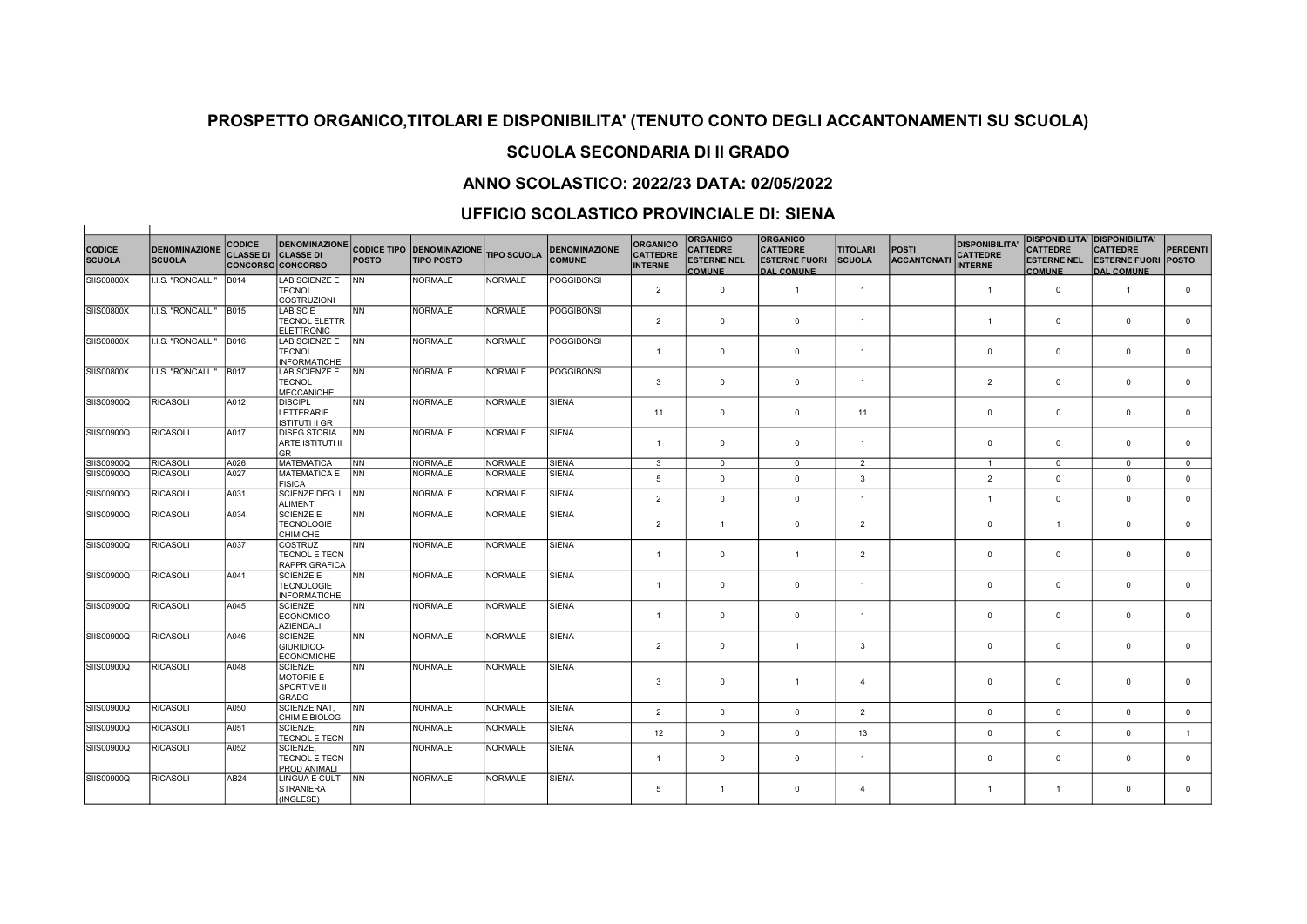## SCUOLA SECONDARIA DI II GRADO

## ANNO SCOLASTICO: 2022/23 DATA: 02/05/2022

### UFFICIO SCOLASTICO PROVINCIALE DI: SIENA

 $\overline{1}$ 

 $\sim$  100  $\pm$ 

| <b>CODICE</b><br><b>SCUOLA</b> | <b>DENOMINAZIONE</b><br><b>SCUOLA</b> | <b>CODICE</b><br><b>CLASSE DI</b> | <b>DENOMINAZIONE</b><br><b>CLASSE DI</b><br><b>CONCORSO CONCORSO</b> | <b>POSTO</b> | <b>CODICE TIPO DENOMINAZIONE</b><br><b>TIPO POSTO</b> | <b>TIPO SCUOLA</b> | <b>DENOMINAZIONE</b><br><b>COMUNE</b> | <b>ORGANICO</b><br><b>CATTEDRE</b><br><b>INTERNE</b> | <b>ORGANICO</b><br><b>CATTEDRE</b><br><b>ESTERNE NEL</b><br><b>COMUNE</b> | <b>ORGANICO</b><br><b>CATTEDRE</b><br><b>ESTERNE FUORI</b><br><b>DAL COMUNE</b> | <b>TITOLARI</b><br><b>SCUOLA</b> | <b>POSTI</b><br><b>ACCANTONAT</b> | <b>DISPONIBILITA</b><br><b>CATTEDRE</b><br><b>INTERNE</b> | <b>CATTEDRE</b><br><b>ESTERNE NEL</b><br><b>COMUNE</b> | <b>DISPONIBILITA' DISPONIBILITA'</b><br><b>CATTEDRE</b><br><b>ESTERNE FUORI POSTO</b><br><b>DAL COMUNE</b> | <b>PERDENTI</b> |
|--------------------------------|---------------------------------------|-----------------------------------|----------------------------------------------------------------------|--------------|-------------------------------------------------------|--------------------|---------------------------------------|------------------------------------------------------|---------------------------------------------------------------------------|---------------------------------------------------------------------------------|----------------------------------|-----------------------------------|-----------------------------------------------------------|--------------------------------------------------------|------------------------------------------------------------------------------------------------------------|-----------------|
| SIIS00800X                     | I.I.S. "RONCALLI"                     | <b>B014</b>                       | <b>LAB SCIENZE E</b><br><b>TECNOL</b><br><b>COSTRUZIONI</b>          | <b>INN</b>   | <b>NORMALE</b>                                        | <b>NORMALE</b>     | <b>POGGIBONSI</b>                     | $\overline{2}$                                       | $\mathbf 0$                                                               | $\overline{1}$                                                                  | $\overline{1}$                   |                                   | $\mathbf{1}$                                              | $\mathbf 0$                                            | $\overline{1}$                                                                                             | $\mathbf 0$     |
| SIIS00800X                     | I.I.S. "RONCALLI"                     | <b>B015</b>                       | LAB SC E<br><b>TECNOL ELETTR</b><br><b>ELETTRONIC</b>                | <b>NN</b>    | <b>NORMALE</b>                                        | <b>NORMALE</b>     | <b>POGGIBONSI</b>                     | $\overline{2}$                                       | $\mathbf 0$                                                               | $\mathbf 0$                                                                     | $\overline{1}$                   |                                   | $\overline{1}$                                            | $\mathbf{0}$                                           | $\overline{0}$                                                                                             | $\mathbf{0}$    |
| SIIS00800X                     | I.I.S. "RONCALLI"                     | <b>B016</b>                       | LAB SCIENZE E<br><b>TECNOL</b><br><b>INFORMATICHE</b>                | <b>INN</b>   | <b>NORMALE</b>                                        | <b>NORMALE</b>     | <b>POGGIBONSI</b>                     | $\mathbf{1}$                                         | $\mathbf{0}$                                                              | $^{\circ}$                                                                      | $\overline{1}$                   |                                   | $\mathbf{0}$                                              | $\mathbf{0}$                                           | $\overline{0}$                                                                                             | $\mathbf{0}$    |
| SIIS00800X                     | I.I.S. "RONCALLI"                     | <b>B017</b>                       | LAB SCIENZE E<br><b>TECNOL</b><br>MECCANICHE                         | <b>INN</b>   | <b>NORMALE</b>                                        | <b>NORMALE</b>     | <b>POGGIBONSI</b>                     | $\mathbf{3}$                                         | $\mathbf{0}$                                                              | $\Omega$                                                                        | $\overline{1}$                   |                                   | $\overline{2}$                                            | $\mathbf{0}$                                           | $\overline{0}$                                                                                             | $\mathbf{0}$    |
| SIIS00900Q                     | <b>RICASOLI</b>                       | A012                              | <b>DISCIPL</b><br>LETTERARIE<br><b>ISTITUTI II GR</b>                | <b>NN</b>    | <b>NORMALE</b>                                        | <b>NORMALE</b>     | <b>SIENA</b>                          | 11                                                   | $\mathbf{0}$                                                              | $\mathbf 0$                                                                     | 11                               |                                   | $\mathbf 0$                                               | $\mathbf{0}$                                           | $\overline{0}$                                                                                             | $\mathbf{0}$    |
| SIIS00900Q                     | <b>RICASOLI</b>                       | A017                              | <b>DISEG STORIA</b><br>ARTE ISTITUTI II<br>lgr                       | INN .        | <b>NORMALE</b>                                        | <b>NORMALE</b>     | <b>SIENA</b>                          | $\mathbf{1}$                                         | $\mathbf 0$                                                               | $\mathbf 0$                                                                     | $\overline{1}$                   |                                   | $\mathbf 0$                                               | $\mathbf{0}$                                           | $\overline{0}$                                                                                             | $\mathbf{0}$    |
| SIIS00900Q                     | <b>RICASOLI</b>                       | A026                              | MATEMATICA                                                           | INN          | <b>NORMALE</b>                                        | <b>NORMALE</b>     | <b>SIENA</b>                          | 3                                                    | $\mathbf{0}$                                                              | $\overline{0}$                                                                  | 2                                |                                   | $\mathbf{1}$                                              | $\mathbf{0}$                                           | $\mathbf 0$                                                                                                | $\mathbf 0$     |
| SIIS00900Q                     | <b>RICASOLI</b>                       | A027                              | MATEMATICA E<br>FISICA                                               | INN.         | <b>NORMALE</b>                                        | NORMALE            | <b>SIENA</b>                          | 5                                                    | $\mathsf 0$                                                               | $\mathsf 0$                                                                     | $\mathbf{3}$                     |                                   | $\overline{2}$                                            | $\mathsf 0$                                            | $\mathbf 0$                                                                                                | $\mathbf 0$     |
| SIIS00900Q                     | <b>RICASOLI</b>                       | A031                              | SCIENZE DEGLI<br><b>ALIMENTI</b>                                     | <b>INN</b>   | <b>NORMALE</b>                                        | <b>NORMALE</b>     | <b>SIENA</b>                          | $\overline{2}$                                       | $\mathbf{0}$                                                              | $\mathbf 0$                                                                     | $\overline{1}$                   |                                   | $\overline{1}$                                            | $\mathbf 0$                                            | $\mathbf 0$                                                                                                | $\mathbf{0}$    |
| SIIS00900Q                     | <b>RICASOLI</b>                       | A034                              | <b>SCIENZE E</b><br><b>TECNOLOGIE</b><br>CHIMICHE                    | <b>NN</b>    | <b>NORMALE</b>                                        | <b>NORMALE</b>     | <b>SIENA</b>                          | $\overline{2}$                                       | $\mathbf{1}$                                                              | $\mathbf{0}$                                                                    | $\overline{2}$                   |                                   | $\mathbf 0$                                               | $\mathbf{1}$                                           | $\overline{0}$                                                                                             | $\mathbf 0$     |
| SIIS00900Q                     | <b>RICASOLI</b>                       | A037                              | COSTRUZ<br><b>TECNOL E TECN</b><br><b>RAPPR GRAFICA</b>              | <b>NN</b>    | <b>NORMALE</b>                                        | <b>NORMALE</b>     | <b>SIENA</b>                          | $\mathbf{1}$                                         | $\mathbf 0$                                                               | $\overline{1}$                                                                  | $\overline{2}$                   |                                   | $\mathbf 0$                                               | $\mathbf 0$                                            | $\mathbf 0$                                                                                                | $\mathbf 0$     |
| SIIS00900Q                     | <b>RICASOLI</b>                       | A041                              | <b>SCIENZE E</b><br><b>TECNOLOGIE</b><br><b>INFORMATICHE</b>         | <b>NN</b>    | <b>NORMALE</b>                                        | <b>NORMALE</b>     | <b>SIENA</b>                          | $\mathbf{1}$                                         | $\mathbf{0}$                                                              | $^{\circ}$                                                                      | $\overline{1}$                   |                                   | $\mathbf{0}$                                              | $\mathbf{0}$                                           | $\overline{0}$                                                                                             | $\mathbf 0$     |
| SIIS00900Q                     | <b>RICASOLI</b>                       | A045                              | SCIENZE<br>ECONOMICO-<br><b>AZIENDALI</b>                            | <b>NN</b>    | <b>NORMALE</b>                                        | <b>NORMALE</b>     | <b>SIENA</b>                          | $\mathbf{1}$                                         | $\mathbf{0}$                                                              | $\mathbf 0$                                                                     | $\overline{1}$                   |                                   | $\mathbf 0$                                               | $\mathbf{0}$                                           | $\overline{0}$                                                                                             | $\mathbf 0$     |
| SIIS00900Q                     | <b>RICASOLI</b>                       | A046                              | <b>SCIENZE</b><br>GIURIDICO-<br><b>ECONOMICHE</b>                    | <b>NN</b>    | <b>NORMALE</b>                                        | NORMALE            | <b>SIENA</b>                          | $\overline{2}$                                       | $\mathbf{0}$                                                              | $\overline{1}$                                                                  | $\mathbf{3}$                     |                                   | $\mathbf 0$                                               | $\mathbf{0}$                                           | $\overline{0}$                                                                                             | $\mathbf 0$     |
| SIIS00900Q                     | <b>RICASOLI</b>                       | A048                              | SCIENZE<br>MOTORIE E<br><b>SPORTIVE II</b><br>GRADO                  | <b>NN</b>    | <b>NORMALE</b>                                        | <b>NORMALE</b>     | <b>SIENA</b>                          | 3                                                    | $\mathbf 0$                                                               | $\overline{1}$                                                                  | $\overline{4}$                   |                                   | $\mathbf{0}$                                              | $\mathbf 0$                                            | $\overline{0}$                                                                                             | $\mathbf 0$     |
| SIIS00900Q                     | <b>RICASOLI</b>                       | A050                              | SCIENZE NAT,<br>CHIM E BIOLOG                                        | NN           | <b>NORMALE</b>                                        | <b>NORMALE</b>     | <b>SIENA</b>                          | $\overline{2}$                                       | $\mathbf 0$                                                               | $\mathbf{0}$                                                                    | $\overline{2}$                   |                                   | $\mathbf 0$                                               | $\mathbf 0$                                            | $\mathbf 0$                                                                                                | $\mathbf{0}$    |
| SIIS00900Q                     | <b>RICASOLI</b>                       | A051                              | SCIENZE,<br><b>TECNOL E TECN</b>                                     | <b>NN</b>    | <b>NORMALE</b>                                        | <b>NORMALE</b>     | <b>SIENA</b>                          | 12                                                   | $\mathbf 0$                                                               | $\Omega$                                                                        | 13                               |                                   | $\mathbf{0}$                                              | $\mathbf{0}$                                           | $\Omega$                                                                                                   | $\mathbf{1}$    |
| SIIS00900Q                     | <b>RICASOLI</b>                       | A052                              | <b>SCIENZE.</b><br><b>TECNOL E TECN</b><br><b>PROD ANIMALI</b>       | <b>NN</b>    | <b>NORMALE</b>                                        | <b>NORMALE</b>     | <b>SIENA</b>                          | $\mathbf{1}$                                         | $\mathbf{0}$                                                              | $\mathbf 0$                                                                     | $\overline{1}$                   |                                   | $\mathbf 0$                                               | $\mathbf 0$                                            | $\overline{0}$                                                                                             | $\mathbf{0}$    |
| SIIS00900Q                     | <b>RICASOLI</b>                       | AB24                              | LINGUA E CULT<br>STRANIERA<br>(INGLESE)                              | INN.         | <b>NORMALE</b>                                        | <b>NORMALE</b>     | <b>SIENA</b>                          | 5                                                    | $\mathbf{1}$                                                              | $^{\circ}$                                                                      | $\mathbf{4}$                     |                                   | $\overline{1}$                                            | $\mathbf{1}$                                           | $\Omega$                                                                                                   | $\mathbf 0$     |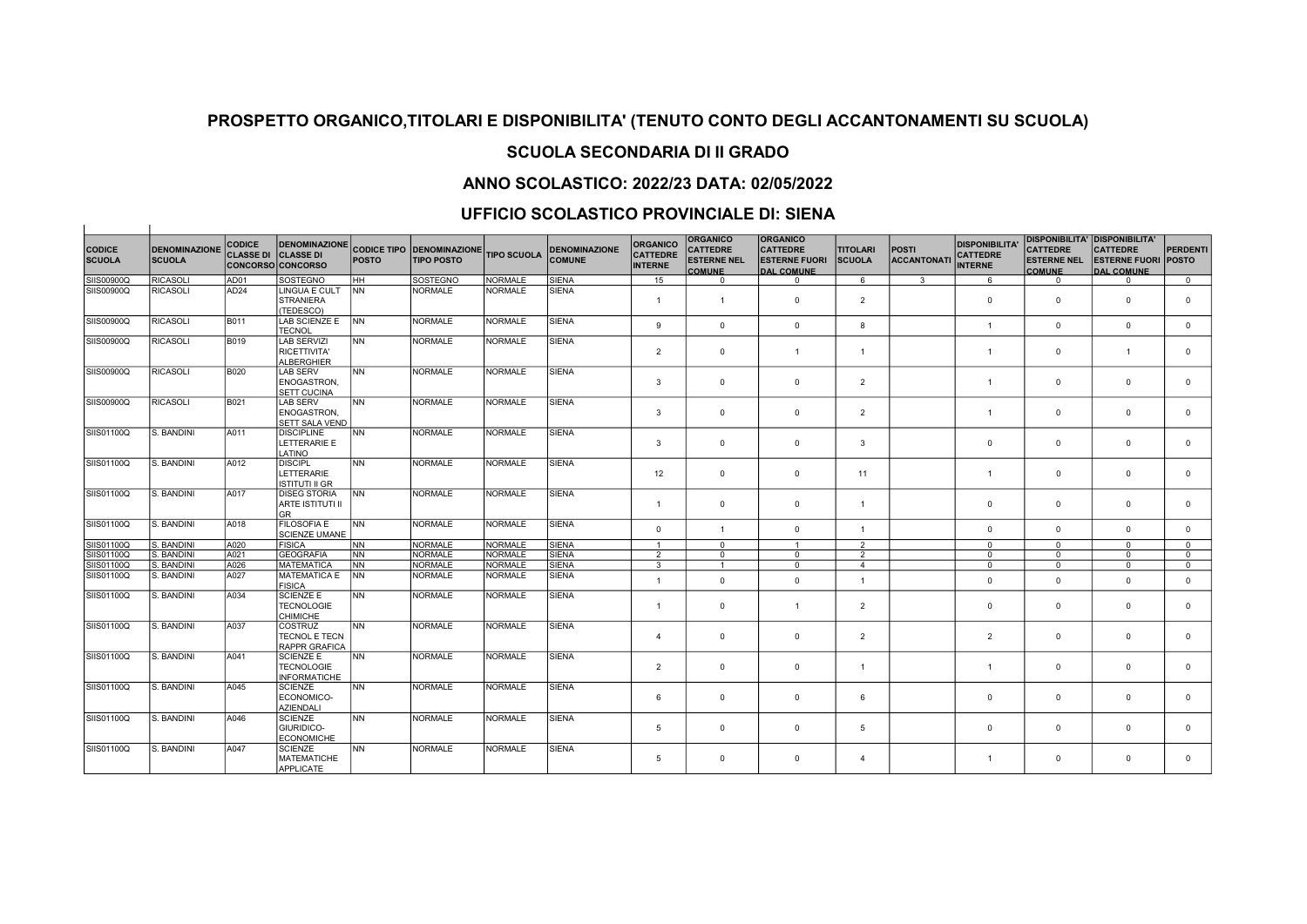## SCUOLA SECONDARIA DI II GRADO

## ANNO SCOLASTICO: 2022/23 DATA: 02/05/2022

### UFFICIO SCOLASTICO PROVINCIALE DI: SIENA

 $\overline{1}$ 

|                                |                                       | <b>CODICE</b>    | <b>DENOMINAZIONE</b>                                         |              |                                                            |                |                                       | <b>ORGANICO</b>                   | <b>ORGANICO</b>                       | <b>ORGANICO</b>                         |                                  |                             | <b>DISPONIBILITA'</b>             | <b>DISPONIBILITA' DISPONIBILITA'</b>  |                                         |                                 |
|--------------------------------|---------------------------------------|------------------|--------------------------------------------------------------|--------------|------------------------------------------------------------|----------------|---------------------------------------|-----------------------------------|---------------------------------------|-----------------------------------------|----------------------------------|-----------------------------|-----------------------------------|---------------------------------------|-----------------------------------------|---------------------------------|
| <b>CODICE</b><br><b>SCUOLA</b> | <b>DENOMINAZIONE</b><br><b>SCUOLA</b> | <b>CLASSE DI</b> | <b>CLASSE DI</b><br>CONCORSO CONCORSO                        | <b>POSTO</b> | CODICE TIPO DENOMINAZIONE TIPO SCUOLA<br><b>TIPO POSTO</b> |                | <b>DENOMINAZIONE</b><br><b>COMUNE</b> | <b>CATTEDRE</b><br><b>INTERNE</b> | <b>CATTEDRE</b><br><b>ESTERNE NEL</b> | <b>CATTEDRE</b><br><b>ESTERNE FUORI</b> | <b>TITOLARI</b><br><b>SCUOLA</b> | POSTI<br><b>ACCANTONATI</b> | <b>CATTEDRE</b><br><b>INTERNE</b> | <b>CATTEDRE</b><br><b>ESTERNE NEL</b> | <b>CATTEDRE</b><br><b>ESTERNE FUORI</b> | <b>PERDENTI</b><br><b>POSTO</b> |
|                                |                                       |                  |                                                              |              |                                                            |                |                                       |                                   | <b>COMUNE</b>                         | <b>DAL COMUNE</b>                       |                                  |                             |                                   | <b>COMUNE</b>                         | <b>DAL COMUNE</b>                       |                                 |
| SIIS00900Q                     | <b>RICASOLI</b>                       | AD01             | <b>SOSTEGNO</b>                                              | HH           | SOSTEGNO                                                   | NORMALE        | <b>SIENA</b>                          | 15                                | $\Omega$                              | $\Omega$                                | 6                                | $\overline{3}$              | 6                                 | $\Omega$                              | $\Omega$                                | $\mathbf{0}$                    |
| SIIS00900Q                     | <b>RICASOLI</b>                       | AD <sub>24</sub> | LINGUA E CULT<br><b>STRANIERA</b><br>(TEDESCO)               | INN.         | NORMALE                                                    | <b>NORMALE</b> | <b>SIENA</b>                          | $\overline{1}$                    | $\mathbf{1}$                          | $\mathbf 0$                             | $\overline{2}$                   |                             | $\mathbf 0$                       | $\mathbf 0$                           | $\Omega$                                | $\Omega$                        |
| SIIS00900Q                     | <b>RICASOLI</b>                       | B011             | LAB SCIENZE E                                                | <b>INN</b>   | NORMALE                                                    | <b>NORMALE</b> | <b>SIENA</b>                          |                                   |                                       |                                         |                                  |                             |                                   |                                       |                                         |                                 |
|                                |                                       |                  | <b>TECNOL</b>                                                |              |                                                            |                |                                       | 9                                 | $\mathbf{0}$                          | $\mathbf 0$                             | 8                                |                             | $\overline{1}$                    | $\mathbf 0$                           | $\mathbf 0$                             | $\mathbf 0$                     |
| SIIS00900Q                     | <b>RICASOLI</b>                       | B019             | <b>LAB SERVIZI</b><br>RICETTIVITA'<br><b>ALBERGHIER</b>      | <b>NN</b>    | <b>NORMALE</b>                                             | <b>NORMALE</b> | <b>SIENA</b>                          | $\overline{2}$                    | $\mathsf 0$                           | $\overline{1}$                          | $\overline{1}$                   |                             | 1                                 | $\mathbf 0$                           | $\overline{1}$                          | $\Omega$                        |
| <b>SIIS00900Q</b>              | <b>RICASOLI</b>                       | <b>B020</b>      | LAB SERV<br>ENOGASTRON.<br>SETT CUCINA                       | <b>NN</b>    | <b>NORMALE</b>                                             | <b>NORMALE</b> | <b>SIENA</b>                          | 3                                 | $\mathbf{0}$                          | $\mathbf 0$                             | 2                                |                             | 1                                 | $\mathbf 0$                           | $\mathbf 0$                             | $\mathbf 0$                     |
| <b>SIIS00900Q</b>              | <b>RICASOLI</b>                       | <b>B021</b>      | LAB SERV<br>ENOGASTRON.<br><b>SETT SALA VEND</b>             | <b>NN</b>    | NORMALE                                                    | <b>NORMALE</b> | <b>SIENA</b>                          | $\mathbf{3}$                      | $\mathbf 0$                           | $\mathbf 0$                             | $\overline{2}$                   |                             |                                   | $\mathbf 0$                           | $\mathbf 0$                             | $\Omega$                        |
| SIIS01100Q                     | S. BANDINI                            | A011             | <b>DISCIPLINE</b><br>LETTERARIE E<br>LATINO                  | <b>NN</b>    | NORMALE                                                    | <b>NORMALE</b> | <b>SIENA</b>                          | 3                                 | $\mathbf{0}$                          | $\mathbf{0}$                            | 3                                |                             | $\mathbf{0}$                      | $^{\circ}$                            | $\Omega$                                | $\Omega$                        |
| SIIS01100Q                     | S. BANDINI                            | A012             | <b>DISCIPL</b><br>LETTERARIE<br><b>ISTITUTI II GR</b>        | <b>NN</b>    | <b>NORMALE</b>                                             | <b>NORMALE</b> | <b>SIENA</b>                          | 12                                | $\mathbf{0}$                          | $\Omega$                                | 11                               |                             | 1                                 | $\mathbf 0$                           | $\Omega$                                | $\Omega$                        |
| SIIS01100Q                     | S. BANDINI                            | A017             | <b>DISEG STORIA</b><br>ARTE ISTITUTI II<br>GR                | INN.         | <b>NORMALE</b>                                             | <b>NORMALE</b> | <b>SIENA</b>                          | $\mathbf{1}$                      | $\mathbf 0$                           | $\mathbf 0$                             | $\overline{1}$                   |                             | $\mathbf 0$                       | $\mathbf 0$                           | $\Omega$                                | $\Omega$                        |
| SIIS01100Q                     | S. BANDINI                            | A018             | FILOSOFIA E<br>SCIENZE UMANE                                 | <b>NN</b>    | <b>NORMALE</b>                                             | <b>NORMALE</b> | <b>SIENA</b>                          | $\mathbf 0$                       | $\mathbf{1}$                          | $\mathbf 0$                             | $\overline{1}$                   |                             | $\mathbf 0$                       | $\mathbf 0$                           | $\mathbf 0$                             | $^{\circ}$                      |
| SIIS01100Q                     | S. BANDINI                            | A020             | <b>FISICA</b>                                                | <b>NN</b>    | NORMALE                                                    | <b>NORMALE</b> | <b>SIENA</b>                          | $\mathbf{1}$                      | $\mathbf{0}$                          | $\overline{1}$                          | $\overline{2}$                   |                             | $\Omega$                          | $\mathbf{0}$                          | $\Omega$                                | $^{\circ}$                      |
| SIIS01100Q                     | S. BANDINI                            | A021             | <b>GEOGRAFIA</b>                                             | INN.         | NORMALE                                                    | NORMALE        | <b>SIENA</b>                          | 2                                 | $\mathbf{0}$                          | $\Omega$                                | 2                                |                             | $\mathbf{0}$                      | $\Omega$                              | $\Omega$                                | $\mathbf{0}$                    |
| SIIS01100Q                     | S. BANDINI                            | A026             | <b>MATEMATICA</b>                                            | INN.         | NORMALE                                                    | <b>NORMALE</b> | <b>SIENA</b>                          | 3                                 | $\mathbf{1}$                          | $\Omega$                                | $\overline{4}$                   |                             | $\mathbf 0$                       | $\mathbf 0$                           | $\Omega$                                | $^{\circ}$                      |
| SIIS01100Q                     | S. BANDINI                            | A027             | <b>MATEMATICA E</b><br><b>FISICA</b>                         | INN.         | NORMALE                                                    | <b>NORMALE</b> | <b>SIENA</b>                          | $\mathbf{1}$                      | $\mathbf{0}$                          | $\mathbf 0$                             | $\overline{1}$                   |                             | $\mathbf 0$                       | $\mathbf 0$                           | $\Omega$                                | $\Omega$                        |
| SIIS01100Q                     | S. BANDINI                            | A034             | <b>SCIENZE E</b><br><b>TECNOLOGIE</b><br><b>CHIMICHE</b>     | <b>NN</b>    | <b>NORMALE</b>                                             | NORMALE        | <b>SIENA</b>                          | $\mathbf{1}$                      | $\mathbf 0$                           | $\overline{1}$                          | $\overline{2}$                   |                             | $\Omega$                          | $\mathbf 0$                           | $\mathbf 0$                             | $\mathbf 0$                     |
| SIIS01100Q                     | S. BANDINI                            | A037             | COSTRUZ<br><b>TECNOL E TECN</b><br><b>RAPPR GRAFICA</b>      | <b>NN</b>    | NORMALE                                                    | <b>NORMALE</b> | <b>SIENA</b>                          | $\overline{4}$                    | $\mathbf{0}$                          | $\mathbf{0}$                            | $\overline{2}$                   |                             | $\overline{2}$                    | $\mathbf 0$                           | $^{\circ}$                              | $^{\circ}$                      |
| SIIS01100Q                     | S. BANDINI                            | A041             | <b>SCIENZE E</b><br><b>TECNOLOGIE</b><br><b>INFORMATICHE</b> | INN.         | NORMALE                                                    | <b>NORMALE</b> | <b>SIENA</b>                          | $\overline{2}$                    | $\mathbf 0$                           | $^{\circ}$                              | $\overline{1}$                   |                             | 1                                 | 0                                     | $^{\circ}$                              | $\mathbf{0}$                    |
| SIIS01100Q                     | S. BANDINI                            | A045             | <b>SCIENZE</b><br>ECONOMICO-<br><b>AZIENDALI</b>             | <b>NN</b>    | <b>NORMALE</b>                                             | <b>NORMALE</b> | <b>SIENA</b>                          | 6                                 | $\mathbf 0$                           | $\Omega$                                | 6                                |                             | $\Omega$                          | $^{\circ}$                            | $\Omega$                                | $\Omega$                        |
| SIIS01100Q                     | S. BANDINI                            | A046             | <b>SCIENZE</b><br>GIURIDICO-<br><b>ECONOMICHE</b>            | <b>NN</b>    | <b>NORMALE</b>                                             | NORMALE        | SIENA                                 | 5                                 | $\mathbf 0$                           | $\Omega$                                | 5                                |                             | $\mathbf{0}$                      | $\mathbf 0$                           | $\Omega$                                | $\Omega$                        |
| SIIS01100Q                     | S. BANDINI                            | A047             | <b>SCIENZE</b><br><b>MATEMATICHE</b><br><b>APPLICATE</b>     | <b>NN</b>    | <b>NORMALE</b>                                             | <b>NORMALE</b> | <b>SIENA</b>                          | 5                                 | $\mathbf 0$                           | $\mathbf 0$                             | $\overline{4}$                   |                             | 1                                 | $\Omega$                              | $\Omega$                                | $\Omega$                        |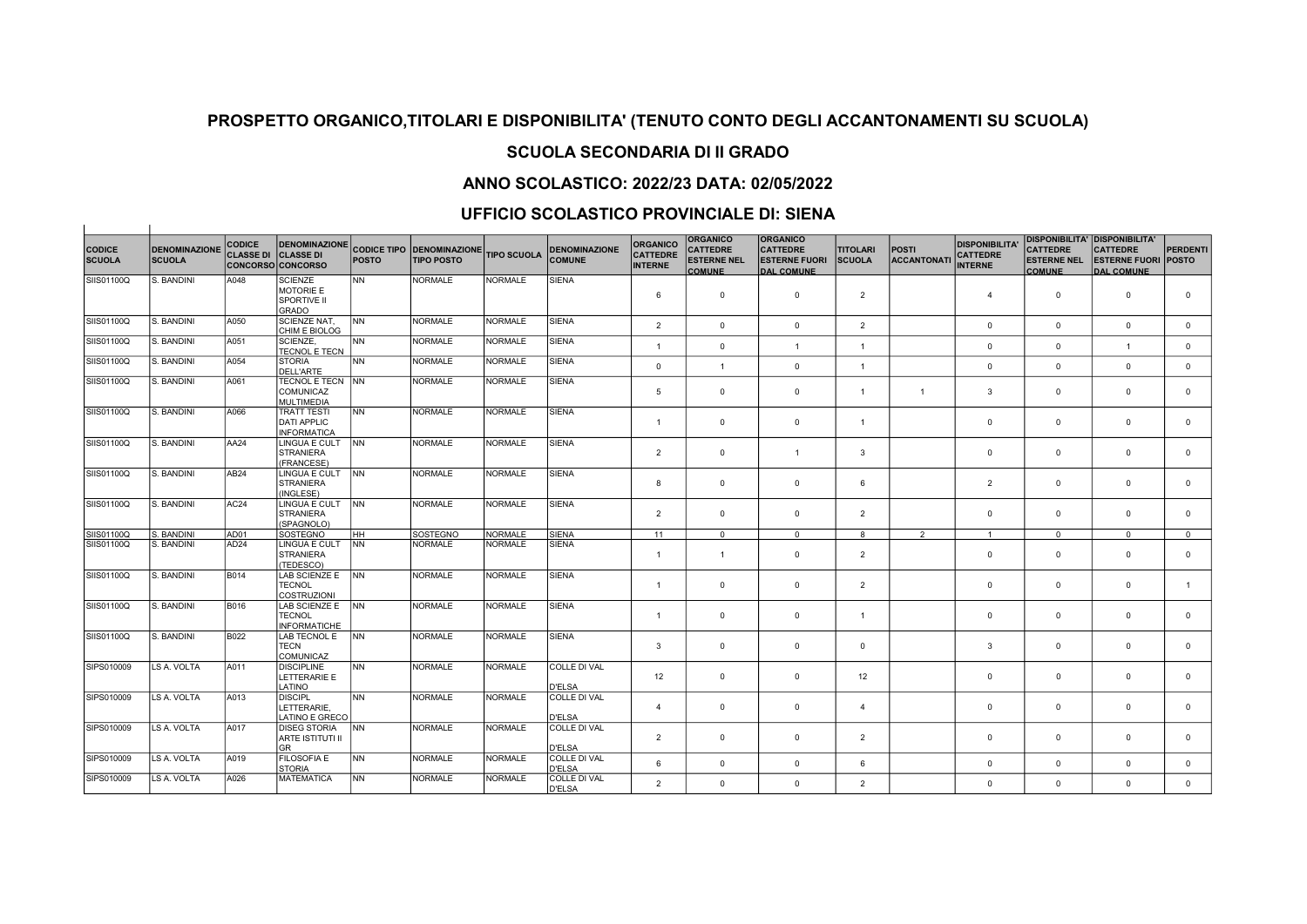## SCUOLA SECONDARIA DI II GRADO

## ANNO SCOLASTICO: 2022/23 DATA: 02/05/2022

### UFFICIO SCOLASTICO PROVINCIALE DI: SIENA

| <b>CODICE</b><br><b>SCUOLA</b> | <b>DENOMINAZIONE</b><br><b>SCUOLA</b> | <b>CODICE</b><br><b>CLASSE DI</b> | <b>DENOMINAZIONE</b><br><b>CLASSE DI</b><br>CONCORSO CONCORSO     | <b>POSTO</b>   | <b>CODICE TIPO DENOMINAZIONE</b><br><b>TIPO POSTO</b> | <b>TIPO SCUOLA</b> | <b>DENOMINAZIONE</b><br><b>COMUNE</b> | <b>ORGANICO</b><br><b>CATTEDRE</b><br><b>INTERNE</b> | <b>ORGANICO</b><br><b>CATTEDRE</b><br><b>ESTERNE NEL</b><br><b>COMUNE</b> | <b>ORGANICO</b><br><b>CATTEDRE</b><br><b>ESTERNE FUORI</b><br><b>DAL COMUNE</b> | <b>TITOLARI</b><br><b>SCUOLA</b> | <b>POSTI</b><br><b>ACCANTONAT</b> | <b>DISPONIBILITA</b><br><b>CATTEDRE</b><br><b>INTERNE</b> | <b>CATTEDRE</b><br><b>ESTERNE NEL</b><br><b>COMUNE</b> | <b>DISPONIBILITA' DISPONIBILITA'</b><br><b>CATTEDRE</b><br><b>ESTERNE FUORI</b><br><b>DAL COMUNE</b> | PERDENTI<br><b>POSTO</b> |
|--------------------------------|---------------------------------------|-----------------------------------|-------------------------------------------------------------------|----------------|-------------------------------------------------------|--------------------|---------------------------------------|------------------------------------------------------|---------------------------------------------------------------------------|---------------------------------------------------------------------------------|----------------------------------|-----------------------------------|-----------------------------------------------------------|--------------------------------------------------------|------------------------------------------------------------------------------------------------------|--------------------------|
| SIIS01100Q                     | S. BANDINI                            | A048                              | <b>SCIENZE</b><br><b>MOTORIE E</b><br><b>SPORTIVE II</b><br>GRADO | N <sub>N</sub> | <b>NORMALE</b>                                        | <b>NORMALE</b>     | <b>SIENA</b>                          | 6                                                    | $\mathbf 0$                                                               | $\mathbf 0$                                                                     | $\overline{2}$                   |                                   | $\overline{4}$                                            | $\mathbf 0$                                            | $\overline{0}$                                                                                       | $\Omega$                 |
| SIIS01100Q                     | S. BANDINI                            | A050                              | <b>SCIENZE NAT,</b><br>CHIM E BIOLOG                              | <b>INN</b>     | <b>NORMALE</b>                                        | <b>NORMALE</b>     | <b>SIENA</b>                          | $\overline{2}$                                       | $\mathbf 0$                                                               | $\mathbf 0$                                                                     | $\overline{2}$                   |                                   | $\mathbf{0}$                                              | $\mathbf{0}$                                           | $\overline{0}$                                                                                       | $^{\circ}$               |
| SIIS01100Q                     | S. BANDINI                            | A051                              | <b>SCIENZE.</b><br><b>TECNOL E TECN</b>                           | <b>INN</b>     | <b>NORMALE</b>                                        | <b>NORMALE</b>     | <b>SIENA</b>                          | $\overline{1}$                                       | $\mathbf 0$                                                               |                                                                                 |                                  |                                   | $\mathbf 0$                                               | $\mathbf 0$                                            | $\overline{1}$                                                                                       | $\mathbf 0$              |
| SIIS01100Q                     | S. BANDINI                            | A054                              | STORIA<br><b>DELL'ARTE</b>                                        | N <sub>N</sub> | <b>NORMALE</b>                                        | <b>NORMALE</b>     | <b>SIENA</b>                          | $\mathbf 0$                                          | $\overline{1}$                                                            | $\mathbf 0$                                                                     | $\overline{1}$                   |                                   | $\mathbf 0$                                               | $\mathbf 0$                                            | $\mathbf 0$                                                                                          | $\mathbf 0$              |
| SIIS01100Q                     | S. BANDINI                            | A061                              | <b>TECNOL E TECN INN</b><br><b>COMUNICAZ</b><br><b>MULTIMEDIA</b> |                | <b>NORMALE</b>                                        | <b>NORMALE</b>     | <b>SIENA</b>                          | 5                                                    | $\mathbf 0$                                                               | $\mathbf 0$                                                                     | $\overline{1}$                   |                                   | $\mathbf{3}$                                              | $\mathbf 0$                                            | $\overline{0}$                                                                                       | $\mathbf 0$              |
| SIIS01100Q                     | S. BANDINI                            | A066                              | <b>TRATT TESTI</b><br><b>DATI APPLIC</b><br><b>INFORMATICA</b>    | <b>INN</b>     | <b>NORMALE</b>                                        | <b>NORMALE</b>     | <b>SIENA</b>                          | $\overline{1}$                                       | $\overline{0}$                                                            | $^{\circ}$                                                                      | $\overline{1}$                   |                                   | $\mathbf 0$                                               | $\mathbf 0$                                            | $\overline{0}$                                                                                       | $\Omega$                 |
| SIIS01100Q                     | S. BANDINI                            | AA24                              | LINGUA E CULT<br>STRANIERA<br>(FRANCESE)                          | <b>INN</b>     | <b>NORMALE</b>                                        | <b>NORMALE</b>     | <b>SIENA</b>                          | $\overline{2}$                                       | $\mathbf 0$                                                               | $\overline{1}$                                                                  | 3                                |                                   | $\mathbf 0$                                               | $\mathbf 0$                                            | $\overline{0}$                                                                                       | $\Omega$                 |
| SIIS01100Q                     | S. BANDINI                            | AB24                              | LINGUA E CULT<br>STRANIERA<br>(INGLESE)                           | <b>INN</b>     | <b>NORMALE</b>                                        | <b>NORMALE</b>     | <b>SIENA</b>                          | 8                                                    | $\overline{0}$                                                            | $\mathbf 0$                                                                     | 6                                |                                   | $\overline{2}$                                            | $\mathbf 0$                                            | $\overline{0}$                                                                                       | $\mathbf 0$              |
| SIIS01100Q                     | S. BANDINI                            | AC <sub>24</sub>                  | LINGUA E CULT<br><b>STRANIERA</b><br>(SPAGNOLO)                   | <b>INN</b>     | <b>NORMALE</b>                                        | NORMALE            | <b>SIENA</b>                          | $\overline{2}$                                       | $\overline{0}$                                                            | $^{\circ}$                                                                      | $\overline{2}$                   |                                   | $^{\circ}$                                                | $\mathbf 0$                                            | $\overline{0}$                                                                                       | $\Omega$                 |
| SIIS01100Q                     | S. BANDINI                            | AD01                              | SOSTEGNO                                                          | IHH.           | SOSTEGNO                                              | <b>NORMALE</b>     | <b>SIENA</b>                          | 11                                                   | $\mathbf{0}$                                                              | $\mathbf 0$                                                                     | 8                                | $\overline{2}$                    | $\overline{1}$                                            | $\mathbf{0}$                                           | $\mathbf{0}$                                                                                         | $\mathbf{0}$             |
| SIIS01100Q                     | S. BANDINI                            | AD <sub>24</sub>                  | LINGUA E CULT<br><b>STRANIERA</b><br>(TEDESCO)                    | <b>NN</b>      | <b>NORMALE</b>                                        | NORMALE            | <b>SIENA</b>                          | $\overline{1}$                                       | $\overline{1}$                                                            | $\Omega$                                                                        | $\overline{2}$                   |                                   | $\mathbf 0$                                               | $\mathbf 0$                                            | $\overline{0}$                                                                                       | $\mathbf 0$              |
| SIIS01100Q                     | S. BANDINI                            | <b>B014</b>                       | LAB SCIENZE E INN<br><b>TECNOL</b><br><b>COSTRUZIONI</b>          |                | <b>NORMALE</b>                                        | <b>NORMALE</b>     | <b>SIENA</b>                          | $\overline{1}$                                       | $\overline{0}$                                                            | $\mathbf 0$                                                                     | $\overline{2}$                   |                                   | $\mathbf 0$                                               | $\mathbf 0$                                            | $\overline{0}$                                                                                       | $\overline{1}$           |
| SIIS01100Q                     | S. BANDINI                            | B016                              | LAB SCIENZE E INN<br><b>TECNOL</b><br><b>INFORMATICHE</b>         |                | <b>NORMALE</b>                                        | <b>NORMALE</b>     | <b>SIENA</b>                          | $\overline{1}$                                       | $\overline{0}$                                                            | $\Omega$                                                                        | $\overline{1}$                   |                                   | $^{\circ}$                                                | $\mathbf 0$                                            | $\overline{0}$                                                                                       | $\Omega$                 |
| SIIS01100Q                     | S. BANDINI                            | <b>B022</b>                       | LAB TECNOL E<br><b>TECN</b><br>COMUNICAZ                          | NN             | <b>NORMALE</b>                                        | <b>NORMALE</b>     | <b>SIENA</b>                          | 3                                                    | $\overline{0}$                                                            | $\Omega$                                                                        | $\mathbf 0$                      |                                   | $\mathbf{3}$                                              | $\mathbf{0}$                                           | $\overline{0}$                                                                                       | $\mathbf 0$              |
| SIPS010009                     | LS A. VOLTA                           | A011                              | DISCIPLINE<br>LETTERARIE E<br>LATINO                              | <b>INN</b>     | <b>NORMALE</b>                                        | <b>NORMALE</b>     | <b>COLLE DI VAL</b><br>D'ELSA         | 12                                                   | $\mathbf{0}$                                                              | $\mathbf 0$                                                                     | 12                               |                                   | $\mathbf 0$                                               | $\mathbf 0$                                            | $\overline{0}$                                                                                       | $\mathbf 0$              |
| SIPS010009                     | LS A. VOLTA                           | A013                              | <b>DISCIPL</b><br>LETTERARIE.<br>LATINO E GRECO                   | <b>INN</b>     | <b>NORMALE</b>                                        | <b>NORMALE</b>     | COLLE DI VAL<br><b>D'ELSA</b>         | $\overline{4}$                                       | $\mathbf 0$                                                               | $\mathbf 0$                                                                     | $\overline{4}$                   |                                   | $\mathbf 0$                                               | $\mathbf 0$                                            | $\overline{0}$                                                                                       | $\mathbf 0$              |
| SIPS010009                     | LS A. VOLTA                           | A017                              | <b>DISEG STORIA</b><br>ARTE ISTITUTI II<br><b>GR</b>              | N <sub>N</sub> | <b>NORMALE</b>                                        | <b>NORMALE</b>     | COLLE DI VAL<br><b>D'ELSA</b>         | 2                                                    | $\overline{0}$                                                            | $^{\circ}$                                                                      | $\overline{2}$                   |                                   | $^{\circ}$                                                | $\mathbf 0$                                            | $\overline{0}$                                                                                       | $\mathbf 0$              |
| SIPS010009                     | LS A. VOLTA                           | A019                              | <b>FILOSOFIA E</b><br><b>STORIA</b>                               | <b>INN</b>     | <b>NORMALE</b>                                        | <b>NORMALE</b>     | COLLE DI VAL<br>D'ELSA                | 6                                                    | $\mathbf 0$                                                               | $^{\circ}$                                                                      | 6                                |                                   | $\Omega$                                                  | $\mathbf 0$                                            | $\mathbf 0$                                                                                          | $\mathbf 0$              |
| SIPS010009                     | LS A. VOLTA                           | A026                              | MATEMATICA                                                        | <b>INN</b>     | NORMALE                                               | <b>NORMALE</b>     | COLLE DI VAL<br><b>D'ELSA</b>         | $\overline{2}$                                       | $\mathbf 0$                                                               | $\Omega$                                                                        | $\overline{2}$                   |                                   | $\Omega$                                                  | $\Omega$                                               | $\Omega$                                                                                             | $\mathbf 0$              |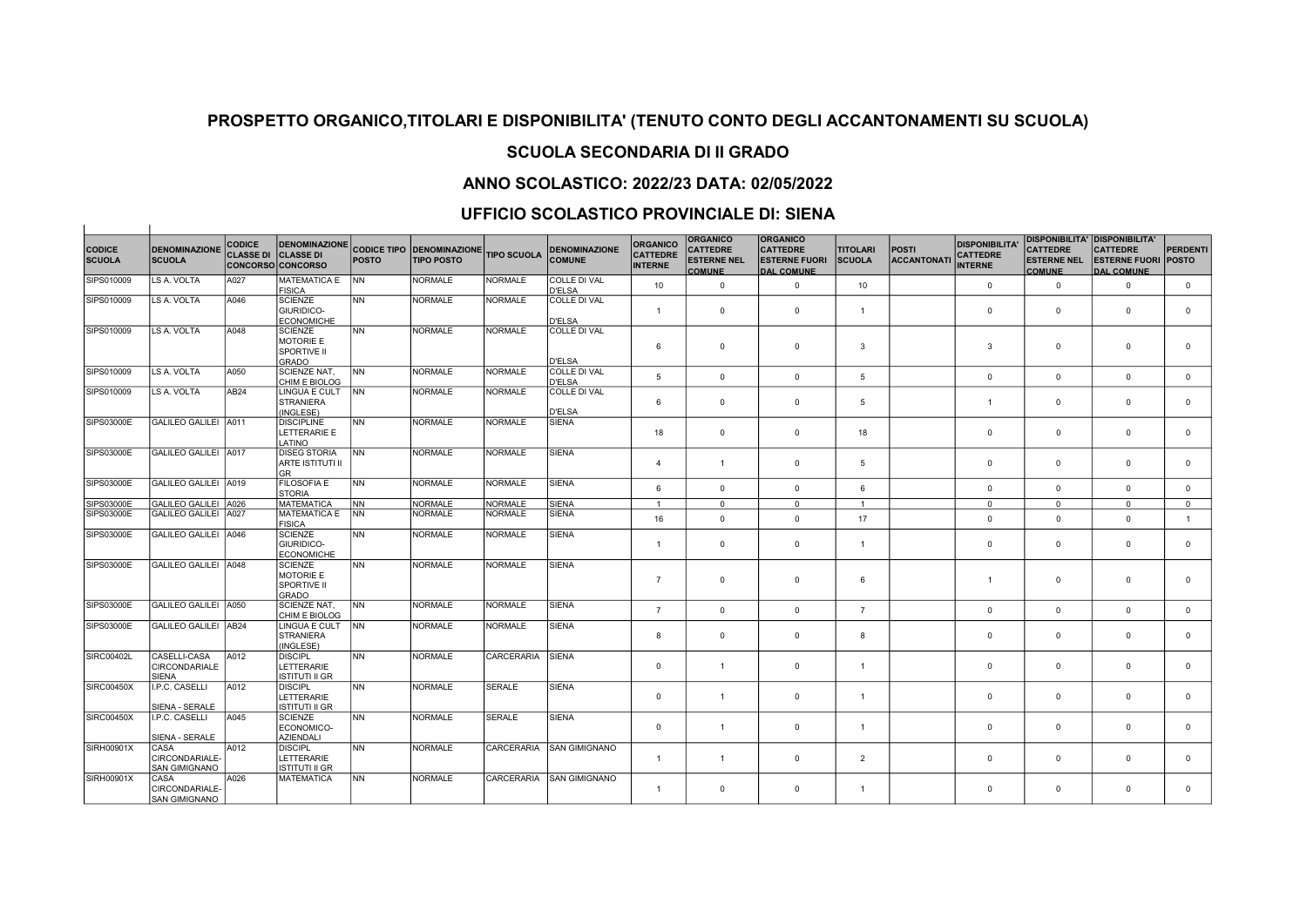## SCUOLA SECONDARIA DI II GRADO

## ANNO SCOLASTICO: 2022/23 DATA: 02/05/2022

### UFFICIO SCOLASTICO PROVINCIALE DI: SIENA

 $\overline{1}$ 

|                                |                                                      | <b>CODICE</b>    | <b>DENOMINAZIONE</b>                                                     |                 |                                                       |                    |                                       | <b>ORGANICO</b>                   | <b>ORGANICO</b>                                        | <b>ORGANICO</b>                                              |                                  |                                   | <b>DISPONIBILITA</b>              |                                                        | <b>DISPONIBILITA' DISPONIBILITA'</b>                               |                 |
|--------------------------------|------------------------------------------------------|------------------|--------------------------------------------------------------------------|-----------------|-------------------------------------------------------|--------------------|---------------------------------------|-----------------------------------|--------------------------------------------------------|--------------------------------------------------------------|----------------------------------|-----------------------------------|-----------------------------------|--------------------------------------------------------|--------------------------------------------------------------------|-----------------|
| <b>CODICE</b><br><b>SCUOLA</b> | <b>DENOMINAZIONE</b><br><b>SCUOLA</b>                | <b>CLASSE DI</b> | <b>CLASSE DI</b><br><b>CONCORSO CONCORSO</b>                             | <b>POSTO</b>    | <b>CODICE TIPO DENOMINAZIONE</b><br><b>TIPO POSTO</b> | <b>TIPO SCUOLA</b> | <b>DENOMINAZIONE</b><br><b>COMUNE</b> | <b>CATTEDRE</b><br><b>INTERNE</b> | <b>CATTEDRE</b><br><b>ESTERNE NEL</b><br><b>COMUNE</b> | <b>CATTEDRE</b><br><b>ESTERNE FUORI</b><br><b>DAL COMUNE</b> | <b>TITOLARI</b><br><b>SCUOLA</b> | <b>POSTI</b><br><b>ACCANTONAT</b> | <b>CATTEDRE</b><br><b>INTERNE</b> | <b>CATTEDRE</b><br><b>ESTERNE NEL</b><br><b>COMUNE</b> | <b>CATTEDRE</b><br><b>ESTERNE FUORI POSTO</b><br><b>DAL COMUNE</b> | <b>PERDENTI</b> |
| SIPS010009                     | LS A. VOLTA                                          | A027             | <b>MATEMATICA E</b><br>FISICA                                            | <b>INN</b>      | <b>NORMALE</b>                                        | <b>NORMALE</b>     | <b>COLLE DI VAL</b><br><b>D'ELSA</b>  | 10                                | $\mathbf 0$                                            | $\mathbf{0}$                                                 | 10                               |                                   | $\mathbf{0}$                      | $\mathbf 0$                                            | $\mathbf 0$                                                        | $\mathbf 0$     |
| SIPS010009                     | LS A. VOLTA                                          | A046             | <b>SCIENZE</b><br><b>GIURIDICO-</b><br>ECONOMICHE                        | <b>NN</b>       | <b>NORMALE</b>                                        | <b>NORMALE</b>     | <b>COLLE DI VAL</b><br><b>D'ELSA</b>  | $\mathbf{1}$                      | $\mathbf 0$                                            | $^{\circ}$                                                   | $\overline{1}$                   |                                   | $\mathbf{0}$                      | $\mathbf 0$                                            | $\overline{0}$                                                     | $\mathbf 0$     |
| SIPS010009                     | LS A. VOLTA                                          | A048             | <b>SCIENZE</b><br><b>MOTORIE E</b><br><b>SPORTIVE II</b><br><b>GRADO</b> | <b>NN</b>       | <b>NORMALE</b>                                        | NORMALE            | <b>COLLE DI VAL</b><br><b>D'ELSA</b>  | 6                                 | $\mathbf 0$                                            | $\mathbf 0$                                                  | 3                                |                                   | 3                                 | $\mathbf 0$                                            | $\overline{0}$                                                     | $\mathbf 0$     |
| SIPS010009                     | LS A. VOLTA                                          | A050             | <b>SCIENZE NAT.</b><br>CHIM E BIOLOG                                     | INN .           | <b>NORMALE</b>                                        | <b>NORMALE</b>     | <b>COLLE DI VAL</b><br><b>D'ELSA</b>  | 5                                 | $\mathbf 0$                                            | $\Omega$                                                     | $5\overline{5}$                  |                                   | $\mathbf 0$                       | $\mathbf 0$                                            | $\Omega$                                                           | $\mathbf{0}$    |
| SIPS010009                     | LS A. VOLTA                                          | AB24             | LINGUA E CULT<br>STRANIERA<br>(INGLESE)                                  | <b>INN</b>      | <b>NORMALE</b>                                        | <b>NORMALE</b>     | <b>COLLE DI VAL</b><br><b>D'ELSA</b>  | 6                                 | $\mathbf{0}$                                           | $\mathbf{0}$                                                 | 5                                |                                   | $\mathbf{1}$                      | $\mathbf{0}$                                           | $\overline{0}$                                                     | $\mathbf 0$     |
| SIPS03000E                     | <b>GALILEO GALILEI</b>                               | A011             | <b>DISCIPLINE</b><br>LETTERARIE E<br>LATINO                              | <b>NN</b>       | <b>NORMALE</b>                                        | <b>NORMALE</b>     | <b>SIENA</b>                          | 18                                | $\mathbf 0$                                            | $^{\circ}$                                                   | 18                               |                                   | $\mathbf{0}$                      | $\mathbf 0$                                            | $\overline{0}$                                                     | $\mathbf 0$     |
| SIPS03000E                     | <b>GALILEO GALILEI</b>                               | A017             | <b>DISEG STORIA</b><br>ARTE ISTITUTI II<br>lgr                           | <b>NN</b>       | <b>NORMALE</b>                                        | <b>NORMALE</b>     | <b>SIENA</b>                          | $\overline{4}$                    | $\mathbf{1}$                                           | $\mathbf 0$                                                  | 5                                |                                   | $\mathbf 0$                       | $\mathbf{0}$                                           | $\overline{0}$                                                     | $\mathbf 0$     |
| SIPS03000E                     | GALILEO GALILEI A019                                 |                  | <b>FILOSOFIA E</b><br><b>STORIA</b>                                      | <b>NN</b>       | <b>NORMALE</b>                                        | NORMALE            | <b>SIENA</b>                          | 6                                 | $\mathbf{0}$                                           | $\mathbf 0$                                                  | 6                                |                                   | $\mathbf{0}$                      | $\mathbf{0}$                                           | $\overline{0}$                                                     | $\mathbf{0}$    |
| SIPS03000E                     | GALILEO GALILEI A026                                 |                  | <b>MATEMATICA</b>                                                        | INN.            | <b>NORMALE</b>                                        | NORMALE            | <b>SIENA</b>                          | $\mathbf{1}$                      | $\mathbf{0}$                                           | $\mathbf{0}$                                                 | $\overline{1}$                   |                                   | $\mathbf{0}$                      | $\mathbf{0}$                                           | $\mathbf{0}$                                                       | $\mathbf{0}$    |
| SIPS03000E                     | GALILEO GALILEI A027                                 |                  | MATEMATICA E<br>FISICA                                                   | INN.            | <b>NORMALE</b>                                        | <b>NORMALE</b>     | <b>SIENA</b>                          | 16                                | $\mathbf 0$                                            | $\Omega$                                                     | 17                               |                                   | $\mathbf{0}$                      | $\mathbf 0$                                            | $\Omega$                                                           | $\mathbf{1}$    |
| SIPS03000E                     | GALILEO GALILEI A046                                 |                  | <b>SCIENZE</b><br><b>GIURIDICO-</b><br><b>ECONOMICHE</b>                 | <b>NN</b>       | <b>NORMALE</b>                                        | <b>NORMALE</b>     | <b>SIENA</b>                          | $\mathbf{1}$                      | $\mathbf 0$                                            | $\mathbf 0$                                                  | $\mathbf{1}$                     |                                   | $\mathbf 0$                       | $\mathbf 0$                                            | $\overline{0}$                                                     | $\mathbf 0$     |
| SIPS03000E                     | GALILEO GALILEI A048                                 |                  | <b>SCIENZE</b><br>MOTORIE E<br><b>SPORTIVE II</b><br><b>GRADO</b>        | <b>NN</b>       | <b>NORMALE</b>                                        | <b>NORMALE</b>     | <b>SIENA</b>                          | $\overline{7}$                    | $\mathbf 0$                                            | $\mathbf 0$                                                  | 6                                |                                   | $\mathbf{1}$                      | $\mathbf 0$                                            | $\overline{0}$                                                     | $\mathbf 0$     |
| SIPS03000E                     | GALILEO GALILEI A050                                 |                  | <b>SCIENZE NAT.</b><br>CHIM E BIOLOG                                     | NN <sup>1</sup> | <b>NORMALE</b>                                        | <b>NORMALE</b>     | <b>SIENA</b>                          | $\overline{7}$                    | $\mathbf 0$                                            | $\mathbf 0$                                                  | $\overline{7}$                   |                                   | $\mathbf{0}$                      | $\mathbf 0$                                            | $\mathbf 0$                                                        | $\mathbf{0}$    |
| SIPS03000E                     | GALILEO GALILEI AB24                                 |                  | LINGUA E CULT<br><b>STRANIERA</b><br>(INGLESE)                           | INN.            | <b>NORMALE</b>                                        | <b>NORMALE</b>     | <b>SIENA</b>                          | 8                                 | $\mathsf 0$                                            | $\mathbf 0$                                                  | 8                                |                                   | $\mathbf 0$                       | $\mathsf 0$                                            | $\mathbf 0$                                                        | $\mathbf 0$     |
| SIRC00402L                     | CASELLI-CASA<br><b>CIRCONDARIALE</b><br><b>SIENA</b> | A012             | <b>DISCIPL</b><br>LETTERARIE<br><b>ISTITUTI II GR</b>                    | <b>NN</b>       | <b>NORMALE</b>                                        | CARCERARIA         | <b>SIENA</b>                          | $\mathbf 0$                       | $\overline{1}$                                         | $\mathbf 0$                                                  | $\mathbf{1}$                     |                                   | $\mathbf 0$                       | $\mathbf 0$                                            | $\mathbf 0$                                                        | $\mathbf 0$     |
| <b>SIRC00450X</b>              | I.P.C. CASELLI<br>SIENA - SERALE                     | A012             | <b>DISCIPL</b><br>LETTERARIE<br>ISTITUTI II GR                           | <b>NN</b>       | <b>NORMALE</b>                                        | <b>SERALE</b>      | <b>SIENA</b>                          | $\mathbf 0$                       | $\mathbf{1}$                                           | $\mathbf 0$                                                  | $\overline{1}$                   |                                   | $\mathbf 0$                       | $\mathsf 0$                                            | $\mathsf 0$                                                        | $\mathbf 0$     |
| SIRC00450X                     | I.P.C. CASELLI<br>SIENA - SERALE                     | A045             | <b>SCIENZE</b><br>ECONOMICO-<br>AZIENDALI                                | <b>NN</b>       | <b>NORMALE</b>                                        | SERALE             | <b>SIENA</b>                          | $\mathbf 0$                       | $\overline{1}$                                         | $\mathbf 0$                                                  | $\mathbf{1}$                     |                                   | $\mathbf{0}$                      | $\mathbf 0$                                            | $\overline{0}$                                                     | $\mathbf 0$     |
| SIRH00901X                     | CASA<br>CIRCONDARIALE-<br><b>SAN GIMIGNANO</b>       | A012             | <b>DISCIPL</b><br><b>LETTERARIE</b><br>ISTITUTI II GR                    | <b>NN</b>       | <b>NORMALE</b>                                        | CARCERARIA         | <b>SAN GIMIGNANO</b>                  | $\mathbf{1}$                      | $\mathbf{1}$                                           | $\mathbf 0$                                                  | $\overline{2}$                   |                                   | $\mathbf 0$                       | $\mathbf 0$                                            | $\overline{0}$                                                     | $\mathbf 0$     |
| SIRH00901X                     | CASA<br>CIRCONDARIALE-<br><b>SAN GIMIGNANO</b>       | A026             | MATEMATICA                                                               | <b>NN</b>       | <b>NORMALE</b>                                        | CARCERARIA         | <b>SAN GIMIGNANO</b>                  | $\mathbf{1}$                      | $^{\circ}$                                             | $^{\circ}$                                                   | $\mathbf{1}$                     |                                   | $\mathbf{0}$                      | $\Omega$                                               | $\Omega$                                                           | $\mathbf 0$     |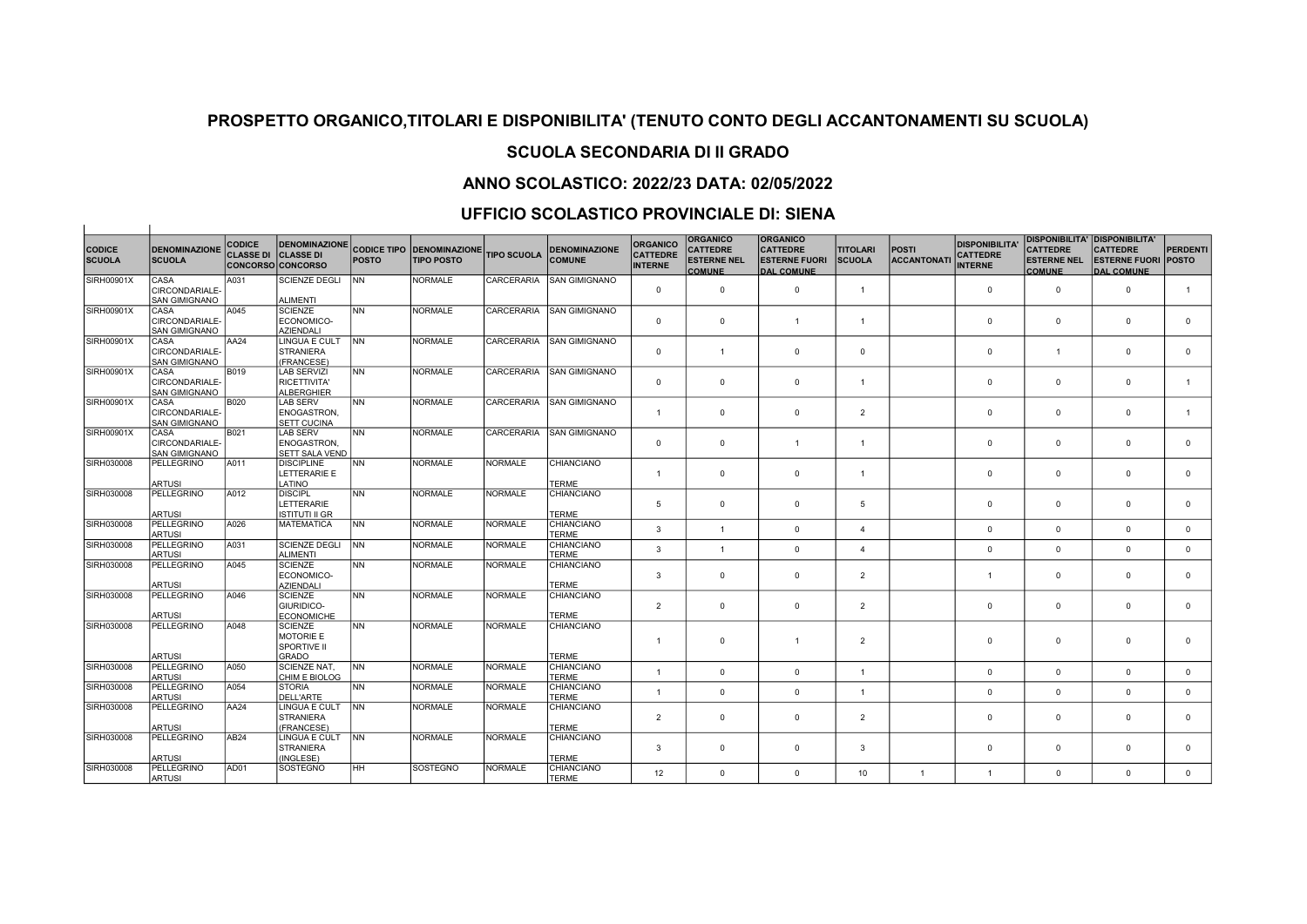# SCUOLA SECONDARIA DI II GRADO

### ANNO SCOLASTICO: 2022/23 DATA: 02/05/2022

### UFFICIO SCOLASTICO PROVINCIALE DI: SIENA

 $\overline{1}$ 

| <b>CODICE</b><br><b>SCUOLA</b> | <b>DENOMINAZIONE</b><br><b>SCUOLA</b>          | <b>CODICE</b><br><b>CLASSE DI</b> | <b>DENOMINAZIONE</b><br><b>CLASSE DI</b><br>CONCORSO CONCORSO | <b>POSTO</b> | <b>CODICE TIPO DENOMINAZIONE</b><br><b>TIPO POSTO</b> | <b>TIPO SCUOLA</b> | <b>DENOMINAZIONE</b><br><b>COMUNE</b> | <b>ORGANICO</b><br><b>CATTEDRE</b><br><b>INTERNE</b> | <b>ORGANICO</b><br><b>CATTEDRE</b><br><b>ESTERNE NEL</b><br><b>COMUNE</b> | <b>ORGANICO</b><br><b>CATTEDRE</b><br><b>ESTERNE FUORI</b><br><b>DAL COMUNE</b> | <b>TITOLARI</b><br><b>SCUOLA</b> | <b>POSTI</b><br><b>ACCANTONAT</b> | <b>DISPONIBILITA'</b><br><b>CATTEDRE</b><br><b>INTERNE</b> | <b>DISPONIBILITA' DISPONIBILITA'</b><br><b>CATTEDRE</b><br><b>ESTERNE NEL</b><br><b>COMUNE</b> | <b>CATTEDRE</b><br><b>ESTERNE FUORI POSTO</b><br><b>DAL COMUNE</b> | <b>PERDENTI</b> |
|--------------------------------|------------------------------------------------|-----------------------------------|---------------------------------------------------------------|--------------|-------------------------------------------------------|--------------------|---------------------------------------|------------------------------------------------------|---------------------------------------------------------------------------|---------------------------------------------------------------------------------|----------------------------------|-----------------------------------|------------------------------------------------------------|------------------------------------------------------------------------------------------------|--------------------------------------------------------------------|-----------------|
| SIRH00901X                     | CASA<br>CIRCONDARIALE-<br><b>SAN GIMIGNANO</b> | A031                              | <b>SCIENZE DEGLI</b><br><b>ALIMENTI</b>                       | <b>INN</b>   | <b>NORMALE</b>                                        | <b>CARCERARIA</b>  | <b>SAN GIMIGNANO</b>                  | $^{\circ}$                                           | $^{\circ}$                                                                | $\mathbf 0$                                                                     | $\overline{1}$                   |                                   | $\mathbf{0}$                                               | $\mathbf 0$                                                                                    | $\overline{0}$                                                     | $\mathbf{1}$    |
| SIRH00901X                     | CASA<br>CIRCONDARIALE-<br><b>SAN GIMIGNANO</b> | A045                              | <b>SCIENZE</b><br>ECONOMICO-<br>AZIENDALI                     | Inn          | <b>NORMALE</b>                                        | CARCERARIA         | <b>SAN GIMIGNANO</b>                  | $\mathbf 0$                                          | $\mathbf 0$                                                               | $\mathbf{1}$                                                                    | $\overline{1}$                   |                                   | $\mathbf 0$                                                | $\mathbf 0$                                                                                    | $\overline{0}$                                                     | $\mathbf 0$     |
| SIRH00901X                     | CASA<br>CIRCONDARIALE-<br>SAN GIMIGNANO        | AA24                              | <b>LINGUA E CULT</b><br><b>STRANIERA</b><br>(FRANCESE)        | <b>NN</b>    | <b>NORMALE</b>                                        | <b>CARCERARIA</b>  | <b>SAN GIMIGNANO</b>                  | $^{\circ}$                                           | $\mathbf{1}$                                                              | $\mathbf{0}$                                                                    | $^{\circ}$                       |                                   | $\mathbf 0$                                                | $\mathbf{1}$                                                                                   | $\overline{0}$                                                     | $\mathbf 0$     |
| SIRH00901X                     | CASA<br>CIRCONDARIALE-<br><b>SAN GIMIGNANO</b> | <b>B019</b>                       | <b>LAB SERVIZI</b><br>RICETTIVITA'<br>ALBERGHIER              | Inn          | <b>NORMALE</b>                                        | CARCERARIA         | <b>SAN GIMIGNANO</b>                  | $\mathbf 0$                                          | $\mathbf 0$                                                               | $\mathbf 0$                                                                     | $\overline{1}$                   |                                   | $\mathbf 0$                                                | $\mathbf 0$                                                                                    | $\overline{0}$                                                     | $\overline{1}$  |
| SIRH00901X                     | CASA<br>CIRCONDARIALE-<br><b>SAN GIMIGNANO</b> | <b>B020</b>                       | LAB SERV<br>ENOGASTRON.<br><b>SETT CUCINA</b>                 | <b>NN</b>    | <b>NORMALE</b>                                        | CARCERARIA         | <b>SAN GIMIGNANO</b>                  | $\mathbf{1}$                                         | $^{\circ}$                                                                | $\mathbf 0$                                                                     | 2                                |                                   | $\mathbf 0$                                                | $\mathbf 0$                                                                                    | $\overline{0}$                                                     |                 |
| SIRH00901X                     | CASA<br>CIRCONDARIALE-<br><b>SAN GIMIGNANO</b> | B021                              | LAB SERV<br>ENOGASTRON.<br><b>SETT SALA VEND</b>              | <b>NN</b>    | <b>NORMALE</b>                                        | CARCERARIA         | <b>SAN GIMIGNANO</b>                  | $\mathbf 0$                                          | $\mathbf{0}$                                                              | $\overline{1}$                                                                  | $\overline{1}$                   |                                   | $\mathbf 0$                                                | $\mathbf 0$                                                                                    | $\overline{0}$                                                     | $\Omega$        |
| SIRH030008                     | <b>PELLEGRINO</b><br><b>ARTUSI</b>             | A011                              | <b>DISCIPLINE</b><br>LETTERARIE E<br>LATINO                   | lnn          | <b>NORMALE</b>                                        | NORMALE            | <b>CHIANCIANO</b><br><b>TERME</b>     | $\mathbf{1}$                                         | $\mathbf{0}$                                                              | $\mathbf 0$                                                                     | $\overline{1}$                   |                                   | $\mathbf 0$                                                | $\mathbf 0$                                                                                    | $\overline{0}$                                                     | $\mathbf 0$     |
| SIRH030008                     | PELLEGRINO<br><b>ARTUSI</b>                    | A012                              | <b>DISCIPL</b><br>LETTERARIE<br><b>ISTITUTI II GR</b>         | <b>NN</b>    | <b>NORMALE</b>                                        | NORMALE            | CHIANCIANO<br><b>TERME</b>            | 5                                                    | $\mathbf{0}$                                                              | $\Omega$                                                                        | 5                                |                                   | $\mathbf 0$                                                | $\Omega$                                                                                       | $\Omega$                                                           | $\Omega$        |
| SIRH030008                     | <b>PELLEGRINO</b><br><b>ARTUSI</b>             | A026                              | <b>MATEMATICA</b>                                             | <b>NN</b>    | <b>NORMALE</b>                                        | NORMALE            | <b>CHIANCIANO</b><br><b>TERME</b>     | 3                                                    | $\mathbf{1}$                                                              | $\mathbf{0}$                                                                    | $\mathbf{4}$                     |                                   | $\mathbf 0$                                                | $\mathbf 0$                                                                                    | $\overline{0}$                                                     | $\mathbf 0$     |
| SIRH030008                     | <b>PELLEGRINO</b><br><b>ARTUSI</b>             | A031                              | <b>SCIENZE DEGLI</b><br><b>ALIMENTI</b>                       | <b>INN</b>   | <b>NORMALE</b>                                        | <b>NORMALE</b>     | CHIANCIANO<br><b>TERME</b>            | 3                                                    | $\mathbf{1}$                                                              | $\Omega$                                                                        | $\overline{4}$                   |                                   | $\mathbf 0$                                                | $\mathbf 0$                                                                                    | $\Omega$                                                           | $\Omega$        |
| SIRH030008                     | PELLEGRINO<br><b>ARTUSI</b>                    | A045                              | SCIENZE<br>ECONOMICO-<br><b>AZIENDALI</b>                     | <b>NN</b>    | <b>NORMALE</b>                                        | <b>NORMALE</b>     | CHIANCIANO<br><b>TERME</b>            | 3                                                    | $^{\circ}$                                                                | $\mathbf{0}$                                                                    | $\overline{2}$                   |                                   | $\mathbf{1}$                                               | $\mathbf 0$                                                                                    | $\overline{0}$                                                     | $\mathbf 0$     |
| SIRH030008                     | PELLEGRINO<br><b>ARTUSI</b>                    | A046                              | <b>SCIENZE</b><br><b>GIURIDICO-</b><br><b>ECONOMICHE</b>      | INN.         | <b>NORMALE</b>                                        | <b>NORMALE</b>     | CHIANCIANO<br><b>TERME</b>            | 2                                                    | $^{\circ}$                                                                | $\mathbf 0$                                                                     | 2                                |                                   | $\mathbf{0}$                                               | $\mathbf 0$                                                                                    | $\overline{0}$                                                     | $^{\circ}$      |
| SIRH030008                     | PELLEGRINO<br><b>ARTUSI</b>                    | A048                              | <b>SCIENZE</b><br><b>MOTORIE E</b><br>SPORTIVE II<br>GRADO    | <b>NN</b>    | <b>NORMALE</b>                                        | NORMALE            | CHIANCIANO<br><b>TERME</b>            | $\mathbf{1}$                                         | $\mathbf 0$                                                               | $\overline{1}$                                                                  | 2                                |                                   | $\mathbf 0$                                                | $\mathbf 0$                                                                                    | $\overline{0}$                                                     | $\Omega$        |
| SIRH030008                     | PELLEGRINO<br><b>ARTUSI</b>                    | A050                              | <b>SCIENZE NAT.</b><br>CHIM E BIOLOG                          | <b>NN</b>    | <b>NORMALE</b>                                        | NORMALE            | CHIANCIANO<br><b>TERME</b>            | $\mathbf{1}$                                         | $\Omega$                                                                  | $\Omega$                                                                        | $\overline{1}$                   |                                   | $\mathbf 0$                                                | $\mathbf 0$                                                                                    | $\Omega$                                                           | $\Omega$        |
| SIRH030008                     | PELLEGRINO<br><b>ARTUSI</b>                    | A054                              | <b>STORIA</b><br><b>DELL'ARTE</b>                             | Inn          | <b>NORMALE</b>                                        | NORMALE            | CHIANCIANO<br><b>TERME</b>            | $\overline{1}$                                       | $\mathbf 0$                                                               | $\mathbf{0}$                                                                    | $\overline{1}$                   |                                   | $\mathbf 0$                                                | $\mathbf 0$                                                                                    | $\mathbf 0$                                                        | $\mathbf 0$     |
| SIRH030008                     | PELLEGRINO<br><b>ARTUSI</b>                    | AA24                              | LINGUA E CULT<br><b>STRANIERA</b><br>(FRANCESE)               | <b>INN</b>   | <b>NORMALE</b>                                        | NORMALE            | CHIANCIANO<br><b>TERME</b>            | $\overline{2}$                                       | $\mathbf 0$                                                               | $\mathbf{0}$                                                                    | $\overline{2}$                   |                                   | $\mathbf 0$                                                | $\mathbf 0$                                                                                    | $\overline{0}$                                                     | $\mathbf 0$     |
| SIRH030008                     | <b>PELLEGRINO</b><br><b>ARTUSI</b>             | AB24                              | LINGUA E CULT<br><b>STRANIERA</b><br>(INGLESE)                | <b>NN</b>    | <b>NORMALE</b>                                        | <b>NORMALE</b>     | CHIANCIANO<br><b>TERME</b>            | 3                                                    | $\mathbf{0}$                                                              | $\mathbf{0}$                                                                    | 3                                |                                   | $\mathbf 0$                                                | $\mathbf{0}$                                                                                   | $\overline{0}$                                                     | $\mathbf 0$     |
| SIRH030008                     | <b>PELLEGRINO</b><br><b>ARTUSI</b>             | AD <sub>01</sub>                  | <b>SOSTEGNO</b>                                               | <b>HH</b>    | <b>SOSTEGNO</b>                                       | NORMALE            | <b>CHIANCIANO</b><br><b>TERME</b>     | 12                                                   | $\mathbf 0$                                                               | $\mathbf 0$                                                                     | 10                               | $\mathbf{1}$                      | $\mathbf{1}$                                               | $\Omega$                                                                                       | $\Omega$                                                           | $\Omega$        |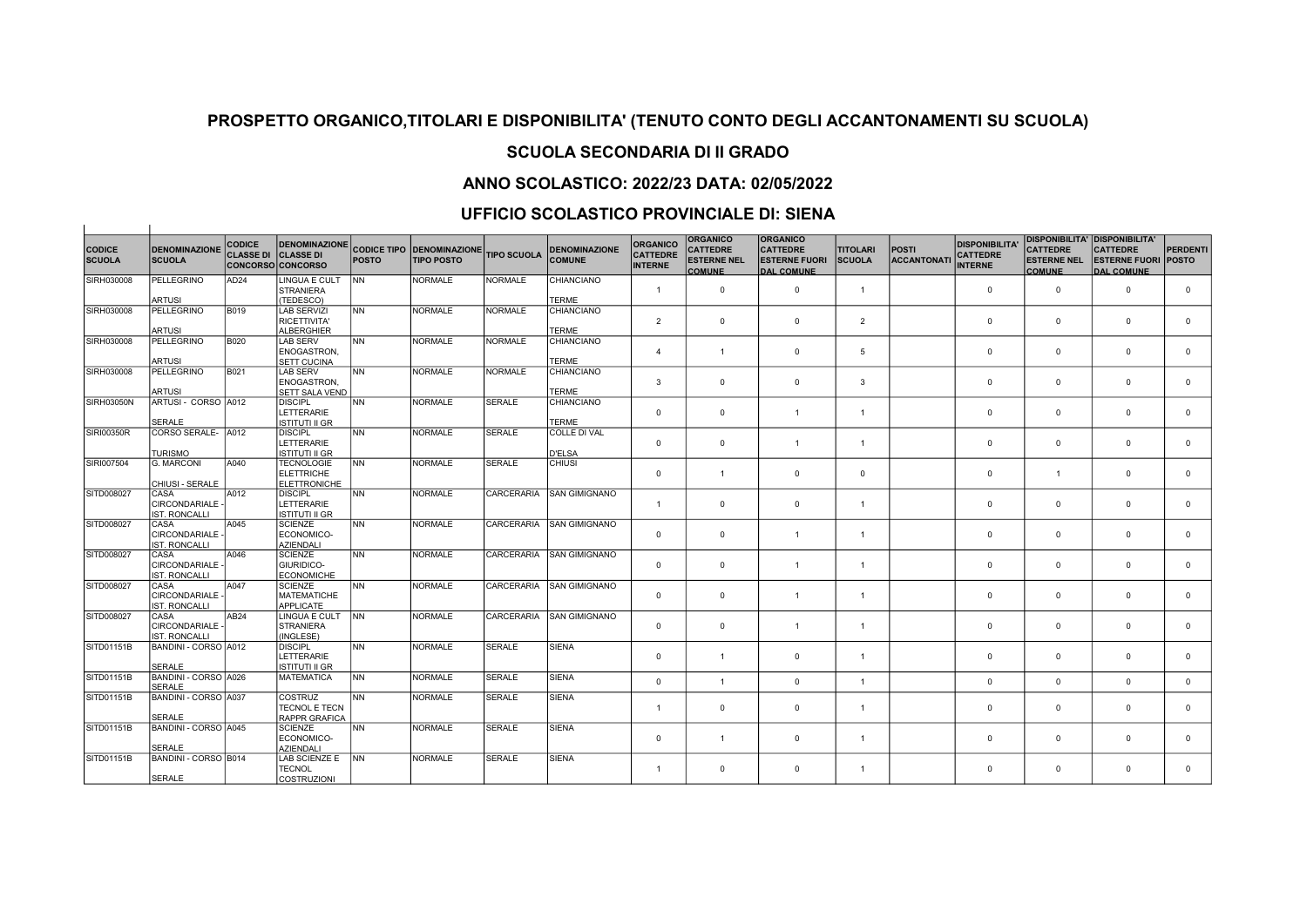# SCUOLA SECONDARIA DI II GRADO

## ANNO SCOLASTICO: 2022/23 DATA: 02/05/2022

## UFFICIO SCOLASTICO PROVINCIALE DI: SIENA

 $\overline{1}$ 

| <b>CODICE</b> | <b>DENOMINAZIONE</b> | <b>CODICE</b>                                          | DENOMINAZIONE CODICE TIPO DENOMINAZIONE |              |                   |                    | <b>DENOMINAZIONE</b> | <b>ORGANICO</b>                   | <b>ORGANICO</b><br><b>CATTEDRE</b>  | <b>ORGANICO</b><br><b>CATTEDRE</b>        | <b>TITOLARI</b> | <b>POSTI</b>       | <b>DISPONIBILITA'</b>             | <b>CATTEDRE</b>                     | DISPONIBILITA' DISPONIBILITA'<br><b>CATTEDRE</b> | <b>PERDENTI</b> |
|---------------|----------------------|--------------------------------------------------------|-----------------------------------------|--------------|-------------------|--------------------|----------------------|-----------------------------------|-------------------------------------|-------------------------------------------|-----------------|--------------------|-----------------------------------|-------------------------------------|--------------------------------------------------|-----------------|
| <b>SCUOLA</b> | <b>SCUOLA</b>        | <b>CLASSE DI CLASSE DI</b><br><b>CONCORSO CONCORSO</b> |                                         | <b>POSTO</b> | <b>TIPO POSTO</b> | <b>TIPO SCUOLA</b> | <b>COMUNE</b>        | <b>CATTEDRE</b><br><b>INTERNE</b> | <b>ESTERNE NEL</b><br><b>COMUNE</b> | <b>ESTERNE FUORI</b><br><b>DAL COMUNE</b> | SCUOLA          | <b>ACCANTONATI</b> | <b>CATTEDRE</b><br><b>INTERNE</b> | <b>ESTERNE NEL</b><br><b>COMUNE</b> | <b>ESTERNE FUORI</b><br><b>DAL COMUNE</b>        | <b>POSTO</b>    |
| SIRH030008    | <b>PELLEGRINO</b>    | AD <sub>24</sub>                                       | <b>LINGUA E CULT</b>                    | <b>NN</b>    | <b>NORMALE</b>    | <b>NORMALE</b>     | <b>CHIANCIANO</b>    |                                   |                                     |                                           |                 |                    |                                   |                                     |                                                  |                 |
|               | ARTUSI               |                                                        | <b>STRANIERA</b><br>(TEDESCO)           |              |                   |                    | <b>TERME</b>         | $\mathbf{1}$                      | $\mathbf 0$                         | $\mathbf{0}$                              | $\overline{1}$  |                    | $\mathbf 0$                       | $\mathbf 0$                         | $\mathbf 0$                                      | $^{\circ}$      |
| SIRH030008    | PELLEGRINO           | <b>B019</b>                                            | <b>LAB SERVIZI</b>                      | INN.         | <b>NORMALE</b>    | <b>NORMALE</b>     | CHIANCIANO           |                                   |                                     |                                           |                 |                    |                                   |                                     |                                                  |                 |
|               |                      |                                                        | RICETTIVITA'                            |              |                   |                    |                      | 2                                 | $^{\circ}$                          | $^{\circ}$                                | 2               |                    | $\mathbf{0}$                      | $^{\circ}$                          | $^{\circ}$                                       | $^{\circ}$      |
|               | <b>ARTUSI</b>        |                                                        | ALBERGHIER                              |              |                   |                    | <b>TERME</b>         |                                   |                                     |                                           |                 |                    |                                   |                                     |                                                  |                 |
| SIRH030008    | PELLEGRINO           | <b>B020</b>                                            | LAB SERV                                | INN.         | <b>NORMALE</b>    | <b>NORMALE</b>     | <b>CHIANCIANO</b>    |                                   |                                     |                                           |                 |                    |                                   |                                     |                                                  |                 |
|               |                      |                                                        | ENOGASTRON,                             |              |                   |                    |                      | $\overline{4}$                    | $\mathbf{1}$                        | $\mathbf{0}$                              | 5               |                    | $\mathbf{0}$                      | $\mathbf 0$                         | $^{\circ}$                                       | $^{\circ}$      |
|               | <b>ARTUSI</b>        |                                                        | <b>SETT CUCINA</b>                      |              |                   |                    | <b>TERME</b>         |                                   |                                     |                                           |                 |                    |                                   |                                     |                                                  |                 |
| SIRH030008    | <b>PELLEGRINO</b>    | B021                                                   | LAB SERV                                | <b>NN</b>    | <b>NORMALE</b>    | <b>NORMALE</b>     | <b>CHIANCIANO</b>    |                                   |                                     |                                           |                 |                    |                                   |                                     |                                                  |                 |
|               |                      |                                                        | ENOGASTRON,                             |              |                   |                    |                      | 3                                 | $\mathbf{0}$                        | $\mathbf 0$                               | $\mathbf{3}$    |                    | $\mathbf 0$                       | $\mathbf 0$                         | $^{\circ}$                                       | $\Omega$        |
|               | <b>ARTUSI</b>        |                                                        | SETT SALA VEND                          |              |                   |                    | <b>TERME</b>         |                                   |                                     |                                           |                 |                    |                                   |                                     |                                                  |                 |
| SIRH03050N    | ARTUSI - CORSO A012  |                                                        | <b>DISCIPL</b>                          | <b>NN</b>    | <b>NORMALE</b>    | <b>SERALE</b>      | <b>CHIANCIANO</b>    |                                   |                                     |                                           |                 |                    |                                   |                                     | $\Omega$                                         | $\Omega$        |
|               |                      |                                                        | LETTERARIE                              |              |                   |                    |                      | $\Omega$                          | $\mathbf{0}$                        | $\overline{1}$                            | $\overline{1}$  |                    | $\mathbf 0$                       | $\mathbf 0$                         |                                                  |                 |
|               | SERALE               |                                                        | IISTITUTI II GR                         |              |                   |                    | <b>TERME</b>         |                                   |                                     |                                           |                 |                    |                                   |                                     |                                                  |                 |
| SIRI00350R    | CORSO SERALE-        | A012                                                   | <b>DISCIPL</b><br>LETTERARIE            | <b>NN</b>    | <b>NORMALE</b>    | <b>SERALE</b>      | <b>COLLE DI VAL</b>  |                                   | $\mathbf{0}$                        | $\overline{1}$                            |                 |                    | $\mathbf 0$                       | $\mathbf 0$                         | $^{\circ}$                                       | $\Omega$        |
|               | <b>TURISMO</b>       |                                                        | <b>ISTITUTI II GR</b>                   |              |                   |                    | <b>D'ELSA</b>        | $^{\circ}$                        |                                     |                                           | $\overline{1}$  |                    |                                   |                                     |                                                  |                 |
| SIRI007504    | G. MARCONI           | A040                                                   | <b>TECNOLOGIE</b>                       | <b>NN</b>    | <b>NORMALE</b>    | <b>SERALE</b>      | <b>CHIUSI</b>        |                                   |                                     |                                           |                 |                    |                                   |                                     |                                                  |                 |
|               |                      |                                                        | ELETTRICHE                              |              |                   |                    |                      | $^{\circ}$                        | $\mathbf{1}$                        | $\mathbf 0$                               | $\mathbf 0$     |                    | $\Omega$                          | $\overline{1}$                      | $\Omega$                                         | $\Omega$        |
|               | CHIUSI - SERALE      |                                                        | ELETTRONICHE                            |              |                   |                    |                      |                                   |                                     |                                           |                 |                    |                                   |                                     |                                                  |                 |
| SITD008027    | CASA                 | A012                                                   | <b>DISCIPL</b>                          | <b>NN</b>    | <b>NORMALE</b>    | CARCERARIA         | <b>SAN GIMIGNANO</b> |                                   |                                     |                                           |                 |                    |                                   |                                     |                                                  |                 |
|               | <b>CIRCONDARIALE</b> |                                                        | LETTERARIE                              |              |                   |                    |                      | $\mathbf{1}$                      | $\mathbf{0}$                        | $\Omega$                                  | $\overline{1}$  |                    | $\mathbf 0$                       | $\Omega$                            | $\Omega$                                         | $\Omega$        |
|               | <b>IST. RONCALLI</b> |                                                        | IISTITUTI II GR                         |              |                   |                    |                      |                                   |                                     |                                           |                 |                    |                                   |                                     |                                                  |                 |
| SITD008027    | CASA                 | A045                                                   | SCIENZE                                 | <b>NN</b>    | <b>NORMALE</b>    | <b>CARCERARIA</b>  | <b>SAN GIMIGNANO</b> |                                   |                                     |                                           |                 |                    |                                   |                                     |                                                  |                 |
|               | CIRCONDARIALE -      |                                                        | ECONOMICO-                              |              |                   |                    |                      | $^{\circ}$                        | $^{\circ}$                          | $\mathbf{1}$                              | $\overline{1}$  |                    | $\mathbf{0}$                      | $\mathbf 0$                         | $^{\circ}$                                       | $\mathbf{0}$    |
|               | <b>IST. RONCALLI</b> |                                                        | AZIENDALI                               |              |                   |                    |                      |                                   |                                     |                                           |                 |                    |                                   |                                     |                                                  |                 |
| SITD008027    | CASA                 | A046                                                   | <b>SCIENZE</b>                          | Inn          | <b>NORMALE</b>    | CARCERARIA         | <b>SAN GIMIGNANO</b> |                                   |                                     |                                           |                 |                    |                                   |                                     |                                                  |                 |
|               | CIRCONDARIALE -      |                                                        | <b>GIURIDICO-</b>                       |              |                   |                    |                      | $^{\circ}$                        | $\mathbf{0}$                        | $\overline{1}$                            | $\overline{1}$  |                    | $\mathbf{0}$                      | $\mathbf 0$                         | $\mathbf 0$                                      | $\Omega$        |
|               | <b>IST. RONCALLI</b> |                                                        | <b>ECONOMICHE</b>                       |              |                   |                    |                      |                                   |                                     |                                           |                 |                    |                                   |                                     |                                                  |                 |
| SITD008027    | CASA                 | A047                                                   | <b>SCIENZE</b>                          | <b>NN</b>    | <b>NORMALE</b>    | CARCERARIA         | <b>SAN GIMIGNANO</b> |                                   |                                     |                                           |                 |                    |                                   |                                     |                                                  |                 |
|               | <b>CIRCONDARIALE</b> |                                                        | <b>MATEMATICHE</b>                      |              |                   |                    |                      | $\mathbf 0$                       | $\mathbf{0}$                        | $\mathbf{1}$                              | $\overline{1}$  |                    | $\mathbf 0$                       | $\mathbf 0$                         | $\mathbf 0$                                      | $\Omega$        |
|               | <b>IST. RONCALLI</b> |                                                        | <b>APPLICATE</b>                        |              |                   |                    |                      |                                   |                                     |                                           |                 |                    |                                   |                                     |                                                  |                 |
| SITD008027    | CASA                 | AB <sub>24</sub>                                       | LINGUA E CULT                           | <b>INN</b>   | <b>NORMALE</b>    | CARCERARIA         | <b>SAN GIMIGNANO</b> |                                   |                                     |                                           |                 |                    |                                   |                                     |                                                  |                 |
|               | CIRCONDARIALE -      |                                                        | STRANIERA                               |              |                   |                    |                      | $^{\circ}$                        | $\mathbf 0$                         | $\overline{1}$                            | $\overline{1}$  |                    | $\Omega$                          | $\mathbf 0$                         | $\Omega$                                         | $\Omega$        |
|               | <b>IST. RONCALLI</b> |                                                        | (INGLESE)                               |              |                   |                    |                      |                                   |                                     |                                           |                 |                    |                                   |                                     |                                                  |                 |
| SITD01151B    | BANDINI - CORSO A012 |                                                        | <b>DISCIPL</b>                          | INN .        | <b>NORMALE</b>    | <b>SERALE</b>      | SIENA                |                                   |                                     |                                           |                 |                    |                                   |                                     |                                                  |                 |
|               |                      |                                                        | LETTERARIE                              |              |                   |                    |                      | $^{\circ}$                        | $\overline{1}$                      | $\mathbf 0$                               | $\overline{1}$  |                    | $\mathbf{0}$                      | $\mathbf 0$                         | $\Omega$                                         | $\Omega$        |
|               | <b>SERALE</b>        |                                                        | IISTITUTI II GR                         |              |                   |                    |                      |                                   |                                     |                                           |                 |                    |                                   |                                     |                                                  |                 |
| SITD01151B    | BANDINI - CORSO A026 |                                                        | MATEMATICA                              | <b>NN</b>    | <b>NORMALE</b>    | <b>SERALE</b>      | <b>SIENA</b>         | $\mathbf 0$                       | $\mathbf{1}$                        | $\Omega$                                  | $\overline{1}$  |                    | $\mathbf 0$                       | $\mathbf 0$                         | $\Omega$                                         | $\mathbf{0}$    |
|               | <b>SERALE</b>        |                                                        |                                         |              |                   |                    |                      |                                   |                                     |                                           |                 |                    |                                   |                                     |                                                  |                 |
| SITD01151B    | BANDINI - CORSO A037 |                                                        | lcostruz                                | <b>NN</b>    | <b>NORMALE</b>    | SERALE             | <b>SIENA</b>         |                                   |                                     |                                           |                 |                    |                                   |                                     |                                                  |                 |
|               | <b>SERALE</b>        |                                                        | <b>TECNOL E TECN</b>                    |              |                   |                    |                      | $\mathbf{1}$                      | $^{\circ}$                          | $^{\circ}$                                | $\overline{1}$  |                    | $\mathbf{0}$                      | $\mathbf 0$                         | $\mathbf 0$                                      | $\Omega$        |
|               |                      |                                                        | <b>RAPPR GRAFICA</b>                    |              |                   |                    |                      |                                   |                                     |                                           |                 |                    |                                   |                                     |                                                  |                 |
| SITD01151B    | BANDINI - CORSO A045 |                                                        | <b>SCIENZE</b><br>ECONOMICO-            | INN .        | <b>NORMALE</b>    | <b>SERALE</b>      | <b>SIENA</b>         | $^{\circ}$                        | $\mathbf{1}$                        | $\mathbf{0}$                              | $\overline{1}$  |                    | 0                                 | $\mathbf 0$                         | $\Omega$                                         | $\Omega$        |
|               | <b>SERALE</b>        |                                                        | <b>AZIENDALI</b>                        |              |                   |                    |                      |                                   |                                     |                                           |                 |                    |                                   |                                     |                                                  |                 |
| SITD01151B    | BANDINI - CORSO B014 |                                                        | LAB SCIENZE E                           | <b>INN</b>   | <b>NORMALE</b>    | <b>SERALE</b>      | <b>SIENA</b>         |                                   |                                     |                                           |                 |                    |                                   |                                     |                                                  |                 |
|               |                      |                                                        | <b>TECNOL</b>                           |              |                   |                    |                      | $\mathbf{1}$                      | $\mathbf 0$                         | $\mathbf 0$                               | $\mathbf{1}$    |                    | $\mathbf 0$                       | $\mathbf 0$                         | $\mathbf 0$                                      | $\Omega$        |
|               | <b>SERALE</b>        |                                                        | <i><b>COSTRUZIONI</b></i>               |              |                   |                    |                      |                                   |                                     |                                           |                 |                    |                                   |                                     |                                                  |                 |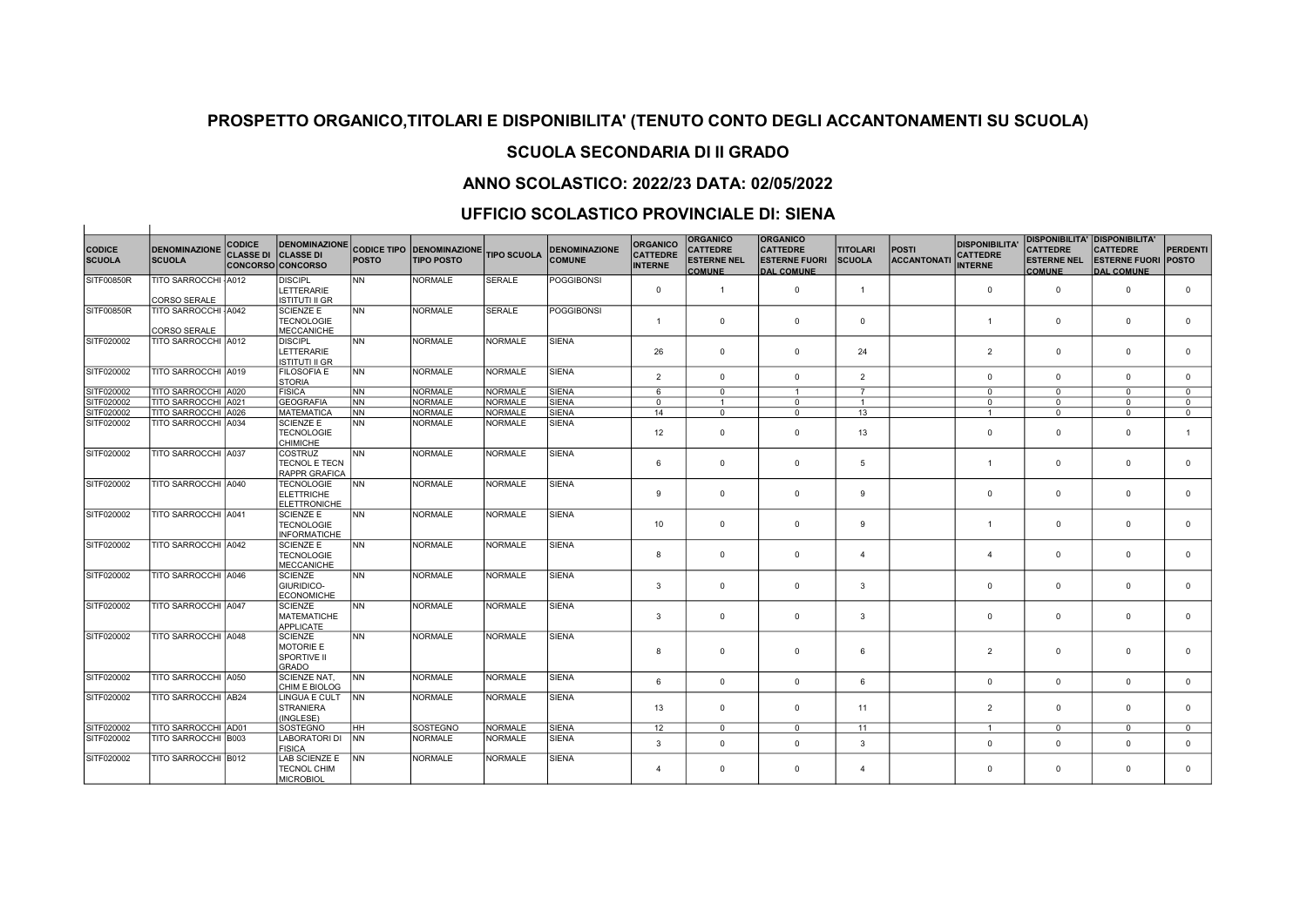# SCUOLA SECONDARIA DI II GRADO

### ANNO SCOLASTICO: 2022/23 DATA: 02/05/2022

## UFFICIO SCOLASTICO PROVINCIALE DI: SIENA

 $\overline{1}$ 

|                                |                                       | <b>CODICE</b>    | <b>DENOMINAZIONE</b>                                              |              |                                                       |                    |                                       | <b>ORGANICO</b>                   | <b>ORGANICO</b>                                        | <b>ORGANICO</b>                                              |                                  |                                   | <b>DISPONIBILITA'</b>             | <b>DISPONIBILITA' DISPONIBILITA'</b>                   |                                                                    |                 |
|--------------------------------|---------------------------------------|------------------|-------------------------------------------------------------------|--------------|-------------------------------------------------------|--------------------|---------------------------------------|-----------------------------------|--------------------------------------------------------|--------------------------------------------------------------|----------------------------------|-----------------------------------|-----------------------------------|--------------------------------------------------------|--------------------------------------------------------------------|-----------------|
| <b>CODICE</b><br><b>SCUOLA</b> | <b>DENOMINAZIONE</b><br><b>SCUOLA</b> | <b>CLASSE DI</b> | <b>CLASSE DI</b><br>CONCORSO CONCORSO                             | <b>POSTO</b> | <b>CODICE TIPO DENOMINAZIONE</b><br><b>TIPO POSTO</b> | <b>TIPO SCUOLA</b> | <b>DENOMINAZIONE</b><br><b>COMUNE</b> | <b>CATTEDRE</b><br><b>INTERNE</b> | <b>CATTEDRE</b><br><b>ESTERNE NEL</b><br><b>COMUNE</b> | <b>CATTEDRE</b><br><b>ESTERNE FUORI</b><br><b>DAL COMUNE</b> | <b>TITOLARI</b><br><b>SCUOLA</b> | <b>POSTI</b><br><b>ACCANTONAT</b> | <b>CATTEDRE</b><br><b>INTERNE</b> | <b>CATTEDRE</b><br><b>ESTERNE NEL</b><br><b>COMUNE</b> | <b>CATTEDRE</b><br><b>ESTERNE FUORI POSTO</b><br><b>DAL COMUNE</b> | <b>PERDENTI</b> |
| SITF00850R                     | TITO SARROCCHI A012                   |                  | <b>DISCIPL</b>                                                    | <b>NN</b>    | <b>NORMALE</b>                                        | <b>SERALE</b>      | <b>POGGIBONSI</b>                     |                                   |                                                        |                                                              |                                  |                                   |                                   |                                                        |                                                                    |                 |
|                                | CORSO SERALE                          |                  | LETTERARIE<br>ISTITUTI II GR                                      |              |                                                       |                    |                                       | $^{\circ}$                        | $\mathbf{1}$                                           | $\mathbf 0$                                                  | $\overline{1}$                   |                                   | $\mathbf 0$                       | $\mathbf 0$                                            | $\overline{0}$                                                     | $\mathbf 0$     |
| SITF00850R                     | TITO SARROCCHI A042                   |                  | <b>SCIENZE E</b>                                                  | <b>NN</b>    | <b>NORMALE</b>                                        | SERALE             | <b>POGGIBONSI</b>                     |                                   |                                                        |                                                              |                                  |                                   |                                   |                                                        |                                                                    |                 |
|                                |                                       |                  | <b>TECNOLOGIE</b>                                                 |              |                                                       |                    |                                       | $\overline{1}$                    | $\mathbf 0$                                            | $\mathbf{0}$                                                 | $\mathbf 0$                      |                                   | $\mathbf{1}$                      | $\mathsf 0$                                            | $\mathbf 0$                                                        | $\mathbf 0$     |
| SITF020002                     | CORSO SERALE<br>TITO SARROCCHI A012   |                  | <b>MECCANICHE</b><br><b>DISCIPL</b>                               | <b>NN</b>    | <b>NORMALE</b>                                        | <b>NORMALE</b>     | <b>SIENA</b>                          |                                   |                                                        |                                                              |                                  |                                   |                                   |                                                        |                                                                    |                 |
|                                |                                       |                  | LETTERARIE<br>ISTITUTI II GR                                      |              |                                                       |                    |                                       | 26                                | $\mathbf 0$                                            | $\mathbf 0$                                                  | 24                               |                                   | $\overline{2}$                    | $\mathbf 0$                                            | $\mathbf 0$                                                        | $\mathbf 0$     |
| SITF020002                     | TITO SARROCCHI A019                   |                  | FILOSOFIA E<br>STORIA                                             | <b>INN</b>   | <b>NORMALE</b>                                        | NORMALE            | <b>SIENA</b>                          | $\overline{2}$                    | $\mathbf 0$                                            | $\mathbf{0}$                                                 | $\overline{2}$                   |                                   | $\mathbf{0}$                      | $\mathbf 0$                                            | $\mathbf 0$                                                        | $\mathbf{0}$    |
| SITF020002                     | TITO SARROCCHI A020                   |                  | FISICA                                                            | <b>NN</b>    | <b>NORMALE</b>                                        | NORMALE            | <b>SIENA</b>                          | 6                                 | $\mathbf{0}$                                           | $\mathbf{1}$                                                 | $\overline{7}$                   |                                   | $\mathbf{0}$                      | $\Omega$                                               | $\Omega$                                                           | $\Omega$        |
| SITF020002                     | TITO SARROCCHI A021                   |                  | <b>GEOGRAFIA</b>                                                  | <b>NN</b>    | <b>NORMALE</b>                                        | NORMALE            | <b>SIENA</b>                          | $\mathbf{0}$                      | $\mathbf{1}$                                           | $\mathbf{0}$                                                 | $\overline{1}$                   |                                   | $\mathbf 0$                       | $\mathbf{0}$                                           | $\mathbf 0$                                                        | $\mathbf{0}$    |
| SITF020002                     | TITO SARROCCHI A026                   |                  | <b>MATEMATICA</b>                                                 | <b>NN</b>    | <b>NORMALE</b>                                        | NORMALE            | <b>SIENA</b>                          | 14                                | $\mathbf{0}$                                           | $\Omega$                                                     | 13                               |                                   | $\mathbf{1}$                      | $\mathbf 0$                                            | $\Omega$                                                           | $\mathbf{0}$    |
| SITF020002                     | TITO SARROCCHI A034                   |                  | <b>SCIENZE E</b><br><b>TECNOLOGIE</b><br>CHIMICHE                 | <b>NN</b>    | <b>NORMALE</b>                                        | NORMALE            | <b>SIENA</b>                          | 12                                | $\mathbf 0$                                            | $\Omega$                                                     | 13                               |                                   | $\mathbf 0$                       | $\mathbf 0$                                            | $\overline{0}$                                                     | $\overline{1}$  |
| SITF020002                     | TITO SARROCCHI A037                   |                  | <b>COSTRUZ</b><br><b>TECNOL E TECN</b><br><b>RAPPR GRAFICA</b>    | <b>NN</b>    | <b>NORMALE</b>                                        | <b>NORMALE</b>     | <b>SIENA</b>                          | 6                                 | $^{\circ}$                                             | $\mathbf 0$                                                  | 5                                |                                   | $\mathbf{1}$                      | $\mathbf 0$                                            | $\overline{0}$                                                     | $\mathbf 0$     |
| SITF020002                     | TITO SARROCCHI A040                   |                  | <b>TECNOLOGIE</b><br>ELETTRICHE<br><b>ELETTRONICHE</b>            | <b>INN</b>   | <b>NORMALE</b>                                        | NORMALE            | <b>SIENA</b>                          | 9                                 | $\mathbf{0}$                                           | $\mathbf 0$                                                  | 9                                |                                   | $\mathbf 0$                       | $\mathbf 0$                                            | $\overline{0}$                                                     | $\mathbf 0$     |
| SITF020002                     | TITO SARROCCHI A041                   |                  | <b>SCIENZE E</b><br><b>TECNOLOGIE</b><br><b>INFORMATICHE</b>      | lnn          | <b>NORMALE</b>                                        | NORMALE            | <b>SIENA</b>                          | 10                                | $\mathbf{0}$                                           | $\mathbf{0}$                                                 | 9                                |                                   | $\overline{1}$                    | $\mathbf 0$                                            | $\overline{0}$                                                     | $\mathbf{0}$    |
| SITF020002                     | TITO SARROCCHI A042                   |                  | <b>SCIENZE E</b><br><b>TECNOLOGIE</b><br><b>MECCANICHE</b>        | <b>NN</b>    | <b>NORMALE</b>                                        | <b>NORMALE</b>     | <b>SIENA</b>                          | 8                                 | $^{\circ}$                                             | $\mathbf{0}$                                                 | $\overline{4}$                   |                                   | $\overline{4}$                    | $\mathbf 0$                                            | $\overline{0}$                                                     | $\mathbf 0$     |
| SITF020002                     | TITO SARROCCHI A046                   |                  | <b>SCIENZE</b><br>GIURIDICO-<br><b>ECONOMICHE</b>                 | lnn          | <b>NORMALE</b>                                        | NORMALE            | <b>SIENA</b>                          | 3                                 | $\mathbf 0$                                            | $\mathbf{0}$                                                 | 3                                |                                   | $\mathbf{0}$                      | $\mathbf 0$                                            | $\mathbf 0$                                                        | $\mathbf 0$     |
| SITF020002                     | TITO SARROCCHI A047                   |                  | <b>SCIENZE</b><br><b>MATEMATICHE</b><br><b>APPLICATE</b>          | lnn          | <b>NORMALE</b>                                        | NORMALE            | <b>SIENA</b>                          | 3                                 | $\mathbf 0$                                            | $^{\circ}$                                                   | 3                                |                                   | $\mathbf 0$                       | $\mathbf{0}$                                           | $\overline{0}$                                                     | $^{\circ}$      |
| SITF020002                     | TITO SARROCCHI A048                   |                  | <b>SCIENZE</b><br><b>MOTORIE E</b><br>SPORTIVE II<br><b>GRADO</b> | <b>NN</b>    | <b>NORMALE</b>                                        | NORMALE            | <b>SIENA</b>                          | 8                                 | $\mathbf 0$                                            | $\mathbf 0$                                                  | 6                                |                                   | $\overline{2}$                    | $\mathbf 0$                                            | $\overline{0}$                                                     | $\mathbf 0$     |
| SITF020002                     | TITO SARROCCHI A050                   |                  | SCIENZE NAT,<br>CHIM E BIOLOG                                     | <b>NN</b>    | <b>NORMALE</b>                                        | <b>NORMALE</b>     | <b>SIENA</b>                          | 6                                 | $\mathbf{0}$                                           | $\mathbf{0}$                                                 | 6                                |                                   | $\mathbf 0$                       | $\mathbf{0}$                                           | $\overline{0}$                                                     | $\mathbf{0}$    |
| SITF020002                     | TITO SARROCCHI AB24                   |                  | LINGUA E CULT<br>STRANIERA<br>(INGLESE)                           | <b>INN</b>   | <b>NORMALE</b>                                        | NORMALE            | <b>SIENA</b>                          | 13                                | $\mathbf 0$                                            | $\mathbf{0}$                                                 | 11                               |                                   | 2                                 | $\mathbf 0$                                            | $\overline{0}$                                                     | $^{\circ}$      |
| SITF020002                     | TITO SARROCCHI AD01                   |                  | <b>SOSTEGNO</b>                                                   | Інн          | SOSTEGNO                                              | NORMALE            | <b>SIENA</b>                          | 12                                | $^{\circ}$                                             | $^{\circ}$                                                   | 11                               |                                   | $\mathbf{1}$                      | $\mathbf{0}$                                           | $\mathbf 0$                                                        | $^{\circ}$      |
| SITF020002                     | TITO SARROCCHI B003                   |                  | <b>LABORATORI DI</b><br><b>FISICA</b>                             | <b>INN</b>   | <b>NORMALE</b>                                        | NORMALE            | <b>SIENA</b>                          | 3                                 | $\mathbf 0$                                            | $\mathbf{0}$                                                 | 3                                |                                   | $\mathbf 0$                       | $\mathbf 0$                                            | $\overline{0}$                                                     | $\mathbf{0}$    |
| SITF020002                     | TITO SARROCCHI B012                   |                  | LAB SCIENZE E<br><b>TECNOL CHIM</b><br><b>MICROBIOL</b>           | <b>INN</b>   | <b>NORMALE</b>                                        | <b>NORMALE</b>     | <b>SIENA</b>                          | $\overline{4}$                    | $\mathbf 0$                                            | $\mathbf 0$                                                  | $\boldsymbol{\Delta}$            |                                   | $\mathbf 0$                       | $\mathbf 0$                                            | $\overline{0}$                                                     | $\mathbf 0$     |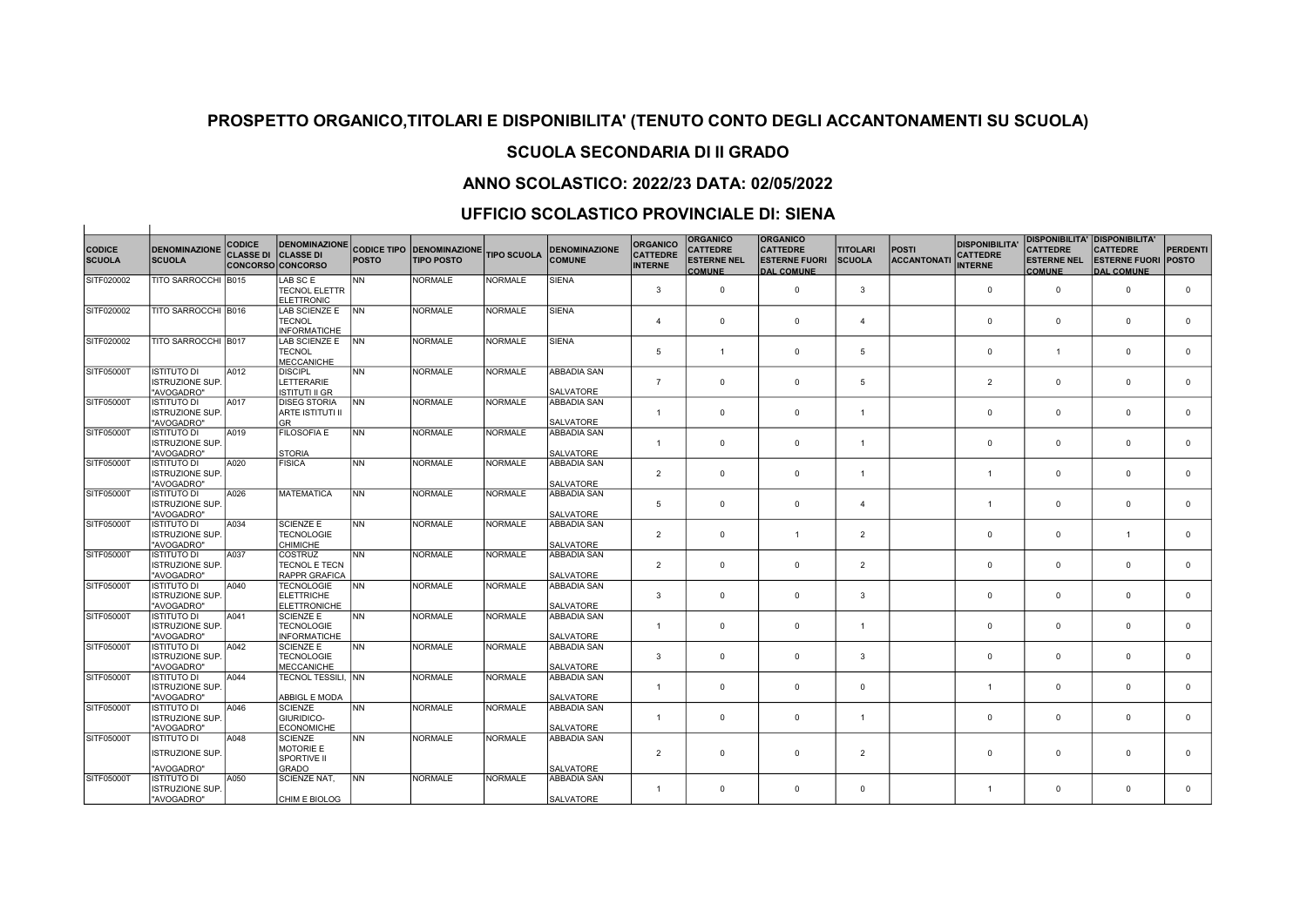## SCUOLA SECONDARIA DI II GRADO

## ANNO SCOLASTICO: 2022/23 DATA: 02/05/2022

## UFFICIO SCOLASTICO PROVINCIALE DI: SIENA

 $\overline{1}$ 

| <b>CODICE</b><br><b>SCUOLA</b> | <b>DENOMINAZIONE</b><br><b>SCUOLA</b>                      | <b>CODICE</b><br><b>CLASSE DI CLASSE DI</b> | <b>DENOMINAZIONE</b><br><b>CONCORSO CONCORSO</b>        | <b>POSTO</b> | <b>CODICE TIPO DENOMINAZIONE</b><br><b>TIPO POSTO</b> | <b>TIPO SCUOLA</b> | <b>DENOMINAZIONE</b><br><b>COMUNE</b>        | <b>ORGANICO</b><br><b>CATTEDRE</b><br><b>INTERNE</b> | <b>ORGANICO</b><br><b>CATTEDRE</b><br><b>ESTERNE NEL</b><br><b>COMUNE</b> | <b>ORGANICO</b><br><b>CATTEDRE</b><br><b>ESTERNE FUORI</b><br><b>DAL COMUNE</b> | <b>TITOLARI</b><br><b>SCUOLA</b> | <b>POSTI</b><br><b>ACCANTONATI</b> | <b>DISPONIBILITA'</b><br><b>CATTEDRE</b><br><b>INTERNE</b> | <b>CATTEDRE</b><br><b>ESTERNE NEL</b><br><b>COMUNE</b> | <b>DISPONIBILITA' DISPONIBILITA'</b><br><b>CATTEDRE</b><br><b>ESTERNE FUORI</b><br><b>DAL COMUNE</b> | <b>PERDENTI</b><br><b>POSTO</b> |
|--------------------------------|------------------------------------------------------------|---------------------------------------------|---------------------------------------------------------|--------------|-------------------------------------------------------|--------------------|----------------------------------------------|------------------------------------------------------|---------------------------------------------------------------------------|---------------------------------------------------------------------------------|----------------------------------|------------------------------------|------------------------------------------------------------|--------------------------------------------------------|------------------------------------------------------------------------------------------------------|---------------------------------|
| SITF020002                     | TITO SARROCCHI B015                                        |                                             | LAB SC E<br><b>TECNOL ELETTR</b><br>ELETTRONIC          | <b>NN</b>    | <b>NORMALE</b>                                        | <b>NORMALE</b>     | <b>SIENA</b>                                 | 3                                                    | $\Omega$                                                                  | $\mathbf 0$                                                                     | 3                                |                                    | $\mathbf 0$                                                | $\mathbf 0$                                            | $\mathbf 0$                                                                                          | $\mathbf 0$                     |
| SITF020002                     | TITO SARROCCHI B016                                        |                                             | LAB SCIENZE E<br><b>TECNOL</b><br>INFORMATICHE          | <b>NN</b>    | <b>NORMALE</b>                                        | <b>NORMALE</b>     | <b>SIENA</b>                                 | $\overline{a}$                                       | $\mathbf 0$                                                               | $\Omega$                                                                        | $\overline{4}$                   |                                    | $\Omega$                                                   | $\mathbf 0$                                            | $\Omega$                                                                                             | $\Omega$                        |
| SITF020002                     | TITO SARROCCHI B017                                        |                                             | LAB SCIENZE E<br><b>TECNOL</b><br>MECCANICHE            | <b>INN</b>   | <b>NORMALE</b>                                        | <b>NORMALE</b>     | <b>SIENA</b>                                 | $\overline{5}$                                       | $\overline{1}$                                                            | $\Omega$                                                                        | 5                                |                                    | $\Omega$                                                   | $\overline{1}$                                         | $\Omega$                                                                                             | $\Omega$                        |
| SITF05000T                     | <b>ISTITUTO DI</b><br><b>ISTRUZIONE SUP.</b><br>"AVOGADRO" | A012                                        | <b>DISCIPL</b><br>LETTERARIE<br>IISTITUTI II GR         | <b>NN</b>    | <b>NORMALE</b>                                        | <b>NORMALE</b>     | ABBADIA SAN<br><b>SALVATORE</b>              | $\overline{7}$                                       | $\mathbf{0}$                                                              | $\Omega$                                                                        | 5                                |                                    | $\overline{2}$                                             | $\mathbf 0$                                            | $\Omega$                                                                                             | $\mathbf 0$                     |
| SITF05000T                     | <b>ISTITUTO DI</b><br><b>ISTRUZIONE SUP.</b><br>"AVOGADRO" | A017                                        | <b>DISEG STORIA</b><br>ARTE ISTITUTI II<br>lGR.         | INN.         | <b>NORMALE</b>                                        | <b>NORMALE</b>     | <b>ABBADIA SAN</b><br><b>SALVATORE</b>       | $\overline{1}$                                       | $^{\circ}$                                                                | $\Omega$                                                                        | $\overline{1}$                   |                                    | $\Omega$                                                   | $^{\circ}$                                             | $\Omega$                                                                                             | $\Omega$                        |
| SITF05000T                     | <b>ISTITUTO DI</b><br><b>ISTRUZIONE SUP.</b><br>"AVOGADRO" | A019                                        | <b>FILOSOFIA E</b><br>İSTORIA                           | <b>NN</b>    | <b>NORMALE</b>                                        | <b>NORMALE</b>     | <b>ABBADIA SAN</b><br><b>SALVATORE</b>       | $\mathbf{1}$                                         | $\mathbf 0$                                                               | $\Omega$                                                                        | $\overline{1}$                   |                                    | $\Omega$                                                   | $\mathbf 0$                                            | $\Omega$                                                                                             | $\Omega$                        |
| SITF05000T                     | <b>ISTITUTO DI</b><br><b>ISTRUZIONE SUP.</b><br>"AVOGADRO" | A020                                        | FISICA                                                  | NN           | <b>NORMALE</b>                                        | <b>NORMALE</b>     | <b>ABBADIA SAN</b><br><b>SALVATORE</b>       | $\overline{2}$                                       | $\mathbf 0$                                                               | $\Omega$                                                                        | $\overline{1}$                   |                                    |                                                            | $\mathbf 0$                                            | $\Omega$                                                                                             | $\Omega$                        |
| SITF05000T                     | <b>ISTITUTO DI</b><br><b>ISTRUZIONE SUP.</b><br>"AVOGADRO" | A026                                        | MATEMATICA                                              | <b>NN</b>    | <b>NORMALE</b>                                        | <b>NORMALE</b>     | <b>ABBADIA SAN</b><br><b>SALVATORE</b>       | $\overline{5}$                                       | $\mathbf{0}$                                                              | $\Omega$                                                                        | $\overline{4}$                   |                                    |                                                            | $\mathbf 0$                                            | $\Omega$                                                                                             | $\Omega$                        |
| SITF05000T                     | <b>ISTITUTO DI</b><br><b>ISTRUZIONE SUP.</b><br>"AVOGADRO" | A034                                        | <b>SCIENZE E</b><br><b>TECNOLOGIE</b><br>Існімісне      | NN           | <b>NORMALE</b>                                        | <b>NORMALE</b>     | <b>ABBADIA SAN</b><br><b>SALVATORE</b>       | $\overline{2}$                                       | $\mathbf 0$                                                               | 1                                                                               | $\overline{2}$                   |                                    | $\Omega$                                                   | $\mathbf 0$                                            |                                                                                                      | $\Omega$                        |
| SITF05000T                     | <b>ISTITUTO DI</b><br><b>ISTRUZIONE SUP.</b><br>"AVOGADRO" | A037                                        | <b>COSTRUZ</b><br><b>TECNOL E TECN</b><br>RAPPR GRAFICA | <b>NN</b>    | <b>NORMALE</b>                                        | <b>NORMALE</b>     | ABBADIA SAN<br><b>SALVATORE</b>              | 2                                                    | $^{\circ}$                                                                | $\mathbf{0}$                                                                    | $\overline{2}$                   |                                    | $\Omega$                                                   | $\mathbf 0$                                            | $\Omega$                                                                                             | $\Omega$                        |
| SITF05000T                     | <b>ISTITUTO DI</b><br><b>ISTRUZIONE SUP.</b><br>"AVOGADRO" | A040                                        | <b>TECNOLOGIE</b><br>ELETTRICHE<br><b>ELETTRONICHE</b>  | INN.         | <b>NORMALE</b>                                        | <b>NORMALE</b>     | <b>ABBADIA SAN</b><br><b>SALVATORE</b>       | 3                                                    | $\mathbf{0}$                                                              | $\Omega$                                                                        | 3                                |                                    | $\Omega$                                                   | $\mathbf 0$                                            | $\Omega$                                                                                             | $\mathbf 0$                     |
| SITF05000T                     | <b>ISTITUTO DI</b><br><b>ISTRUZIONE SUP.</b><br>"AVOGADRO" | A041                                        | <b>SCIENZE E</b><br><b>TECNOLOGIE</b><br>INFORMATICHE   | <b>NN</b>    | <b>NORMALE</b>                                        | <b>NORMALE</b>     | ABBADIA SAN<br><b>SALVATORE</b>              | $\mathbf{1}$                                         | $\mathbf 0$                                                               | $\Omega$                                                                        | $\mathbf{1}$                     |                                    | $\Omega$                                                   | $\mathbf 0$                                            | $\mathbf 0$                                                                                          | $\Omega$                        |
| SITF05000T                     | <b>ISTITUTO DI</b><br><b>ISTRUZIONE SUP.</b><br>"AVOGADRO" | A042                                        | <b>SCIENZE E</b><br><b>TECNOLOGIE</b><br>MECCANICHE     | <b>NN</b>    | <b>NORMALE</b>                                        | <b>NORMALE</b>     | <b>ABBADIA SAN</b><br><b>SALVATORE</b>       | 3                                                    | $\mathbf 0$                                                               | $\Omega$                                                                        | 3                                |                                    | $\Omega$                                                   | $\mathbf 0$                                            | $\Omega$                                                                                             | $\Omega$                        |
| SITF05000T                     | <b>ISTITUTO DI</b><br><b>ISTRUZIONE SUP.</b><br>"AVOGADRO" | A044                                        | ITECNOL TESSILI. INN<br>ABBIGL E MODA                   |              | <b>NORMALE</b>                                        | <b>NORMALE</b>     | ABBADIA SAN<br><b>SALVATORE</b>              | -1                                                   | $\mathbf 0$                                                               | $\mathbf 0$                                                                     | $\mathbf 0$                      |                                    | -1                                                         | $\mathbf 0$                                            | $\mathbf 0$                                                                                          | $\mathbf 0$                     |
| SITF05000T                     | <b>ISTITUTO DI</b><br><b>ISTRUZIONE SUP.</b><br>"AVOGADRO" | A046                                        | <b>SCIENZE</b><br><b>GIURIDICO-</b><br>ECONOMICHE       | INN.         | <b>NORMALE</b>                                        | <b>NORMALE</b>     | <b>ABBADIA SAN</b><br><b>SALVATORE</b>       | $\mathbf{1}$                                         | $^{\circ}$                                                                | $\mathbf{0}$                                                                    | $\overline{1}$                   |                                    | $\Omega$                                                   | $\mathbf 0$                                            | $\Omega$                                                                                             | $\Omega$                        |
| SITF05000T                     | <b>ISTITUTO DI</b><br><b>ISTRUZIONE SUP.</b>               | A048                                        | SCIENZE<br>IMOTORIE E<br><b>SPORTIVE II</b>             | <b>NN</b>    | <b>NORMALE</b>                                        | <b>NORMALE</b>     | ABBADIA SAN                                  | $\overline{2}$                                       | $\mathbf 0$                                                               | $\mathbf 0$                                                                     | $\overline{2}$                   |                                    | $\Omega$                                                   | $\mathbf 0$                                            | $\mathbf 0$                                                                                          | $\Omega$                        |
| SITF05000T                     | "AVOGADRO"<br>ISTITUTO DI<br>ISTRUZIONE SUP.<br>"AVOGADRO" | A050                                        | <b>GRADO</b><br>SCIENZE NAT,<br>CHIM E BIOLOG           | INN.         | <b>NORMALE</b>                                        | <b>NORMALE</b>     | SALVATORE<br>ABBADIA SAN<br><b>SALVATORE</b> | $\mathbf{1}$                                         | $\Omega$                                                                  | $\Omega$                                                                        | $\Omega$                         |                                    | $\overline{1}$                                             | $\Omega$                                               | $\Omega$                                                                                             | $\Omega$                        |